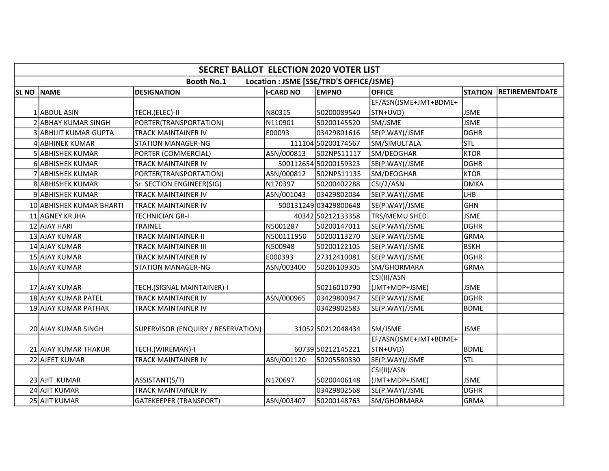|                  | <b>SECRET BALLOT ELECTION 2020 VOTER LIST</b>                |                                    |                  |                       |                       |                |                       |  |  |  |  |
|------------------|--------------------------------------------------------------|------------------------------------|------------------|-----------------------|-----------------------|----------------|-----------------------|--|--|--|--|
|                  | <b>Booth No.1</b><br>Location : JSME [SSE/TRD'S OFFICE/JSME} |                                    |                  |                       |                       |                |                       |  |  |  |  |
| SL <sub>NO</sub> | <b>NAME</b>                                                  | <b>DESIGNATION</b>                 | <b>I-CARD NO</b> | <b>EMPNO</b>          | <b>OFFICE</b>         | <b>STATION</b> | <b>RETIREMENTDATE</b> |  |  |  |  |
|                  |                                                              |                                    |                  |                       | EF/ASN(JSME+JMT+BDME+ |                |                       |  |  |  |  |
|                  | 1 ABDUL ASIN                                                 | TECH.(ELEC)-II                     | N80315           | 50200089540           | STN+UVD)              | <b>JSME</b>    |                       |  |  |  |  |
|                  | 2 ABHAY KUMAR SINGH                                          | PORTER(TRANSPORTATION)             | N110901          | 50200145520           | SM/JSME               | <b>JSME</b>    |                       |  |  |  |  |
|                  | 3 ABHIJIT KUMAR GUPTA                                        | TRACK MAINTAINER IV                | E00093           | 03429801616           | SE(P.WAY)/JSME        | DGHR           |                       |  |  |  |  |
|                  | 4 ABHINEK KUMAR                                              | <b>STATION MANAGER-NG</b>          |                  | 111104 50200174567    | SM/SIMULTALA          | <b>STL</b>     |                       |  |  |  |  |
|                  | <b>5 ABHISHEK KUMAR</b>                                      | PORTER (COMMERCIAL)                | ASN/000813       | 502NPS11117           | SM/DEOGHAR            | <b>KTOR</b>    |                       |  |  |  |  |
|                  | 6 ABHISHEK KUMAR                                             | TRACK MAINTAINER IV                |                  | 500112654 50200159323 | SE(P.WAY)/JSME        | DGHR           |                       |  |  |  |  |
|                  | 7 ABHISHEK KUMAR                                             | PORTER(TRANSPORTATION)             | ASN/000812       | 502NPS11135           | SM/DEOGHAR            | <b>KTOR</b>    |                       |  |  |  |  |
|                  | 8 ABHISHEK KUMAR                                             | Sr. SECTION ENGINEER(SIG)          | N170397          | 50200402288           | CSI/2/ASN             | <b>DMKA</b>    |                       |  |  |  |  |
|                  | 9 ABHISHEK KUMAR                                             | TRACK MAINTAINER IV                | ASN/001043       | 03429802034           | SE(P.WAY)/JSME        | Ігнв           |                       |  |  |  |  |
|                  | 10 ABHISHEK KUMAR BHARTI                                     | TRACK MAINTAINER IV                |                  | 500131249 03429800648 | SE(P.WAY)/JSME        | GHN            |                       |  |  |  |  |
|                  | 11 AGNEY KR JHA                                              | TECHNICIAN GR-I                    |                  | 40342 50212133358     | TRS/MEMU SHED         | <b>JSME</b>    |                       |  |  |  |  |
|                  | 12 AJAY HARI                                                 | TRAINEE                            | N5001287         | 50200147011           | SE(P.WAY)/JSME        | DGHR           |                       |  |  |  |  |
|                  | 13 AJAY KUMAR                                                | TRACK MAINTAINER II                | N500111950       | 50200113270           | SE(P.WAY)/JSME        | GRMA           |                       |  |  |  |  |
|                  | 14 AJAY KUMAR                                                | TRACK MAINTAINER III               | N500948          | 50200122105           | SE(P.WAY)/JSME        | <b>BSKH</b>    |                       |  |  |  |  |
|                  | 15 AJAY KUMAR                                                | TRACK MAINTAINER IV                | E000393          | 27312410081           | SE(P.WAY)/JSME        | DGHR           |                       |  |  |  |  |
|                  | 16 AJAY KUMAR                                                | <b>STATION MANAGER-NG</b>          | ASN/003400       | 50206109305           | SM/GHORMARA           | <b>GRMA</b>    |                       |  |  |  |  |
|                  |                                                              |                                    |                  |                       | CSI(II)/ASN           |                |                       |  |  |  |  |
|                  | 17 AJAY KUMAR                                                | TECH.(SIGNAL MAINTAINER)-I         |                  | 50216010790           | (JMT+MDP+JSME)        | <b>JSME</b>    |                       |  |  |  |  |
|                  | 18 AJAY KUMAR PATEL                                          | TRACK MAINTAINER IV                | ASN/000965       | 03429800947           | SE(P.WAY)/JSME        | DGHR           |                       |  |  |  |  |
|                  | 19 AJAY KUMAR PATHAK                                         | TRACK MAINTAINER IV                |                  | 03429802583           | SE(P.WAY)/JSME        | <b>BDME</b>    |                       |  |  |  |  |
|                  |                                                              |                                    |                  |                       |                       |                |                       |  |  |  |  |
|                  | 20 AJAY KUMAR SINGH                                          | SUPERVISOR (ENQUIRY / RESERVATION) |                  | 31052 50212048434     | SM/JSME               | <b>JSME</b>    |                       |  |  |  |  |
|                  |                                                              |                                    |                  |                       | EF/ASN(JSME+JMT+BDME+ |                |                       |  |  |  |  |
|                  | 21 AJAY KUMAR THAKUR                                         | TECH.(WIREMAN)-I                   |                  | 60739 50212145221     | STN+UVD)              | <b>BDME</b>    |                       |  |  |  |  |
|                  | 22 AJEET KUMAR                                               | TRACK MAINTAINER IV                | ASN/001120       | 50205580330           | SE(P.WAY)/JSME        | <b>STL</b>     |                       |  |  |  |  |
|                  |                                                              |                                    |                  |                       | CSI(II)/ASN           |                |                       |  |  |  |  |
|                  | 23 AJIT KUMAR                                                | ASSISTANT(S/T)                     | N170697          | 50200406148           | (JMT+MDP+JSME)        | <b>JSME</b>    |                       |  |  |  |  |
|                  | 24 AJIT KUMAR                                                | TRACK MAINTAINER IV                |                  | 03429802568           | SE(P.WAY)/JSME        | DGHR           |                       |  |  |  |  |
|                  | 25 AJIT KUMAR                                                | GATEKEEPER (TRANSPORT)             | ASN/003407       | 50200148763           | SM/GHORMARA           | GRMA           |                       |  |  |  |  |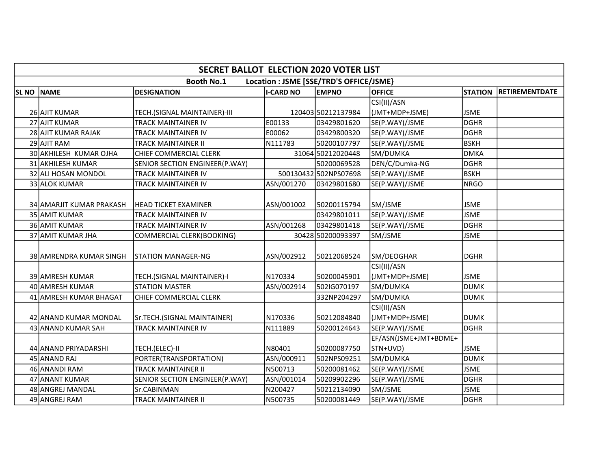|              | <b>SECRET BALLOT ELECTION 2020 VOTER LIST</b> |                                |                  |                                         |                               |                |                       |  |  |  |  |
|--------------|-----------------------------------------------|--------------------------------|------------------|-----------------------------------------|-------------------------------|----------------|-----------------------|--|--|--|--|
|              |                                               | <b>Booth No.1</b>              |                  | Location : JSME [SSE/TRD'S OFFICE/JSME} |                               |                |                       |  |  |  |  |
| <b>SL NO</b> | <b>NAME</b>                                   | <b>DESIGNATION</b>             | <b>I-CARD NO</b> | <b>EMPNO</b>                            | <b>OFFICE</b>                 | <b>STATION</b> | <b>RETIREMENTDATE</b> |  |  |  |  |
|              |                                               |                                |                  |                                         | CSI(II)/ASN                   |                |                       |  |  |  |  |
|              | 26 AJIT KUMAR                                 | TECH.(SIGNAL MAINTAINER)-III   |                  | 120403 50212137984                      | (JMT+MDP+JSME)                | <b>JSME</b>    |                       |  |  |  |  |
|              | 27 AJIT KUMAR                                 | TRACK MAINTAINER IV            | E00133           | 03429801620                             | SE(P.WAY)/JSME                | DGHR           |                       |  |  |  |  |
|              | 28 AJIT KUMAR RAJAK                           | TRACK MAINTAINER IV            | E00062           | 03429800320                             | SE(P.WAY)/JSME                | DGHR           |                       |  |  |  |  |
|              | 29 AJIT RAM                                   | TRACK MAINTAINER II            | N111783          | 50200107797                             | SE(P.WAY)/JSME                | <b>BSKH</b>    |                       |  |  |  |  |
|              | 30 AKHILESH KUMAR OJHA                        | CHIEF COMMERCIAL CLERK         |                  | 31064 50212020448                       | SM/DUMKA                      | DMKA           |                       |  |  |  |  |
|              | 31 AKHILESH KUMAR                             | SENIOR SECTION ENGINEER(P.WAY) |                  | 50200069528                             | DEN/C/Dumka-NG                | <b>DGHR</b>    |                       |  |  |  |  |
|              | 32 ALI HOSAN MONDOL                           | <b>TRACK MAINTAINER IV</b>     |                  | 500130432 502NPS07698                   | SE(P.WAY)/JSME                | <b>BSKH</b>    |                       |  |  |  |  |
|              | 33 ALOK KUMAR                                 | TRACK MAINTAINER IV            | ASN/001270       | 03429801680                             | SE(P.WAY)/JSME                | NRGO           |                       |  |  |  |  |
|              | 34 AMARJIT KUMAR PRAKASH                      | <b>HEAD TICKET EXAMINER</b>    | ASN/001002       | 50200115794                             | SM/JSME                       | <b>JSME</b>    |                       |  |  |  |  |
|              | 35 AMIT KUMAR                                 | <b>TRACK MAINTAINER IV</b>     |                  | 03429801011                             | SE(P.WAY)/JSME                | <b>JSME</b>    |                       |  |  |  |  |
|              | 36 AMIT KUMAR                                 | TRACK MAINTAINER IV            | ASN/001268       | 03429801418                             | SE(P.WAY)/JSME                | DGHR           |                       |  |  |  |  |
|              | 37 AMIT KUMAR JHA                             | COMMERCIAL CLERK(BOOKING)      |                  | 30428 50200093397                       | SM/JSME                       | <b>JSME</b>    |                       |  |  |  |  |
|              | 38 AMRENDRA KUMAR SINGH                       | <b>STATION MANAGER-NG</b>      | ASN/002912       | 50212068524                             | SM/DEOGHAR                    | DGHR           |                       |  |  |  |  |
|              | 39 AMRESH KUMAR                               | TECH.(SIGNAL MAINTAINER)-I     | N170334          | 50200045901                             | CSI(II)/ASN<br>(JMT+MDP+JSME) | <b>JSME</b>    |                       |  |  |  |  |
|              | 40 AMRESH KUMAR                               | <b>STATION MASTER</b>          | ASN/002914       | 502IG070197                             | SM/DUMKA                      | <b>DUMK</b>    |                       |  |  |  |  |
|              | 41 AMRESH KUMAR BHAGAT                        | CHIEF COMMERCIAL CLERK         |                  | 332NP204297                             | SM/DUMKA                      | DUMK           |                       |  |  |  |  |
|              | 42 ANAND KUMAR MONDAL                         | Sr.TECH.(SIGNAL MAINTAINER)    | N170336          | 50212084840                             | CSI(II)/ASN<br>(JMT+MDP+JSME) | ldumk          |                       |  |  |  |  |
|              | 43 ANAND KUMAR SAH                            | TRACK MAINTAINER IV            | N111889          | 50200124643                             | SE(P.WAY)/JSME                | DGHR           |                       |  |  |  |  |
|              |                                               |                                |                  |                                         | EF/ASN(JSME+JMT+BDME+         |                |                       |  |  |  |  |
|              | 44 ANAND PRIYADARSHI                          | TECH.(ELEC)-II                 | N80401           | 50200087750                             | STN+UVD)                      | <b>JSME</b>    |                       |  |  |  |  |
|              | 45 ANAND RAJ                                  | PORTER(TRANSPORTATION)         | ASN/000911       | 502NPS09251                             | SM/DUMKA                      | <b>DUMK</b>    |                       |  |  |  |  |
|              | 46 ANANDI RAM                                 | <b>TRACK MAINTAINER II</b>     | N500713          | 50200081462                             | SE(P.WAY)/JSME                | <b>JSME</b>    |                       |  |  |  |  |
|              | 47 ANANT KUMAR                                | SENIOR SECTION ENGINEER(P.WAY) | ASN/001014       | 50209902296                             | SE(P.WAY)/JSME                | DGHR           |                       |  |  |  |  |
|              | 48 ANGREJ MANDAL                              | Sr.CABINMAN                    | N200427          | 50212134090                             | SM/JSME                       | <b>JSME</b>    |                       |  |  |  |  |
|              | 49 ANGREJ RAM                                 | <b>TRACK MAINTAINER II</b>     | N500735          | 50200081449                             | SE(P.WAY)/JSME                | DGHR           |                       |  |  |  |  |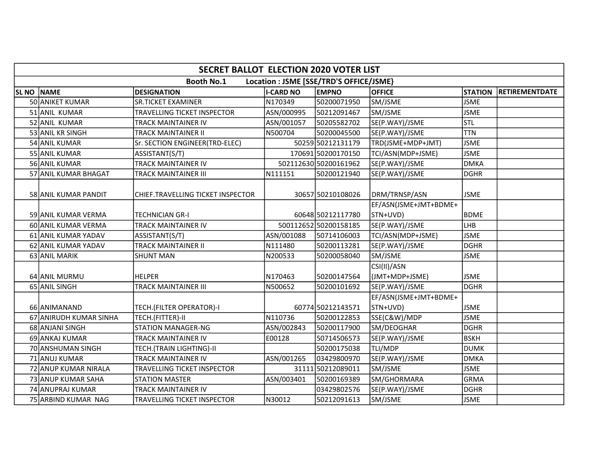|              | <b>SECRET BALLOT ELECTION 2020 VOTER LIST</b> |                                   |                  |                                         |                       |                |                       |  |  |  |  |
|--------------|-----------------------------------------------|-----------------------------------|------------------|-----------------------------------------|-----------------------|----------------|-----------------------|--|--|--|--|
|              |                                               | <b>Booth No.1</b>                 |                  | Location : JSME [SSE/TRD'S OFFICE/JSME} |                       |                |                       |  |  |  |  |
| <b>SL NO</b> | <b>NAME</b>                                   | <b>DESIGNATION</b>                | <b>I-CARD NO</b> | <b>EMPNO</b>                            | <b>OFFICE</b>         | <b>STATION</b> | <b>RETIREMENTDATE</b> |  |  |  |  |
|              | 50 ANIKET KUMAR                               | <b>SR.TICKET EXAMINER</b>         | N170349          | 50200071950                             | SM/JSME               | <b>JSME</b>    |                       |  |  |  |  |
|              | 51 ANIL KUMAR                                 | TRAVELLING TICKET INSPECTOR       | ASN/000995       | 50212091467                             | SM/JSME               | <b>JSME</b>    |                       |  |  |  |  |
|              | 52 ANIL KUMAR                                 | TRACK MAINTAINER IV               | ASN/001057       | 50205582702                             | SE(P.WAY)/JSME        | <b>STL</b>     |                       |  |  |  |  |
|              | 53 ANIL KR SINGH                              | <b>TRACK MAINTAINER II</b>        | N500704          | 50200045500                             | SE(P.WAY)/JSME        | <b>TTN</b>     |                       |  |  |  |  |
|              | 54 ANIL KUMAR                                 | Sr. SECTION ENGINEER(TRD-ELEC)    |                  | 50259 50212131179                       | TRD(JSME+MDP+JMT)     | <b>JSME</b>    |                       |  |  |  |  |
|              | 55 ANIL KUMAR                                 | ASSISTANT(S/T)                    |                  | 170691 50200170150                      | TCI/ASN(MDP+JSME)     | <b>JSME</b>    |                       |  |  |  |  |
|              | 56 ANIL KUMAR                                 | TRACK MAINTAINER IV               |                  | 502112630 50200161962                   | SE(P.WAY)/JSME        | <b>DMKA</b>    |                       |  |  |  |  |
|              | 57 ANIL KUMAR BHAGAT                          | <b>TRACK MAINTAINER III</b>       | N111151          | 50200121940                             | SE(P.WAY)/JSME        | <b>DGHR</b>    |                       |  |  |  |  |
|              | 58 ANIL KUMAR PANDIT                          | CHIEF.TRAVELLING TICKET INSPECTOR |                  | 30657 50210108026                       | DRM/TRNSP/ASN         | <b>JSME</b>    |                       |  |  |  |  |
|              |                                               |                                   |                  |                                         | EF/ASN(JSME+JMT+BDME+ |                |                       |  |  |  |  |
|              | <b>59 ANIL KUMAR VERMA</b>                    | <b>TECHNICIAN GR-I</b>            |                  | 60648 50212117780                       | STN+UVD)              | <b>BDME</b>    |                       |  |  |  |  |
|              | 60 ANIL KUMAR VERMA                           | <b>TRACK MAINTAINER IV</b>        |                  | 500112652 50200158185                   | SE(P.WAY)/JSME        | LHB            |                       |  |  |  |  |
|              | 61 ANIL KUMAR YADAV                           | ASSISTANT(S/T)                    | ASN/001088       | 50714106003                             | TCI/ASN(MDP+JSME)     | <b>JSME</b>    |                       |  |  |  |  |
|              | 62 ANIL KUMAR YADAV                           | <b>TRACK MAINTAINER II</b>        | N111480          | 50200113281                             | SE(P.WAY)/JSME        | <b>DGHR</b>    |                       |  |  |  |  |
|              | 63 ANIL MARIK                                 | <b>SHUNT MAN</b>                  | N200533          | 50200058040                             | SM/JSME               | <b>JSME</b>    |                       |  |  |  |  |
|              |                                               |                                   |                  |                                         | CSI(II)/ASN           |                |                       |  |  |  |  |
|              | 64 ANIL MURMU                                 | <b>HELPER</b>                     | N170463          | 50200147564                             | (JMT+MDP+JSME)        | <b>JSME</b>    |                       |  |  |  |  |
|              | 65 ANIL SINGH                                 | <b>TRACK MAINTAINER III</b>       | N500652          | 50200101692                             | SE(P.WAY)/JSME        | DGHR           |                       |  |  |  |  |
|              |                                               |                                   |                  |                                         | EF/ASN(JSME+JMT+BDME+ |                |                       |  |  |  |  |
|              | 66 ANIMANAND                                  | TECH.(FILTER OPERATOR)-I          |                  | 60774 50212143571                       | STN+UVD)              | <b>JSME</b>    |                       |  |  |  |  |
|              | 67 ANIRUDH KUMAR SINHA                        | TECH.(FITTER)-II                  | N110736          | 50200122853                             | SSE(C&W)/MDP          | <b>JSME</b>    |                       |  |  |  |  |
|              | 68 ANJANI SINGH                               | <b>STATION MANAGER-NG</b>         | ASN/002843       | 50200117900                             | SM/DEOGHAR            | <b>DGHR</b>    |                       |  |  |  |  |
|              | 69 JANKAJ KUMAR                               | <b>TRACK MAINTAINER IV</b>        | E00128           | 50714506573                             | SE(P.WAY)/JSME        | <b>BSKH</b>    |                       |  |  |  |  |
|              | 70 ANSHUMAN SINGH                             | TECH.(TRAIN LIGHTING)-II          |                  | 50200175038                             | TLI/MDP               | <b>DUMK</b>    |                       |  |  |  |  |
|              | 71 ANUJ KUMAR                                 | <b>TRACK MAINTAINER IV</b>        | ASN/001265       | 03429800970                             | SE(P.WAY)/JSME        | <b>DMKA</b>    |                       |  |  |  |  |
|              | 72 ANUP KUMAR NIRALA                          | TRAVELLING TICKET INSPECTOR       |                  | 31111 50212089011                       | SM/JSME               | <b>JSME</b>    |                       |  |  |  |  |
|              | 73 ANUP KUMAR SAHA                            | <b>STATION MASTER</b>             | ASN/003401       | 50200169389                             | SM/GHORMARA           | <b>GRMA</b>    |                       |  |  |  |  |
|              | 74 ANUPRAJ KUMAR                              | TRACK MAINTAINER IV               |                  | 03429802576                             | SE(P.WAY)/JSME        | <b>DGHR</b>    |                       |  |  |  |  |
|              | 75 ARBIND KUMAR NAG                           | TRAVELLING TICKET INSPECTOR       | N30012           | 50212091613                             | SM/JSME               | <b>JSME</b>    |                       |  |  |  |  |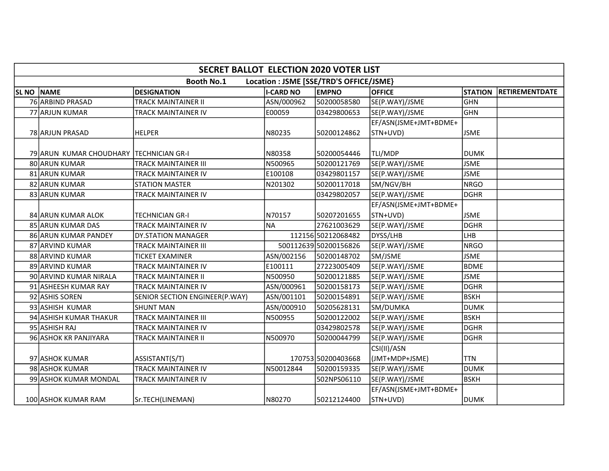|                   | <b>SECRET BALLOT ELECTION 2020 VOTER LIST</b>                |                                |                  |                       |                                   |                |                       |  |  |  |
|-------------------|--------------------------------------------------------------|--------------------------------|------------------|-----------------------|-----------------------------------|----------------|-----------------------|--|--|--|
|                   | <b>Booth No.1</b><br>Location : JSME [SSE/TRD'S OFFICE/JSME} |                                |                  |                       |                                   |                |                       |  |  |  |
| <b>SL NO NAME</b> |                                                              | <b>DESIGNATION</b>             | <b>I-CARD NO</b> | <b>EMPNO</b>          | <b>OFFICE</b>                     | <b>STATION</b> | <b>RETIREMENTDATE</b> |  |  |  |
|                   | 76 ARBIND PRASAD                                             | TRACK MAINTAINER II            | ASN/000962       | 50200058580           | SE(P.WAY)/JSME                    | GHN            |                       |  |  |  |
|                   | 77 ARJUN KUMAR                                               | TRACK MAINTAINER IV            | E00059           | 03429800653           | SE(P.WAY)/JSME                    | GHN            |                       |  |  |  |
|                   |                                                              |                                |                  |                       | EF/ASN(JSME+JMT+BDME+             |                |                       |  |  |  |
|                   | 78 ARJUN PRASAD                                              | <b>HELPER</b>                  | N80235           | 50200124862           | STN+UVD)                          | <b>JSME</b>    |                       |  |  |  |
|                   | 79 ARUN KUMAR CHOUDHARY                                      | <b>TECHNICIAN GR-I</b>         | N80358           | 50200054446           | TLI/MDP                           | DUMK           |                       |  |  |  |
|                   | 80 ARUN KUMAR                                                | TRACK MAINTAINER III           | N500965          | 50200121769           | SE(P.WAY)/JSME                    | <b>JSME</b>    |                       |  |  |  |
|                   | 81 ARUN KUMAR                                                | TRACK MAINTAINER IV            | E100108          | 03429801157           | SE(P.WAY)/JSME                    | <b>JSME</b>    |                       |  |  |  |
|                   | 82 ARUN KUMAR                                                | <b>STATION MASTER</b>          | N201302          | 50200117018           | SM/NGV/BH                         | NRGO           |                       |  |  |  |
|                   | 83 ARUN KUMAR                                                | TRACK MAINTAINER IV            |                  | 03429802057           | SE(P.WAY)/JSME                    | DGHR           |                       |  |  |  |
|                   |                                                              |                                |                  |                       | EF/ASN(JSME+JMT+BDME+             |                |                       |  |  |  |
|                   | 84 ARUN KUMAR ALOK                                           | TECHNICIAN GR-I                | N70157           | 50207201655           | STN+UVD)                          | <b>JSME</b>    |                       |  |  |  |
|                   | 85 ARUN KUMAR DAS                                            | TRACK MAINTAINER IV            | <b>NA</b>        | 27621003629           | SE(P.WAY)/JSME                    | <b>DGHR</b>    |                       |  |  |  |
|                   | 86 ARUN KUMAR PANDEY                                         | <b>DY.STATION MANAGER</b>      |                  | 112156 50212068482    | DYSS/LHB                          | Ігнв           |                       |  |  |  |
|                   | 87 ARVIND KUMAR                                              | TRACK MAINTAINER III           |                  | 500112639 50200156826 | SE(P.WAY)/JSME                    | <b>NRGO</b>    |                       |  |  |  |
|                   | 88 ARVIND KUMAR                                              | <b>TICKET EXAMINER</b>         | ASN/002156       | 50200148702           | SM/JSME                           | <b>JSME</b>    |                       |  |  |  |
|                   | 89 ARVIND KUMAR                                              | TRACK MAINTAINER IV            | E100111          | 27223005409           | SE(P.WAY)/JSME                    | BDME           |                       |  |  |  |
|                   | 90 ARVIND KUMAR NIRALA                                       | TRACK MAINTAINER II            | N500950          | 50200121885           | SE(P.WAY)/JSME                    | <b>JSME</b>    |                       |  |  |  |
|                   | 91 ASHEESH KUMAR RAY                                         | TRACK MAINTAINER IV            | ASN/000961       | 50200158173           | SE(P.WAY)/JSME                    | <b>DGHR</b>    |                       |  |  |  |
|                   | 92 ASHIS SOREN                                               | SENIOR SECTION ENGINEER(P.WAY) | ASN/001101       | 50200154891           | SE(P.WAY)/JSME                    | <b>BSKH</b>    |                       |  |  |  |
|                   | 93 ASHISH KUMAR                                              | <b>SHUNT MAN</b>               | ASN/000910       | 50205628131           | SM/DUMKA                          | <b>DUMK</b>    |                       |  |  |  |
|                   | 94 ASHISH KUMAR THAKUR                                       | TRACK MAINTAINER III           | N500955          | 50200122002           | SE(P.WAY)/JSME                    | <b>BSKH</b>    |                       |  |  |  |
|                   | 95 ASHISH RAJ                                                | TRACK MAINTAINER IV            |                  | 03429802578           | SE(P.WAY)/JSME                    | <b>DGHR</b>    |                       |  |  |  |
|                   | 96 ASHOK KR PANJIYARA                                        | TRACK MAINTAINER II            | N500970          | 50200044799           | SE(P.WAY)/JSME                    | <b>DGHR</b>    |                       |  |  |  |
|                   |                                                              |                                |                  |                       | CSI(II)/ASN                       |                |                       |  |  |  |
|                   | 97 ASHOK KUMAR                                               | ASSISTANT(S/T)                 |                  | 170753 50200403668    | (JMT+MDP+JSME)                    | TTN            |                       |  |  |  |
|                   | 98 ASHOK KUMAR                                               | TRACK MAINTAINER IV            | N50012844        | 50200159335           | SE(P.WAY)/JSME                    | римк           |                       |  |  |  |
|                   | 99 ASHOK KUMAR MONDAL                                        | TRACK MAINTAINER IV            |                  | 502NPS06110           | SE(P.WAY)/JSME                    | <b>BSKH</b>    |                       |  |  |  |
|                   | 100 ASHOK KUMAR RAM                                          | Sr.TECH(LINEMAN)               | N80270           | 50212124400           | EF/ASN(JSME+JMT+BDME+<br>STN+UVD) | <b>DUMK</b>    |                       |  |  |  |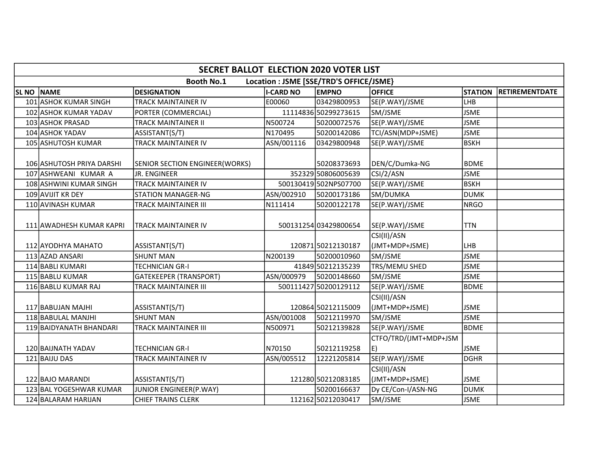|              | <b>SECRET BALLOT ELECTION 2020 VOTER LIST</b>                |                                                |                  |                                   |                             |                |                       |  |  |  |  |
|--------------|--------------------------------------------------------------|------------------------------------------------|------------------|-----------------------------------|-----------------------------|----------------|-----------------------|--|--|--|--|
|              | <b>Booth No.1</b><br>Location : JSME [SSE/TRD'S OFFICE/JSME} |                                                |                  |                                   |                             |                |                       |  |  |  |  |
| <b>SL NO</b> | <b>NAME</b>                                                  | <b>DESIGNATION</b>                             | <b>I-CARD NO</b> | <b>EMPNO</b>                      | <b>OFFICE</b>               | <b>STATION</b> | <b>RETIREMENTDATE</b> |  |  |  |  |
|              | 101 ASHOK KUMAR SINGH                                        | TRACK MAINTAINER IV                            | E00060           | 03429800953                       | SE(P.WAY)/JSME              | LHB            |                       |  |  |  |  |
|              | 102 ASHOK KUMAR YADAV                                        | PORTER (COMMERCIAL)                            |                  | 11114836 50299273615              | SM/JSME                     | <b>JSME</b>    |                       |  |  |  |  |
|              | 103 ASHOK PRASAD                                             | TRACK MAINTAINER II                            | N500724          | 50200072576                       | SE(P.WAY)/JSME              | <b>JSME</b>    |                       |  |  |  |  |
|              | 104 ASHOK YADAV                                              | ASSISTANT(S/T)                                 | N170495          | 50200142086                       | TCI/ASN(MDP+JSME)           | <b>JSME</b>    |                       |  |  |  |  |
|              | 105 ASHUTOSH KUMAR                                           | <b>TRACK MAINTAINER IV</b>                     | ASN/001116       | 03429800948                       | SE(P.WAY)/JSME              | BSKH           |                       |  |  |  |  |
|              |                                                              |                                                |                  |                                   |                             | <b>BDME</b>    |                       |  |  |  |  |
|              | 106 ASHUTOSH PRIYA DARSHI<br>107 ASHWEANI KUMAR A            | SENIOR SECTION ENGINEER(WORKS)<br>JR. ENGINEER |                  | 50208373693<br>352329 50806005639 | DEN/C/Dumka-NG<br>CSI/2/ASN | <b>JSME</b>    |                       |  |  |  |  |
|              |                                                              |                                                |                  | 500130419502NPS07700              |                             | <b>BSKH</b>    |                       |  |  |  |  |
|              | 108 ASHWINI KUMAR SINGH<br>109 AVIJIT KR DEY                 | <b>TRACK MAINTAINER IV</b>                     | ASN/002910       | 50200173186                       | SE(P.WAY)/JSME<br>SM/DUMKA  | <b>DUMK</b>    |                       |  |  |  |  |
|              |                                                              | <b>STATION MANAGER-NG</b>                      |                  |                                   |                             |                |                       |  |  |  |  |
|              | 110 AVINASH KUMAR                                            | TRACK MAINTAINER III                           | N111414          | 50200122178                       | SE(P.WAY)/JSME              | <b>NRGO</b>    |                       |  |  |  |  |
|              | 111 AWADHESH KUMAR KAPRI                                     | <b>TRACK MAINTAINER IV</b>                     |                  | 500131254 03429800654             | SE(P.WAY)/JSME              | <b>TTN</b>     |                       |  |  |  |  |
|              |                                                              |                                                |                  |                                   | CSI(II)/ASN                 |                |                       |  |  |  |  |
|              | 112 AYODHYA MAHATO                                           | ASSISTANT(S/T)                                 |                  | 120871 50212130187                | (JMT+MDP+JSME)              | LHB            |                       |  |  |  |  |
|              | 113 AZAD ANSARI                                              | <b>SHUNT MAN</b>                               | N200139          | 50200010960                       | SM/JSME                     | <b>JSME</b>    |                       |  |  |  |  |
|              | 114 BABLI KUMARI                                             | TECHNICIAN GR-I                                |                  | 41849 50212135239                 | TRS/MEMU SHED               | <b>JSME</b>    |                       |  |  |  |  |
|              | 115 BABLU KUMAR                                              | <b>GATEKEEPER (TRANSPORT)</b>                  | ASN/000979       | 50200148660                       | SM/JSME                     | <b>JSME</b>    |                       |  |  |  |  |
|              | 116 BABLU KUMAR RAJ                                          | TRACK MAINTAINER III                           |                  | 500111427 50200129112             | SE(P.WAY)/JSME              | <b>BDME</b>    |                       |  |  |  |  |
|              |                                                              |                                                |                  |                                   | CSI(II)/ASN                 |                |                       |  |  |  |  |
|              | 117 BABUJAN MAJHI                                            | ASSISTANT(S/T)                                 |                  | 120864 50212115009                | (JMT+MDP+JSME)              | <b>JSME</b>    |                       |  |  |  |  |
|              | 118 BABULAL MANJHI                                           | <b>SHUNT MAN</b>                               | ASN/001008       | 50212119970                       | SM/JSME                     | <b>JSME</b>    |                       |  |  |  |  |
|              | 119 BAIDYANATH BHANDARI                                      | TRACK MAINTAINER III                           | N500971          | 50212139828                       | SE(P.WAY)/JSME              | <b>BDME</b>    |                       |  |  |  |  |
|              |                                                              |                                                |                  |                                   | CTFO/TRD/(JMT+MDP+JSM       |                |                       |  |  |  |  |
|              | 120 BAIJNATH YADAV                                           | TECHNICIAN GR-I                                | N70150           | 50212119258                       | E)                          | <b>JSME</b>    |                       |  |  |  |  |
|              | 121 BAIJU DAS                                                | TRACK MAINTAINER IV                            | ASN/005512       | 12221205814                       | SE(P.WAY)/JSME              | <b>DGHR</b>    |                       |  |  |  |  |
|              |                                                              |                                                |                  |                                   | CSI(II)/ASN                 |                |                       |  |  |  |  |
|              | 122 BAJO MARANDI                                             | ASSISTANT(S/T)                                 |                  | 121280 50212083185                | (JMT+MDP+JSME)              | <b>JSME</b>    |                       |  |  |  |  |
|              | 123 BAL YOGESHWAR KUMAR                                      | JUNIOR ENGINEER(P.WAY)                         |                  | 50200166637                       | Dy CE/Con-I/ASN-NG          | <b>DUMK</b>    |                       |  |  |  |  |
|              | 124 BALARAM HARIJAN                                          | <b>CHIEF TRAINS CLERK</b>                      |                  | 112162 50212030417                | SM/JSME                     | <b>JSME</b>    |                       |  |  |  |  |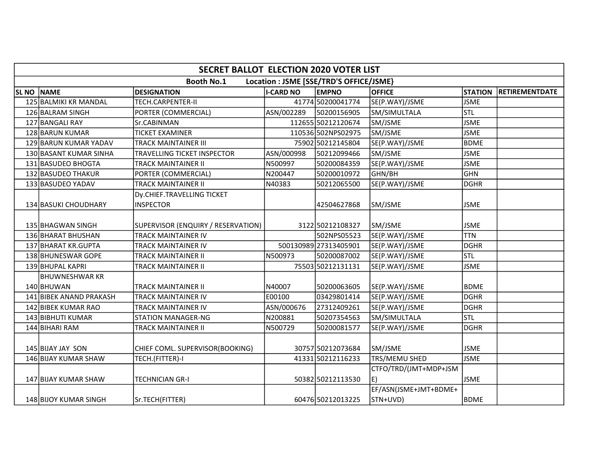|              | <b>SECRET BALLOT ELECTION 2020 VOTER LIST</b>                |                                                |                  |                       |                                    |                |                       |  |  |  |  |
|--------------|--------------------------------------------------------------|------------------------------------------------|------------------|-----------------------|------------------------------------|----------------|-----------------------|--|--|--|--|
|              | <b>Booth No.1</b><br>Location : JSME [SSE/TRD'S OFFICE/JSME} |                                                |                  |                       |                                    |                |                       |  |  |  |  |
| <b>SL NO</b> | <b>NAME</b>                                                  | <b>DESIGNATION</b>                             | <b>I-CARD NO</b> | <b>EMPNO</b>          | <b>OFFICE</b>                      | <b>STATION</b> | <b>RETIREMENTDATE</b> |  |  |  |  |
|              | 125 BALMIKI KR MANDAL                                        | TECH.CARPENTER-II                              |                  | 41774 50200041774     | SE(P.WAY)/JSME                     | <b>JSME</b>    |                       |  |  |  |  |
|              | 126 BALRAM SINGH                                             | PORTER (COMMERCIAL)                            | ASN/002289       | 50200156905           | SM/SIMULTALA                       | <b>STL</b>     |                       |  |  |  |  |
|              | 127 BANGALI RAY                                              | Sr.CABINMAN                                    |                  | 112655 50212120674    | SM/JSME                            | <b>JSME</b>    |                       |  |  |  |  |
|              | 128 BARUN KUMAR                                              | <b>TICKET EXAMINER</b>                         |                  | 110536 502NPS02975    | SM/JSME                            | <b>JSME</b>    |                       |  |  |  |  |
|              | 129 BARUN KUMAR YADAV                                        | TRACK MAINTAINER III                           |                  | 75902 50212145804     | SE(P.WAY)/JSME                     | <b>BDME</b>    |                       |  |  |  |  |
|              | 130 BASANT KUMAR SINHA                                       | TRAVELLING TICKET INSPECTOR                    | ASN/000998       | 50212099466           | SM/JSME                            | <b>JSME</b>    |                       |  |  |  |  |
|              | 131 BASUDEO BHOGTA                                           | TRACK MAINTAINER II                            | N500997          | 50200084359           | SE(P.WAY)/JSME                     | <b>JSME</b>    |                       |  |  |  |  |
|              | 132 BASUDEO THAKUR                                           | PORTER (COMMERCIAL)                            | N200447          | 50200010972           | GHN/BH                             | <b>GHN</b>     |                       |  |  |  |  |
|              | 133 BASUDEO YADAV                                            | <b>TRACK MAINTAINER II</b>                     | N40383           | 50212065500           | SE(P.WAY)/JSME                     | <b>DGHR</b>    |                       |  |  |  |  |
|              | 134 BASUKI CHOUDHARY                                         | Dy.CHIEF.TRAVELLING TICKET<br><b>INSPECTOR</b> |                  | 42504627868           | SM/JSME                            | <b>JSME</b>    |                       |  |  |  |  |
|              | 135 BHAGWAN SINGH                                            | SUPERVISOR (ENQUIRY / RESERVATION)             |                  | 3122 50212108327      | SM/JSME                            | <b>JSME</b>    |                       |  |  |  |  |
|              | 136 BHARAT BHUSHAN                                           | TRACK MAINTAINER IV                            |                  | 502NPS05523           | SE(P.WAY)/JSME                     | <b>TTN</b>     |                       |  |  |  |  |
|              | 137 BHARAT KR.GUPTA                                          | TRACK MAINTAINER IV                            |                  | 500130989 27313405901 | SE(P.WAY)/JSME                     | <b>DGHR</b>    |                       |  |  |  |  |
|              | 138 BHUNESWAR GOPE                                           | TRACK MAINTAINER II                            | N500973          | 50200087002           | SE(P.WAY)/JSME                     | <b>STL</b>     |                       |  |  |  |  |
|              | 139 BHUPAL KAPRI                                             | <b>TRACK MAINTAINER II</b>                     |                  | 75503 50212131131     | SE(P.WAY)/JSME                     | <b>JSME</b>    |                       |  |  |  |  |
|              | BHUWNESHWAR KR<br>140 BHUWAN                                 | TRACK MAINTAINER II                            | N40007           | 50200063605           | SE(P.WAY)/JSME                     | <b>BDME</b>    |                       |  |  |  |  |
|              | 141 BIBEK ANAND PRAKASH                                      | TRACK MAINTAINER IV                            | E00100           | 03429801414           | SE(P.WAY)/JSME                     | <b>DGHR</b>    |                       |  |  |  |  |
|              | 142 BIBEK KUMAR RAO                                          | TRACK MAINTAINER IV                            | ASN/000676       | 27312409261           | SE(P.WAY)/JSME                     | <b>DGHR</b>    |                       |  |  |  |  |
|              | 143 BIBHUTI KUMAR                                            | <b>STATION MANAGER-NG</b>                      | N200881          | 50207354563           | SM/SIMULTALA                       | Istl           |                       |  |  |  |  |
|              | 144 BIHARI RAM                                               | TRACK MAINTAINER II                            | N500729          | 50200081577           | SE(P.WAY)/JSME                     | <b>DGHR</b>    |                       |  |  |  |  |
|              | 145 BIJAY JAY SON                                            | CHIEF COML. SUPERVISOR(BOOKING)                |                  | 30757 50212073684     | SM/JSME                            | <b>JSME</b>    |                       |  |  |  |  |
|              | 146 BIJAY KUMAR SHAW                                         | TECH.(FITTER)-I                                |                  | 41331 50212116233     | TRS/MEMU SHED                      | <b>JSME</b>    |                       |  |  |  |  |
|              | 147 BIJAY KUMAR SHAW                                         | TECHNICIAN GR-I                                |                  | 50382 50212113530     | CTFO/TRD/(JMT+MDP+JSM<br>E)        | <b>JSME</b>    |                       |  |  |  |  |
|              | 148 BIJOY KUMAR SINGH                                        | Sr.TECH(FITTER)                                |                  | 60476 50212013225     | EF/ASN(JSME+JMT+BDME+<br> STN+UVD) | <b>BDME</b>    |                       |  |  |  |  |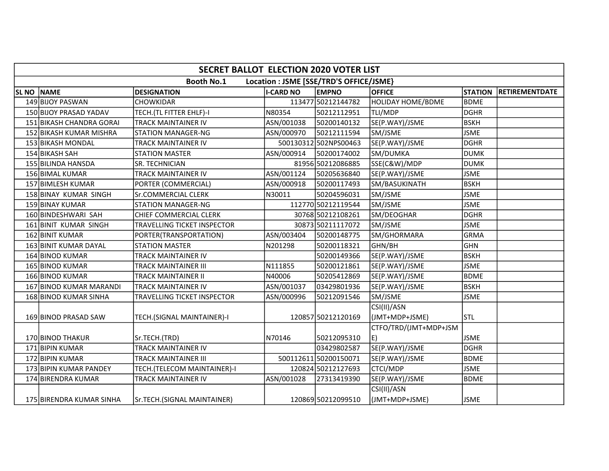|                                                              | <b>SECRET BALLOT ELECTION 2020 VOTER LIST</b> |                                    |                  |                       |                          |                |                       |  |  |  |
|--------------------------------------------------------------|-----------------------------------------------|------------------------------------|------------------|-----------------------|--------------------------|----------------|-----------------------|--|--|--|
| <b>Booth No.1</b><br>Location : JSME [SSE/TRD'S OFFICE/JSME} |                                               |                                    |                  |                       |                          |                |                       |  |  |  |
| <b>SL NO</b>                                                 | <b>NAME</b>                                   | <b>DESIGNATION</b>                 | <b>I-CARD NO</b> | <b>EMPNO</b>          | <b>OFFICE</b>            | <b>STATION</b> | <b>RETIREMENTDATE</b> |  |  |  |
|                                                              | 149 BIJOY PASWAN                              | <b>CHOWKIDAR</b>                   |                  | 113477 50212144782    | <b>HOLIDAY HOME/BDME</b> | BDME           |                       |  |  |  |
|                                                              | 150 BIJOY PRASAD YADAV                        | TECH.(TL FITTER EHLF)-I            | N80354           | 50212112951           | TLI/MDP                  | <b>DGHR</b>    |                       |  |  |  |
|                                                              | 151 BIKASH CHANDRA GORAI                      | TRACK MAINTAINER IV                | ASN/001038       | 50200140132           | SE(P.WAY)/JSME           | <b>BSKH</b>    |                       |  |  |  |
|                                                              | 152 BIKASH KUMAR MISHRA                       | <b>STATION MANAGER-NG</b>          | ASN/000970       | 50212111594           | SM/JSME                  | <b>JSME</b>    |                       |  |  |  |
|                                                              | 153 BIKASH MONDAL                             | <b>TRACK MAINTAINER IV</b>         |                  | 500130312 502NPS00463 | SE(P.WAY)/JSME           | <b>DGHR</b>    |                       |  |  |  |
|                                                              | 154 BIKASH SAH                                | <b>STATION MASTER</b>              | ASN/000914       | 50200174002           | SM/DUMKA                 | <b>DUMK</b>    |                       |  |  |  |
|                                                              | 155 BILINDA HANSDA                            | SR. TECHNICIAN                     |                  | 81956 50212086885     | SSE(C&W)/MDP             | <b>DUMK</b>    |                       |  |  |  |
|                                                              | 156 BIMAL KUMAR                               | <b>TRACK MAINTAINER IV</b>         | ASN/001124       | 50205636840           | SE(P.WAY)/JSME           | <b>JSME</b>    |                       |  |  |  |
|                                                              | 157 BIMLESH KUMAR                             | PORTER (COMMERCIAL)                | ASN/000918       | 50200117493           | SM/BASUKINATH            | <b>BSKH</b>    |                       |  |  |  |
|                                                              | 158 BINAY KUMAR SINGH                         | Sr.COMMERCIAL CLERK                | N30011           | 50204596031           | SM/JSME                  | <b>JSME</b>    |                       |  |  |  |
|                                                              | 159 BINAY KUMAR                               | <b>STATION MANAGER-NG</b>          |                  | 112770 50212119544    | SM/JSME                  | <b>JSME</b>    |                       |  |  |  |
|                                                              | 160 BINDESHWARI SAH                           | CHIEF COMMERCIAL CLERK             |                  | 30768 50212108261     | SM/DEOGHAR               | <b>DGHR</b>    |                       |  |  |  |
|                                                              | 161 BINIT KUMAR SINGH                         | <b>TRAVELLING TICKET INSPECTOR</b> |                  | 30873 50211117072     | SM/JSME                  | <b>JSME</b>    |                       |  |  |  |
|                                                              | 162 BINIT KUMAR                               | PORTER(TRANSPORTATION)             | ASN/003404       | 50200148775           | SM/GHORMARA              | GRMA           |                       |  |  |  |
|                                                              | 163 BINIT KUMAR DAYAL                         | <b>STATION MASTER</b>              | N201298          | 50200118321           | GHN/BH                   | GHN            |                       |  |  |  |
|                                                              | 164 BINOD KUMAR                               | TRACK MAINTAINER IV                |                  | 50200149366           | SE(P.WAY)/JSME           | <b>BSKH</b>    |                       |  |  |  |
|                                                              | 165 BINOD KUMAR                               | <b>TRACK MAINTAINER III</b>        | N111855          | 50200121861           | SE(P.WAY)/JSME           | <b>JSME</b>    |                       |  |  |  |
|                                                              | 166 BINOD KUMAR                               | <b>TRACK MAINTAINER II</b>         | N40006           | 50205412869           | SE(P.WAY)/JSME           | <b>BDME</b>    |                       |  |  |  |
|                                                              | 167 BINOD KUMAR MARANDI                       | <b>TRACK MAINTAINER IV</b>         | ASN/001037       | 03429801936           | SE(P.WAY)/JSME           | <b>BSKH</b>    |                       |  |  |  |
|                                                              | 168 BINOD KUMAR SINHA                         | TRAVELLING TICKET INSPECTOR        | ASN/000996       | 50212091546           | SM/JSME                  | <b>JSME</b>    |                       |  |  |  |
|                                                              |                                               |                                    |                  |                       | CSI(II)/ASN              |                |                       |  |  |  |
|                                                              | 169 BINOD PRASAD SAW                          | TECH.(SIGNAL MAINTAINER)-I         |                  | 120857 50212120169    | (JMT+MDP+JSME)           | <b>STL</b>     |                       |  |  |  |
|                                                              |                                               |                                    |                  |                       | CTFO/TRD/(JMT+MDP+JSM    |                |                       |  |  |  |
|                                                              | 170 BINOD THAKUR                              | Sr.TECH.(TRD)                      | N70146           | 50212095310           | E)                       | <b>JSME</b>    |                       |  |  |  |
|                                                              | 171 BIPIN KUMAR                               | <b>TRACK MAINTAINER IV</b>         |                  | 03429802587           | SE(P.WAY)/JSME           | <b>DGHR</b>    |                       |  |  |  |
|                                                              | 172 BIPIN KUMAR                               | <b>TRACK MAINTAINER III</b>        |                  | 500112611 50200150071 | SE(P.WAY)/JSME           | <b>BDME</b>    |                       |  |  |  |
|                                                              | 173 BIPIN KUMAR PANDEY                        | TECH.(TELECOM MAINTAINER)-I        |                  | 120824 50212127693    | <b>CTCI/MDP</b>          | <b>JSME</b>    |                       |  |  |  |
|                                                              | 174 BIRENDRA KUMAR                            | <b>TRACK MAINTAINER IV</b>         | ASN/001028       | 27313419390           | SE(P.WAY)/JSME           | <b>BDME</b>    |                       |  |  |  |
|                                                              |                                               |                                    |                  |                       | CSI(II)/ASN              |                |                       |  |  |  |
|                                                              | 175 BIRENDRA KUMAR SINHA                      | Sr.TECH.(SIGNAL MAINTAINER)        |                  | 120869 50212099510    | (JMT+MDP+JSME)           | <b>JSME</b>    |                       |  |  |  |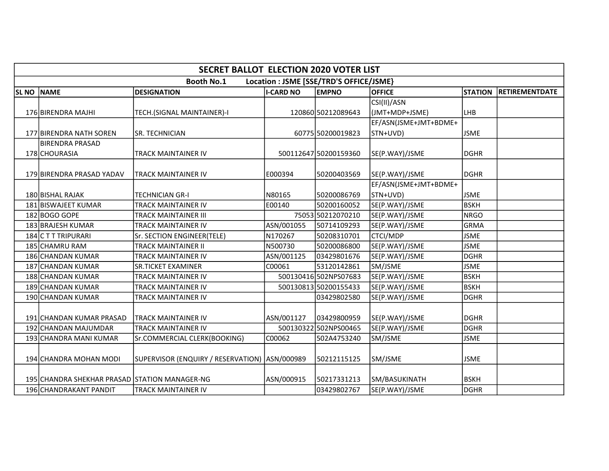|              | <b>SECRET BALLOT ELECTION 2020 VOTER LIST</b> |                                                 |                  |                                         |                       |                |                |  |  |  |
|--------------|-----------------------------------------------|-------------------------------------------------|------------------|-----------------------------------------|-----------------------|----------------|----------------|--|--|--|
|              |                                               | <b>Booth No.1</b>                               |                  | Location : JSME [SSE/TRD'S OFFICE/JSME} |                       |                |                |  |  |  |
| <b>SL NO</b> | <b>NAME</b>                                   | <b>DESIGNATION</b>                              | <b>I-CARD NO</b> | <b>EMPNO</b>                            | <b>OFFICE</b>         | <b>STATION</b> | RETIREMENTDATE |  |  |  |
|              |                                               |                                                 |                  |                                         | CSI(II)/ASN           |                |                |  |  |  |
|              | 176 BIRENDRA MAJHI                            | TECH.(SIGNAL MAINTAINER)-I                      |                  | 120860 50212089643                      | (JMT+MDP+JSME)        | LHB            |                |  |  |  |
|              |                                               |                                                 |                  |                                         | EF/ASN(JSME+JMT+BDME+ |                |                |  |  |  |
|              | <b>177 BIRENDRA NATH SOREN</b>                | <b>SR. TECHNICIAN</b>                           |                  | 60775 50200019823                       | STN+UVD)              | <b>JSME</b>    |                |  |  |  |
|              | IBIRENDRA PRASAD                              |                                                 |                  |                                         |                       |                |                |  |  |  |
|              | 178 CHOURASIA                                 | TRACK MAINTAINER IV                             |                  | 500112647 50200159360                   | SE(P.WAY)/JSME        | <b>DGHR</b>    |                |  |  |  |
|              |                                               |                                                 |                  |                                         |                       |                |                |  |  |  |
|              | 179 BIRENDRA PRASAD YADAV                     | TRACK MAINTAINER IV                             | E000394          | 50200403569                             | SE(P.WAY)/JSME        | <b>DGHR</b>    |                |  |  |  |
|              |                                               |                                                 |                  |                                         | EF/ASN(JSME+JMT+BDME+ |                |                |  |  |  |
|              | 180 BISHAL RAJAK                              | <b>TECHNICIAN GR-I</b>                          | N80165           | 50200086769                             | STN+UVD)              | <b>JSME</b>    |                |  |  |  |
|              | 181 BISWAJEET KUMAR                           | TRACK MAINTAINER IV                             | E00140           | 50200160052                             | SE(P.WAY)/JSME        | <b>BSKH</b>    |                |  |  |  |
|              | 182 BOGO GOPE                                 | TRACK MAINTAINER III                            |                  | 75053 50212070210                       | SE(P.WAY)/JSME        | NRGO           |                |  |  |  |
|              | 183 BRAJESH KUMAR                             | TRACK MAINTAINER IV                             | ASN/001055       | 50714109293                             | SE(P.WAY)/JSME        | GRMA           |                |  |  |  |
|              | 184 C T T TRIPURARI                           | Sr. SECTION ENGINEER(TELE)                      | N170267          | 50208310701                             | <b>CTCI/MDP</b>       | <b>JSME</b>    |                |  |  |  |
|              | 185 CHAMRU RAM                                | TRACK MAINTAINER II                             | N500730          | 50200086800                             | SE(P.WAY)/JSME        | <b>JSME</b>    |                |  |  |  |
|              | 186 CHANDAN KUMAR                             | TRACK MAINTAINER IV                             | ASN/001125       | 03429801676                             | SE(P.WAY)/JSME        | <b>DGHR</b>    |                |  |  |  |
|              | 187 CHANDAN KUMAR                             | <b>SR.TICKET EXAMINER</b>                       | C00061           | 53120142861                             | SM/JSME               | <b>JSME</b>    |                |  |  |  |
|              | 188 CHANDAN KUMAR                             | TRACK MAINTAINER IV                             |                  | 500130416 502NPS07683                   | SE(P.WAY)/JSME        | <b>BSKH</b>    |                |  |  |  |
|              | 189 CHANDAN KUMAR                             | <b>TRACK MAINTAINER IV</b>                      |                  | 500130813 50200155433                   | SE(P.WAY)/JSME        | <b>BSKH</b>    |                |  |  |  |
|              | 190 CHANDAN KUMAR                             | TRACK MAINTAINER IV                             |                  | 03429802580                             | SE(P.WAY)/JSME        | <b>DGHR</b>    |                |  |  |  |
|              |                                               |                                                 |                  |                                         |                       |                |                |  |  |  |
|              | 191 CHANDAN KUMAR PRASAD                      | <b>TRACK MAINTAINER IV</b>                      | ASN/001127       | 03429800959                             | SE(P.WAY)/JSME        | <b>DGHR</b>    |                |  |  |  |
|              | 192 CHANDAN MAJUMDAR                          | TRACK MAINTAINER IV                             |                  | 500130322502NPS00465                    | SE(P.WAY)/JSME        | <b>DGHR</b>    |                |  |  |  |
|              | 193 CHANDRA MANI KUMAR                        | Sr.COMMERCIAL CLERK(BOOKING)                    | C00062           | 502A4753240                             | SM/JSME               | <b>JSME</b>    |                |  |  |  |
|              |                                               |                                                 |                  |                                         |                       |                |                |  |  |  |
|              | 194 CHANDRA MOHAN MODI                        | SUPERVISOR (ENQUIRY / RESERVATION)   ASN/000989 |                  | 50212115125                             | SM/JSME               | <b>JSME</b>    |                |  |  |  |
|              |                                               |                                                 |                  |                                         |                       |                |                |  |  |  |
|              | 195 CHANDRA SHEKHAR PRASAD STATION MANAGER-NG |                                                 | ASN/000915       | 50217331213                             | SM/BASUKINATH         | <b>BSKH</b>    |                |  |  |  |
|              | 196 CHANDRAKANT PANDIT                        | TRACK MAINTAINER IV                             |                  | 03429802767                             | SE(P.WAY)/JSME        | DGHR           |                |  |  |  |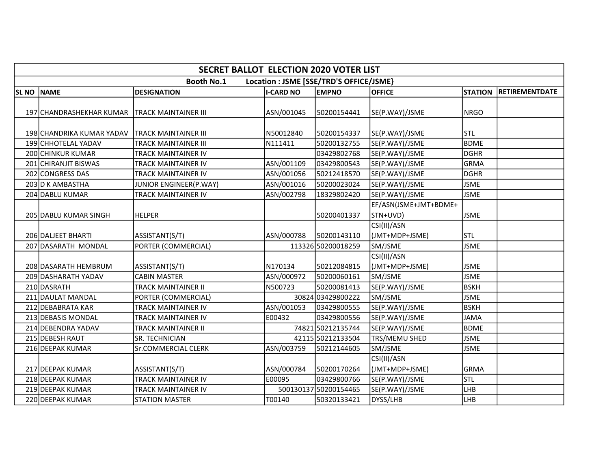|              | <b>SECRET BALLOT ELECTION 2020 VOTER LIST</b>                |                             |                  |                       |                       |                |                       |  |  |  |  |
|--------------|--------------------------------------------------------------|-----------------------------|------------------|-----------------------|-----------------------|----------------|-----------------------|--|--|--|--|
|              | <b>Booth No.1</b><br>Location : JSME [SSE/TRD'S OFFICE/JSME} |                             |                  |                       |                       |                |                       |  |  |  |  |
| <b>SL NO</b> | <b>NAME</b>                                                  | <b>DESIGNATION</b>          | <b>I-CARD NO</b> | <b>EMPNO</b>          | <b>OFFICE</b>         | <b>STATION</b> | <b>RETIREMENTDATE</b> |  |  |  |  |
|              |                                                              |                             |                  |                       |                       |                |                       |  |  |  |  |
|              | 197 CHANDRASHEKHAR KUMAR                                     | <b>TRACK MAINTAINER III</b> | ASN/001045       | 50200154441           | SE(P.WAY)/JSME        | NRGO           |                       |  |  |  |  |
|              |                                                              |                             |                  |                       |                       |                |                       |  |  |  |  |
|              | 198 CHANDRIKA KUMAR YADAV                                    | İTRACK MAINTAINER III       | N50012840        | 50200154337           | SE(P.WAY)/JSME        | <b>ISTL</b>    |                       |  |  |  |  |
|              | 199 CHHOTELAL YADAV                                          | <b>TRACK MAINTAINER III</b> | N111411          | 50200132755           | SE(P.WAY)/JSME        | Іврме          |                       |  |  |  |  |
|              | 200 CHINKUR KUMAR                                            | <b>TRACK MAINTAINER IV</b>  |                  | 03429802768           | SE(P.WAY)/JSME        | DGHR           |                       |  |  |  |  |
|              | 201 CHIRANJIT BISWAS                                         | TRACK MAINTAINER IV         | ASN/001109       | 03429800543           | SE(P.WAY)/JSME        | GRMA           |                       |  |  |  |  |
|              | 202 CONGRESS DAS                                             | <b>TRACK MAINTAINER IV</b>  | ASN/001056       | 50212418570           | SE(P.WAY)/JSME        | <b>DGHR</b>    |                       |  |  |  |  |
|              | 203 D K AMBASTHA                                             | JUNIOR ENGINEER(P.WAY)      | ASN/001016       | 50200023024           | SE(P.WAY)/JSME        | <b>JSME</b>    |                       |  |  |  |  |
|              | 204 DABLU KUMAR                                              | <b>TRACK MAINTAINER IV</b>  | ASN/002798       | 18329802420           | SE(P.WAY)/JSME        | <b>JSME</b>    |                       |  |  |  |  |
|              |                                                              |                             |                  |                       | EF/ASN(JSME+JMT+BDME+ |                |                       |  |  |  |  |
|              | 205 DABLU KUMAR SINGH                                        | <b>HELPER</b>               |                  | 50200401337           | STN+UVD)              | <b>JSME</b>    |                       |  |  |  |  |
|              |                                                              |                             |                  |                       | CSI(II)/ASN           |                |                       |  |  |  |  |
|              | 206 DALJEET BHARTI                                           | ASSISTANT(S/T)              | ASN/000788       | 50200143110           | (JMT+MDP+JSME)        | <b>STL</b>     |                       |  |  |  |  |
|              | 207 DASARATH MONDAL                                          | PORTER (COMMERCIAL)         |                  | 113326 50200018259    | SM/JSME               | <b>JSME</b>    |                       |  |  |  |  |
|              |                                                              |                             |                  |                       | CSI(II)/ASN           |                |                       |  |  |  |  |
|              | 208 DASARATH HEMBRUM                                         | ASSISTANT(S/T)              | N170134          | 50212084815           | (JMT+MDP+JSME)        | <b>JSME</b>    |                       |  |  |  |  |
|              | 209 DASHARATH YADAV                                          | <b>CABIN MASTER</b>         | ASN/000972       | 50200060161           | SM/JSME               | <b>JSME</b>    |                       |  |  |  |  |
|              | 210 DASRATH                                                  | <b>TRACK MAINTAINER II</b>  | N500723          | 50200081413           | SE(P.WAY)/JSME        | <b>BSKH</b>    |                       |  |  |  |  |
|              | 211 DAULAT MANDAL                                            | PORTER (COMMERCIAL)         |                  | 30824 03429800222     | SM/JSME               | <b>JSME</b>    |                       |  |  |  |  |
|              | 212 DEBABRATA KAR                                            | TRACK MAINTAINER IV         | ASN/001053       | 03429800555           | SE(P.WAY)/JSME        | <b>BSKH</b>    |                       |  |  |  |  |
|              | 213 DEBASIS MONDAL                                           | TRACK MAINTAINER IV         | E00432           | 03429800556           | SE(P.WAY)/JSME        | <b>JAMA</b>    |                       |  |  |  |  |
|              | 214 DEBENDRA YADAV                                           | <b>TRACK MAINTAINER II</b>  |                  | 74821 50212135744     | SE(P.WAY)/JSME        | <b>BDME</b>    |                       |  |  |  |  |
|              | 215 DEBESH RAUT                                              | <b>SR. TECHNICIAN</b>       |                  | 42115 50212133504     | TRS/MEMU SHED         | <b>JSME</b>    |                       |  |  |  |  |
|              | 216 DEEPAK KUMAR                                             | Sr.COMMERCIAL CLERK         | ASN/003759       | 50212144605           | SM/JSME               | <b>JSME</b>    |                       |  |  |  |  |
|              |                                                              |                             |                  |                       | CSI(II)/ASN           |                |                       |  |  |  |  |
|              | 217 DEEPAK KUMAR                                             | ASSISTANT(S/T)              | ASN/000784       | 50200170264           | (JMT+MDP+JSME)        | lGRMA          |                       |  |  |  |  |
|              | 218 DEEPAK KUMAR                                             | <b>TRACK MAINTAINER IV</b>  | E00095           | 03429800766           | SE(P.WAY)/JSME        | <b>STL</b>     |                       |  |  |  |  |
|              | 219 DEEPAK KUMAR                                             | TRACK MAINTAINER IV         |                  | 500130137 50200154465 | SE(P.WAY)/JSME        | LHB            |                       |  |  |  |  |
|              | 220 DEEPAK KUMAR                                             | <b>STATION MASTER</b>       | T00140           | 50320133421           | DYSS/LHB              | LHB            |                       |  |  |  |  |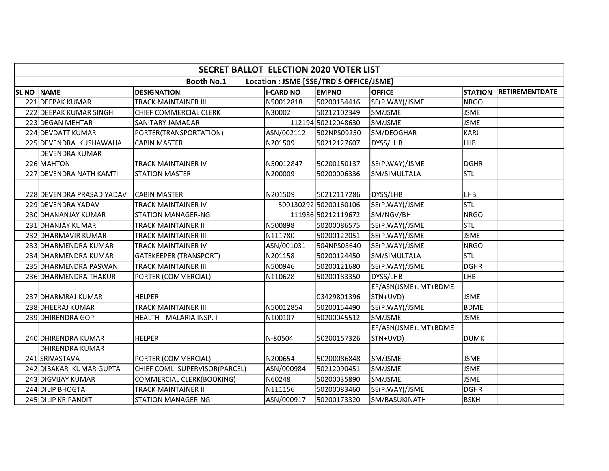|                  |                                                              | <b>SECRET BALLOT ELECTION 2020 VOTER LIST</b> |                  |                       |                       |                |                       |  |  |  |
|------------------|--------------------------------------------------------------|-----------------------------------------------|------------------|-----------------------|-----------------------|----------------|-----------------------|--|--|--|
|                  | <b>Booth No.1</b><br>Location : JSME [SSE/TRD'S OFFICE/JSME} |                                               |                  |                       |                       |                |                       |  |  |  |
| SL <sub>NO</sub> | NAME                                                         | <b>DESIGNATION</b>                            | <b>I-CARD NO</b> | <b>EMPNO</b>          | <b>OFFICE</b>         | <b>STATION</b> | <b>RETIREMENTDATE</b> |  |  |  |
|                  | 221 DEEPAK KUMAR                                             | <b>TRACK MAINTAINER III</b>                   | N50012818        | 50200154416           | SE(P.WAY)/JSME        | <b>NRGO</b>    |                       |  |  |  |
|                  | 222 DEEPAK KUMAR SINGH                                       | CHIEF COMMERCIAL CLERK                        | N30002           | 50212102349           | SM/JSME               | <b>JSME</b>    |                       |  |  |  |
|                  | 223 DEGAN MEHTAR                                             | SANITARY JAMADAR                              |                  | 112194 50212048630    | SM/JSME               | <b>JSME</b>    |                       |  |  |  |
|                  | 224 DEVDATT KUMAR                                            | PORTER(TRANSPORTATION)                        | ASN/002112       | 502NPS09250           | SM/DEOGHAR            | <b>KARJ</b>    |                       |  |  |  |
|                  | 225 DEVENDRA KUSHAWAHA                                       | <b>CABIN MASTER</b>                           | N201509          | 50212127607           | DYSS/LHB              | <b>LHB</b>     |                       |  |  |  |
|                  | <b>DEVENDRA KUMAR</b>                                        |                                               |                  |                       |                       |                |                       |  |  |  |
|                  | 226 MAHTON                                                   | <b>TRACK MAINTAINER IV</b>                    | N50012847        | 50200150137           | SE(P.WAY)/JSME        | <b>DGHR</b>    |                       |  |  |  |
|                  | 227 DEVENDRA NATH KAMTI                                      | <b>STATION MASTER</b>                         | N200009          | 50200006336           | SM/SIMULTALA          | Istl           |                       |  |  |  |
|                  |                                                              |                                               |                  |                       |                       |                |                       |  |  |  |
|                  | 228 DEVENDRA PRASAD YADAV                                    | <b>CABIN MASTER</b>                           | N201509          | 50212117286           | DYSS/LHB              | <b>LHB</b>     |                       |  |  |  |
|                  | 229 DEVENDRA YADAV                                           | <b>TRACK MAINTAINER IV</b>                    |                  | 500130292 50200160106 | SE(P.WAY)/JSME        | Istl           |                       |  |  |  |
|                  | 230 DHANANJAY KUMAR                                          | <b>STATION MANAGER-NG</b>                     |                  | 111986 50212119672    | SM/NGV/BH             | <b>NRGO</b>    |                       |  |  |  |
|                  | 231 DHANJAY KUMAR                                            | <b>TRACK MAINTAINER II</b>                    | N500898          | 50200086575           | SE(P.WAY)/JSME        | Istl           |                       |  |  |  |
|                  | 232 DHARMAVIR KUMAR                                          | <b>TRACK MAINTAINER III</b>                   | N111780          | 50200122051           | SE(P.WAY)/JSME        | <b>JSME</b>    |                       |  |  |  |
|                  | 233 DHARMENDRA KUMAR                                         | <b>TRACK MAINTAINER IV</b>                    | ASN/001031       | 504NPS03640           | SE(P.WAY)/JSME        | <b>NRGO</b>    |                       |  |  |  |
|                  | 234 DHARMENDRA KUMAR                                         | <b>GATEKEEPER (TRANSPORT)</b>                 | N201158          | 50200124450           | SM/SIMULTALA          | <b>STL</b>     |                       |  |  |  |
|                  | 235 DHARMENDRA PASWAN                                        | <b>TRACK MAINTAINER III</b>                   | N500946          | 50200121680           | SE(P.WAY)/JSME        | <b>DGHR</b>    |                       |  |  |  |
|                  | 236 DHARMENDRA THAKUR                                        | PORTER (COMMERCIAL)                           | N110628          | 50200183350           | DYSS/LHB              | LHB            |                       |  |  |  |
|                  |                                                              |                                               |                  |                       | EF/ASN(JSME+JMT+BDME+ |                |                       |  |  |  |
|                  | 237 IDHARMRAJ KUMAR                                          | <b>HELPER</b>                                 |                  | 03429801396           | STN+UVD)              | <b>JSME</b>    |                       |  |  |  |
|                  | 238 DHEERAJ KUMAR                                            | <b>TRACK MAINTAINER III</b>                   | N50012854        | 50200154490           | SE(P.WAY)/JSME        | <b>BDME</b>    |                       |  |  |  |
|                  | 239 DHIRENDRA GOP                                            | HEALTH - MALARIA INSP.-I                      | N100107          | 50200045512           | SM/JSME               | <b>JSME</b>    |                       |  |  |  |
|                  |                                                              |                                               |                  |                       | EF/ASN(JSME+JMT+BDME+ |                |                       |  |  |  |
|                  | 240 DHIRENDRA KUMAR                                          | <b>HELPER</b>                                 | N-80504          | 50200157326           | STN+UVD)              | <b>DUMK</b>    |                       |  |  |  |
|                  | <b>DHIRENDRA KUMAR</b>                                       |                                               |                  |                       |                       |                |                       |  |  |  |
|                  | 241 SRIVASTAVA                                               | PORTER (COMMERCIAL)                           | N200654          | 50200086848           | SM/JSME               | <b>JSME</b>    |                       |  |  |  |
|                  | 242 DIBAKAR KUMAR GUPTA                                      | CHIEF COML. SUPERVISOR(PARCEL)                | ASN/000984       | 50212090451           | SM/JSME               | <b>JSME</b>    |                       |  |  |  |
|                  | 243 DIGVIJAY KUMAR                                           | COMMERCIAL CLERK(BOOKING)                     | N60248           | 50200035890           | SM/JSME               | <b>JSME</b>    |                       |  |  |  |
|                  | 244 DILIP BHOGTA                                             | <b>TRACK MAINTAINER II</b>                    | N111156          | 50200083460           | SE(P.WAY)/JSME        | <b>DGHR</b>    |                       |  |  |  |
|                  | 245 DILIP KR PANDIT                                          | <b>STATION MANAGER-NG</b>                     | ASN/000917       | 50200173320           | SM/BASUKINATH         | <b>BSKH</b>    |                       |  |  |  |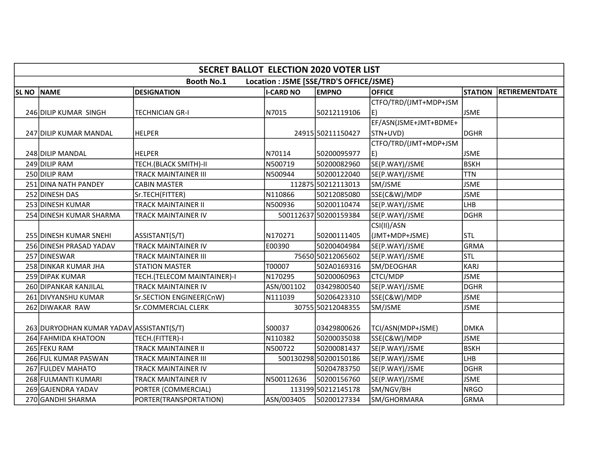|              | <b>SECRET BALLOT ELECTION 2020 VOTER LIST</b>                |                             |                  |                       |                       |                |                       |  |  |  |  |
|--------------|--------------------------------------------------------------|-----------------------------|------------------|-----------------------|-----------------------|----------------|-----------------------|--|--|--|--|
|              | <b>Booth No.1</b><br>Location : JSME [SSE/TRD'S OFFICE/JSME} |                             |                  |                       |                       |                |                       |  |  |  |  |
| <b>SL NO</b> | <b>NAME</b>                                                  | <b>DESIGNATION</b>          | <b>I-CARD NO</b> | <b>EMPNO</b>          | <b>OFFICE</b>         | <b>STATION</b> | <b>RETIREMENTDATE</b> |  |  |  |  |
|              |                                                              |                             |                  |                       | CTFO/TRD/(JMT+MDP+JSM |                |                       |  |  |  |  |
|              | 246 DILIP KUMAR SINGH                                        | TECHNICIAN GR-I             | N7015            | 50212119106           | E)                    | <b>JSME</b>    |                       |  |  |  |  |
|              |                                                              |                             |                  |                       | EF/ASN(JSME+JMT+BDME+ |                |                       |  |  |  |  |
|              | 247 DILIP KUMAR MANDAL                                       | <b>HELPER</b>               |                  | 24915 50211150427     | STN+UVD)              | DGHR           |                       |  |  |  |  |
|              |                                                              |                             |                  |                       | CTFO/TRD/(JMT+MDP+JSM |                |                       |  |  |  |  |
|              | 248 DILIP MANDAL                                             | <b>HELPER</b>               | N70114           | 50200095977           | E)                    | <b>JSME</b>    |                       |  |  |  |  |
|              | 249 DILIP RAM                                                | TECH.(BLACK SMITH)-II       | N500719          | 50200082960           | SE(P.WAY)/JSME        | <b>BSKH</b>    |                       |  |  |  |  |
|              | 250 DILIP RAM                                                | <b>TRACK MAINTAINER III</b> | N500944          | 50200122040           | SE(P.WAY)/JSME        | <b>TTN</b>     |                       |  |  |  |  |
|              | 251 DINA NATH PANDEY                                         | <b>CABIN MASTER</b>         |                  | 112875 50212113013    | SM/JSME               | <b>JSME</b>    |                       |  |  |  |  |
|              | 252 DINESH DAS                                               | Sr.TECH(FITTER)             | N110866          | 50212085080           | SSE(C&W)/MDP          | <b>JSME</b>    |                       |  |  |  |  |
|              | 253 DINESH KUMAR                                             | TRACK MAINTAINER II         | N500936          | 50200110474           | SE(P.WAY)/JSME        | LHB            |                       |  |  |  |  |
|              | 254 DINESH KUMAR SHARMA                                      | TRACK MAINTAINER IV         |                  | 500112637 50200159384 | SE(P.WAY)/JSME        | <b>DGHR</b>    |                       |  |  |  |  |
|              |                                                              |                             |                  |                       | CSI(II)/ASN           |                |                       |  |  |  |  |
|              | <b>255 DINESH KUMAR SNEHI</b>                                | ASSISTANT(S/T)              | N170271          | 50200111405           | (JMT+MDP+JSME)        | lstl           |                       |  |  |  |  |
|              | 256 DINESH PRASAD YADAV                                      | TRACK MAINTAINER IV         | E00390           | 50200404984           | SE(P.WAY)/JSME        | <b>GRMA</b>    |                       |  |  |  |  |
|              | 257 DINESWAR                                                 | <b>TRACK MAINTAINER III</b> |                  | 75650 50212065602     | SE(P.WAY)/JSME        | Istl           |                       |  |  |  |  |
|              | 258 DINKAR KUMAR JHA                                         | <b>STATION MASTER</b>       | T00007           | 502A0169316           | SM/DEOGHAR            | <b>KARJ</b>    |                       |  |  |  |  |
|              | 259 DIPAK KUMAR                                              | TECH.(TELECOM MAINTAINER)-I | N170295          | 50200060963           | CTCI/MDP              | <b>JSME</b>    |                       |  |  |  |  |
|              | 260 DIPANKAR KANJILAL                                        | TRACK MAINTAINER IV         | ASN/001102       | 03429800540           | SE(P.WAY)/JSME        | <b>DGHR</b>    |                       |  |  |  |  |
|              | 261 DIVYANSHU KUMAR                                          | Sr.SECTION ENGINEER(CnW)    | N111039          | 50206423310           | SSE(C&W)/MDP          | <b>JSME</b>    |                       |  |  |  |  |
|              | 262 DIWAKAR RAW                                              | <b>Sr.COMMERCIAL CLERK</b>  |                  | 30755 50212048355     | SM/JSME               | <b>JSME</b>    |                       |  |  |  |  |
|              |                                                              |                             |                  |                       |                       |                |                       |  |  |  |  |
|              | 263 DURYODHAN KUMAR YADAV ASSISTANT (S/T)                    |                             | S00037           | 03429800626           | TCI/ASN(MDP+JSME)     | <b>DMKA</b>    |                       |  |  |  |  |
|              | 264 FAHMIDA KHATOON                                          | TECH.(FITTER)-I             | N110382          | 50200035038           | SSE(C&W)/MDP          | <b>JSME</b>    |                       |  |  |  |  |
|              | 265 FEKU RAM                                                 | <b>TRACK MAINTAINER II</b>  | N500722          | 50200081437           | SE(P.WAY)/JSME        | <b>BSKH</b>    |                       |  |  |  |  |
|              | 266 FUL KUMAR PASWAN                                         | TRACK MAINTAINER III        |                  | 500130298 50200150186 | SE(P.WAY)/JSME        | <b>LHB</b>     |                       |  |  |  |  |
|              | 267 FULDEV MAHATO                                            | TRACK MAINTAINER IV         |                  | 50204783750           | SE(P.WAY)/JSME        | <b>DGHR</b>    |                       |  |  |  |  |
|              | 268 FULMANTI KUMARI                                          | TRACK MAINTAINER IV         | N500112636       | 50200156760           | SE(P.WAY)/JSME        | <b>JSME</b>    |                       |  |  |  |  |
|              | 269 GAJENDRA YADAV                                           | PORTER (COMMERCIAL)         |                  | 113199 50212145178    | SM/NGV/BH             | <b>NRGO</b>    |                       |  |  |  |  |
|              | 270 GANDHI SHARMA                                            | PORTER(TRANSPORTATION)      | ASN/003405       | 50200127334           | SM/GHORMARA           | GRMA           |                       |  |  |  |  |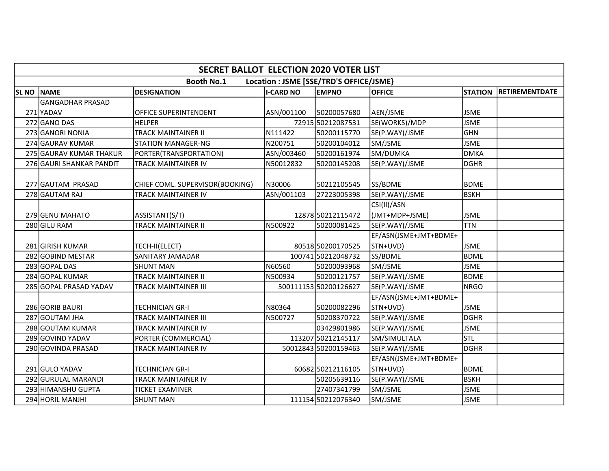|                   | <b>SECRET BALLOT ELECTION 2020 VOTER LIST</b>                |                                 |                  |                       |                       |                |                       |  |  |  |  |
|-------------------|--------------------------------------------------------------|---------------------------------|------------------|-----------------------|-----------------------|----------------|-----------------------|--|--|--|--|
|                   | Location : JSME [SSE/TRD'S OFFICE/JSME}<br><b>Booth No.1</b> |                                 |                  |                       |                       |                |                       |  |  |  |  |
| <b>SL NO NAME</b> |                                                              | <b>DESIGNATION</b>              | <b>I-CARD NO</b> | <b>EMPNO</b>          | <b>OFFICE</b>         | <b>STATION</b> | <b>RETIREMENTDATE</b> |  |  |  |  |
|                   | <b>GANGADHAR PRASAD</b>                                      |                                 |                  |                       |                       |                |                       |  |  |  |  |
|                   | 271 YADAV                                                    | OFFICE SUPERINTENDENT           | ASN/001100       | 50200057680           | AEN/JSME              | <b>JSME</b>    |                       |  |  |  |  |
|                   | 272 GANO DAS                                                 | <b>HELPER</b>                   |                  | 72915 50212087531     | SE(WORKS)/MDP         | <b>JSME</b>    |                       |  |  |  |  |
|                   | 273 GANORI NONIA                                             | <b>TRACK MAINTAINER II</b>      | N111422          | 50200115770           | SE(P.WAY)/JSME        | GHN            |                       |  |  |  |  |
|                   | 274 GAURAV KUMAR                                             | <b>STATION MANAGER-NG</b>       | N200751          | 50200104012           | SM/JSME               | <b>JSME</b>    |                       |  |  |  |  |
|                   | 275 GAURAV KUMAR THAKUR                                      | PORTER(TRANSPORTATION)          | ASN/003460       | 50200161974           | SM/DUMKA              | <b>DMKA</b>    |                       |  |  |  |  |
|                   | 276 GAURI SHANKAR PANDIT                                     | <b>TRACK MAINTAINER IV</b>      | N50012832        | 50200145208           | SE(P.WAY)/JSME        | <b>DGHR</b>    |                       |  |  |  |  |
|                   |                                                              |                                 |                  |                       |                       |                |                       |  |  |  |  |
|                   | 277 GAUTAM PRASAD                                            | CHIEF COML. SUPERVISOR(BOOKING) | N30006           | 50212105545           | SS/BDME               | <b>BDME</b>    |                       |  |  |  |  |
|                   | 278 GAUTAM RAJ                                               | <b>TRACK MAINTAINER IV</b>      | ASN/001103       | 27223005398           | SE(P.WAY)/JSME        | BSKH           |                       |  |  |  |  |
|                   |                                                              |                                 |                  |                       | CSI(II)/ASN           |                |                       |  |  |  |  |
|                   | 279 GENU MAHATO                                              | ASSISTANT(S/T)                  |                  | 12878 50212115472     | (JMT+MDP+JSME)        | <b>JSME</b>    |                       |  |  |  |  |
|                   | 280 GILU RAM                                                 | <b>TRACK MAINTAINER II</b>      | N500922          | 50200081425           | SE(P.WAY)/JSME        | <b>TTN</b>     |                       |  |  |  |  |
|                   |                                                              |                                 |                  |                       | EF/ASN(JSME+JMT+BDME+ |                |                       |  |  |  |  |
|                   | 281 GIRISH KUMAR                                             | TECH-II(ELECT)                  |                  | 80518 50200170525     | STN+UVD)              | <b>JSME</b>    |                       |  |  |  |  |
|                   | 282 GOBIND MESTAR                                            | SANITARY JAMADAR                |                  | 100741 50212048732    | SS/BDME               | <b>BDME</b>    |                       |  |  |  |  |
|                   | 283 GOPAL DAS                                                | <b>SHUNT MAN</b>                | N60560           | 50200093968           | SM/JSME               | <b>JSME</b>    |                       |  |  |  |  |
|                   | 284 GOPAL KUMAR                                              | <b>TRACK MAINTAINER II</b>      | N500934          | 50200121757           | SE(P.WAY)/JSME        | lbdme          |                       |  |  |  |  |
|                   | 285 GOPAL PRASAD YADAV                                       | <b>TRACK MAINTAINER III</b>     |                  | 500111153 50200126627 | SE(P.WAY)/JSME        | NRGO           |                       |  |  |  |  |
|                   |                                                              |                                 |                  |                       | EF/ASN(JSME+JMT+BDME+ |                |                       |  |  |  |  |
|                   | 286 GORIB BAURI                                              | <b>TECHNICIAN GR-I</b>          | N80364           | 50200082296           | STN+UVD)              | <b>JSME</b>    |                       |  |  |  |  |
|                   | 287 GOUTAM JHA                                               | <b>TRACK MAINTAINER III</b>     | N500727          | 50208370722           | SE(P.WAY)/JSME        | <b>DGHR</b>    |                       |  |  |  |  |
|                   | 288 GOUTAM KUMAR                                             | <b>TRACK MAINTAINER IV</b>      |                  | 03429801986           | SE(P.WAY)/JSME        | <b>JSME</b>    |                       |  |  |  |  |
|                   | 289 GOVIND YADAV                                             | PORTER (COMMERCIAL)             |                  | 113207 50212145117    | SM/SIMULTALA          | <b>STL</b>     |                       |  |  |  |  |
|                   | 290 GOVINDA PRASAD                                           | <b>TRACK MAINTAINER IV</b>      |                  | 50012843 50200159463  | SE(P.WAY)/JSME        | DGHR           |                       |  |  |  |  |
|                   |                                                              |                                 |                  |                       | EF/ASN(JSME+JMT+BDME+ |                |                       |  |  |  |  |
|                   | 291 GULO YADAV                                               | <b>TECHNICIAN GR-I</b>          |                  | 60682 50212116105     | STN+UVD)              | BDME           |                       |  |  |  |  |
|                   | 292 GURULAL MARANDI                                          | TRACK MAINTAINER IV             |                  | 50205639116           | SE(P.WAY)/JSME        | <b>BSKH</b>    |                       |  |  |  |  |
|                   | 293 HIMANSHU GUPTA                                           | <b>TICKET EXAMINER</b>          |                  | 27407341799           | SM/JSME               | <b>JSME</b>    |                       |  |  |  |  |
|                   | 294 HORIL MANJHI                                             | <b>SHUNT MAN</b>                |                  | 111154 50212076340    | SM/JSME               | <b>JSME</b>    |                       |  |  |  |  |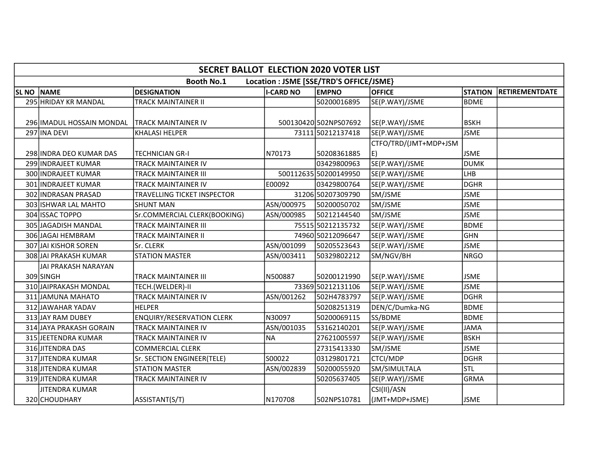|                  | <b>SECRET BALLOT ELECTION 2020 VOTER LIST</b>                |                                  |                  |                       |                       |                |                       |  |  |  |  |
|------------------|--------------------------------------------------------------|----------------------------------|------------------|-----------------------|-----------------------|----------------|-----------------------|--|--|--|--|
|                  | <b>Booth No.1</b><br>Location : JSME [SSE/TRD'S OFFICE/JSME} |                                  |                  |                       |                       |                |                       |  |  |  |  |
| SL <sub>NO</sub> | <b>NAME</b>                                                  | <b>DESIGNATION</b>               | <b>I-CARD NO</b> | <b>EMPNO</b>          | <b>OFFICE</b>         | <b>STATION</b> | <b>RETIREMENTDATE</b> |  |  |  |  |
|                  | 295 HRIDAY KR MANDAL                                         | TRACK MAINTAINER II              |                  | 50200016895           | SE(P.WAY)/JSME        | <b>BDME</b>    |                       |  |  |  |  |
|                  |                                                              |                                  |                  |                       |                       |                |                       |  |  |  |  |
|                  | 296 IMADUL HOSSAIN MONDAL                                    | <b>TRACK MAINTAINER IV</b>       |                  | 500130420 502NPS07692 | SE(P.WAY)/JSME        | <b>BSKH</b>    |                       |  |  |  |  |
|                  | 297 INA DEVI                                                 | <b>KHALASI HELPER</b>            |                  | 73111 50212137418     | SE(P.WAY)/JSME        | <b>JSME</b>    |                       |  |  |  |  |
|                  |                                                              |                                  |                  |                       | CTFO/TRD/(JMT+MDP+JSM |                |                       |  |  |  |  |
|                  | 298 INDRA DEO KUMAR DAS                                      | TECHNICIAN GR-I                  | N70173           | 50208361885           | E)                    | <b>JSME</b>    |                       |  |  |  |  |
|                  | 299 INDRAJEET KUMAR                                          | TRACK MAINTAINER IV              |                  | 03429800963           | SE(P.WAY)/JSME        | DUMK           |                       |  |  |  |  |
|                  | 300 INDRAJEET KUMAR                                          | <b>TRACK MAINTAINER III</b>      |                  | 500112635 50200149950 | SE(P.WAY)/JSME        | Ігнв           |                       |  |  |  |  |
|                  | 301 INDRAJEET KUMAR                                          | TRACK MAINTAINER IV              | E00092           | 03429800764           | SE(P.WAY)/JSME        | DGHR           |                       |  |  |  |  |
|                  | 302 INDRASAN PRASAD                                          | TRAVELLING TICKET INSPECTOR      |                  | 31206 50207309790     | SM/JSME               | <b>JSME</b>    |                       |  |  |  |  |
|                  | 303 ISHWAR LAL MAHTO                                         | SHUNT MAN                        | ASN/000975       | 50200050702           | SM/JSME               | <b>JSME</b>    |                       |  |  |  |  |
|                  | 304 ISSAC TOPPO                                              | Sr.COMMERCIAL CLERK(BOOKING)     | ASN/000985       | 50212144540           | SM/JSME               | <b>JSME</b>    |                       |  |  |  |  |
|                  | 305 JAGADISH MANDAL                                          | TRACK MAINTAINER III             |                  | 75515 50212135732     | SE(P.WAY)/JSME        | BDME           |                       |  |  |  |  |
|                  | 306 JAGAI HEMBRAM                                            | TRACK MAINTAINER II              |                  | 74960 50212096647     | SE(P.WAY)/JSME        | lghn           |                       |  |  |  |  |
|                  | 307 JAI KISHOR SOREN                                         | Sr. CLERK                        | ASN/001099       | 50205523643           | SE(P.WAY)/JSME        | <b>JSME</b>    |                       |  |  |  |  |
|                  | 308 JAI PRAKASH KUMAR                                        | <b>STATION MASTER</b>            | ASN/003411       | 50329802212           | SM/NGV/BH             | NRGO           |                       |  |  |  |  |
|                  | <b>JAI PRAKASH NARAYAN</b>                                   |                                  |                  |                       |                       |                |                       |  |  |  |  |
|                  | 309 SINGH                                                    | TRACK MAINTAINER III             | N500887          | 50200121990           | SE(P.WAY)/JSME        | <b>JSME</b>    |                       |  |  |  |  |
|                  | 310 JAIPRAKASH MONDAL                                        | TECH.(WELDER)-II                 |                  | 73369 50212131106     | SE(P.WAY)/JSME        | <b>JSME</b>    |                       |  |  |  |  |
|                  | 311 JAMUNA MAHATO                                            | TRACK MAINTAINER IV              | ASN/001262       | 502H4783797           | SE(P.WAY)/JSME        | DGHR           |                       |  |  |  |  |
|                  | 312 JAWAHAR YADAV                                            | <b>HELPER</b>                    |                  | 50208251319           | DEN/C/Dumka-NG        | BDME           |                       |  |  |  |  |
|                  | 313 JAY RAM DUBEY                                            | <b>ENQUIRY/RESERVATION CLERK</b> | N30097           | 50200069115           | SS/BDME               | BDME           |                       |  |  |  |  |
|                  | 314 JAYA PRAKASH GORAIN                                      | TRACK MAINTAINER IV              | ASN/001035       | 53162140201           | SE(P.WAY)/JSME        | <b>JAMA</b>    |                       |  |  |  |  |
|                  | 315 JEETENDRA KUMAR                                          | TRACK MAINTAINER IV              | NA               | 27621005597           | SE(P.WAY)/JSME        | <b>BSKH</b>    |                       |  |  |  |  |
|                  | 316 JITENDRA DAS                                             | <b>COMMERCIAL CLERK</b>          |                  | 27315413330           | SM/JSME               | <b>JSME</b>    |                       |  |  |  |  |
|                  | 317 JITENDRA KUMAR                                           | Sr. SECTION ENGINEER(TELE)       | S00022           | 03129801721           | CTCI/MDP              | <b>DGHR</b>    |                       |  |  |  |  |
|                  | 318 JITENDRA KUMAR                                           | <b>STATION MASTER</b>            | ASN/002839       | 50200055920           | SM/SIMULTALA          | <b>STL</b>     |                       |  |  |  |  |
|                  | 319 JITENDRA KUMAR                                           | TRACK MAINTAINER IV              |                  | 50205637405           | SE(P.WAY)/JSME        | GRMA           |                       |  |  |  |  |
|                  | JITENDRA KUMAR                                               |                                  |                  |                       | CSI(II)/ASN           |                |                       |  |  |  |  |
|                  | 320 CHOUDHARY                                                | ASSISTANT(S/T)                   | N170708          | 502NPS10781           | (JMT+MDP+JSME)        | <b>JSME</b>    |                       |  |  |  |  |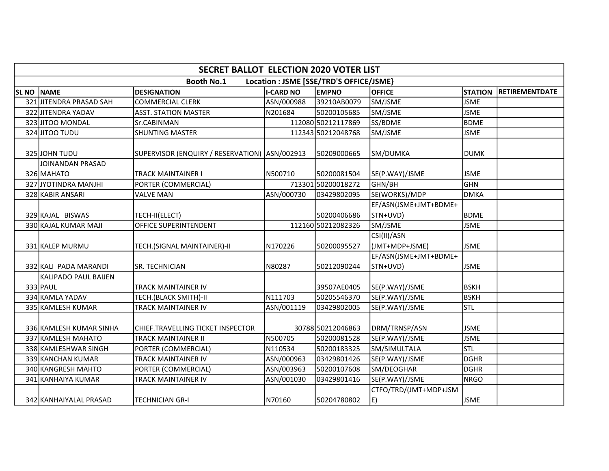|                  | <b>SECRET BALLOT ELECTION 2020 VOTER LIST</b>                |                                                 |                  |                    |                                   |                |                       |  |  |  |
|------------------|--------------------------------------------------------------|-------------------------------------------------|------------------|--------------------|-----------------------------------|----------------|-----------------------|--|--|--|
|                  | <b>Booth No.1</b><br>Location : JSME [SSE/TRD'S OFFICE/JSME} |                                                 |                  |                    |                                   |                |                       |  |  |  |
| SL <sub>NO</sub> | NAME                                                         | <b>DESIGNATION</b>                              | <b>I-CARD NO</b> | <b>EMPNO</b>       | <b>OFFICE</b>                     | <b>STATION</b> | <b>RETIREMENTDATE</b> |  |  |  |
|                  | 321 JITENDRA PRASAD SAH                                      | <b>COMMERCIAL CLERK</b>                         | ASN/000988       | 39210AB0079        | SM/JSME                           | <b>JSME</b>    |                       |  |  |  |
|                  | 322 JITENDRA YADAV                                           | <b>ASST. STATION MASTER</b>                     | N201684          | 50200105685        | SM/JSME                           | <b>JSME</b>    |                       |  |  |  |
|                  | 323 JITOO MONDAL                                             | Sr.CABINMAN                                     |                  | 112080 50212117869 | SS/BDME                           | <b>BDME</b>    |                       |  |  |  |
|                  | 324 JITOO TUDU                                               | <b>SHUNTING MASTER</b>                          |                  | 112343 50212048768 | SM/JSME                           | <b>JSME</b>    |                       |  |  |  |
|                  | 325 JOHN TUDU                                                | SUPERVISOR (ENQUIRY / RESERVATION)   ASN/002913 |                  | 50209000665        | SM/DUMKA                          | <b>DUMK</b>    |                       |  |  |  |
|                  | JOINANDAN PRASAD<br>326 MAHATO                               | TRACK MAINTAINER I                              | N500710          | 50200081504        | SE(P.WAY)/JSME                    | <b>JSME</b>    |                       |  |  |  |
|                  | 327 JYOTINDRA MANJHI                                         | PORTER (COMMERCIAL)                             |                  | 713301 50200018272 | GHN/BH                            | lghn           |                       |  |  |  |
|                  | 328 KABIR ANSARI                                             | <b>VALVE MAN</b>                                | ASN/000730       | 03429802095        | SE(WORKS)/MDP                     | <b>DMKA</b>    |                       |  |  |  |
|                  |                                                              |                                                 |                  |                    | EF/ASN(JSME+JMT+BDME+             |                |                       |  |  |  |
|                  | 329 KAJAL BISWAS                                             | TECH-II(ELECT)                                  |                  | 50200406686        | STN+UVD)                          | BDME           |                       |  |  |  |
|                  | 330 KAJAL KUMAR MAJI                                         | OFFICE SUPERINTENDENT                           |                  | 112160 50212082326 | SM/JSME                           | <b>JSME</b>    |                       |  |  |  |
|                  | 331 KALEP MURMU                                              | TECH.(SIGNAL MAINTAINER)-II                     | N170226          | 50200095527        | CSI(II)/ASN<br>(JMT+MDP+JSME)     | <b>JSME</b>    |                       |  |  |  |
|                  | 332 KALI PADA MARANDI                                        | SR. TECHNICIAN                                  | N80287           | 50212090244        | EF/ASN(JSME+JMT+BDME+<br>STN+UVD) | <b>JSME</b>    |                       |  |  |  |
|                  | KALIPADO PAUL BAIJEN<br>333 PAUL                             | TRACK MAINTAINER IV                             |                  | 39507AE0405        | SE(P.WAY)/JSME                    | <b>BSKH</b>    |                       |  |  |  |
|                  | 334 KAMLA YADAV                                              | TECH.(BLACK SMITH)-II                           | N111703          | 50205546370        | SE(P.WAY)/JSME                    | <b>BSKH</b>    |                       |  |  |  |
|                  | 335 KAMLESH KUMAR                                            | TRACK MAINTAINER IV                             | ASN/001119       | 03429802005        | SE(P.WAY)/JSME                    | <b>STL</b>     |                       |  |  |  |
|                  | 336 KAMLESH KUMAR SINHA                                      | CHIEF.TRAVELLING TICKET INSPECTOR               |                  | 30788 50212046863  | DRM/TRNSP/ASN                     | <b>JSME</b>    |                       |  |  |  |
|                  | 337 KAMLESH MAHATO                                           | TRACK MAINTAINER II                             | N500705          | 50200081528        | SE(P.WAY)/JSME                    | <b>JSME</b>    |                       |  |  |  |
|                  | 338 KAMLESHWAR SINGH                                         | PORTER (COMMERCIAL)                             | N110534          | 50200183325        | SM/SIMULTALA                      | Istl           |                       |  |  |  |
|                  | 339 KANCHAN KUMAR                                            | TRACK MAINTAINER IV                             | ASN/000963       | 03429801426        | SE(P.WAY)/JSME                    | DGHR           |                       |  |  |  |
|                  | 340 KANGRESH MAHTO                                           | PORTER (COMMERCIAL)                             | ASN/003963       | 50200107608        | SM/DEOGHAR                        | <b>DGHR</b>    |                       |  |  |  |
|                  | 341 KANHAIYA KUMAR                                           | TRACK MAINTAINER IV                             | ASN/001030       | 03429801416        | SE(P.WAY)/JSME                    | NRGO           |                       |  |  |  |
|                  | 342 KANHAIYALAL PRASAD                                       | TECHNICIAN GR-I                                 | N70160           | 50204780802        | CTFO/TRD/(JMT+MDP+JSM<br>E)       | JSME           |                       |  |  |  |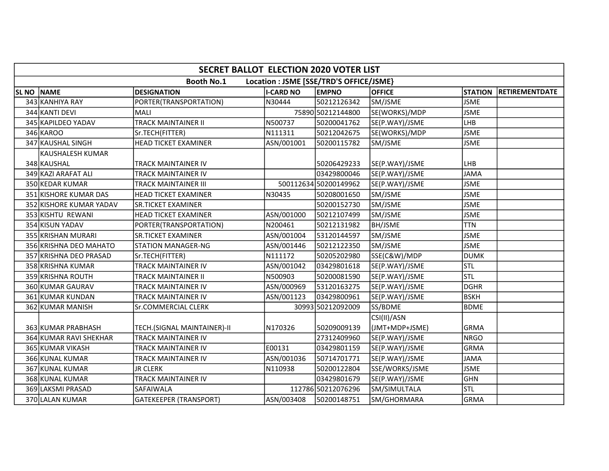|                  | SECRET BALLOT ELECTION 2020 VOTER LIST                       |                             |                  |                       |                |                |                       |  |  |  |  |
|------------------|--------------------------------------------------------------|-----------------------------|------------------|-----------------------|----------------|----------------|-----------------------|--|--|--|--|
|                  | <b>Booth No.1</b><br>Location : JSME [SSE/TRD'S OFFICE/JSME} |                             |                  |                       |                |                |                       |  |  |  |  |
| SL <sub>NO</sub> | <b>NAME</b>                                                  | <b>DESIGNATION</b>          | <b>I-CARD NO</b> | <b>EMPNO</b>          | <b>OFFICE</b>  | <b>STATION</b> | <b>RETIREMENTDATE</b> |  |  |  |  |
|                  | 343 KANHIYA RAY                                              | PORTER(TRANSPORTATION)      | N30444           | 50212126342           | SM/JSME        | <b>JSME</b>    |                       |  |  |  |  |
|                  | 344 KANTI DEVI                                               | MALI                        |                  | 75890 50212144800     | SE(WORKS)/MDP  | <b>JSME</b>    |                       |  |  |  |  |
|                  | 345 KAPILDEO YADAV                                           | <b>TRACK MAINTAINER II</b>  | N500737          | 50200041762           | SE(P.WAY)/JSME | LHB            |                       |  |  |  |  |
|                  | 346 KAROO                                                    | Sr.TECH(FITTER)             | N111311          | 50212042675           | SE(WORKS)/MDP  | <b>JSME</b>    |                       |  |  |  |  |
|                  | 347 KAUSHAL SINGH                                            | <b>HEAD TICKET EXAMINER</b> | ASN/001001       | 50200115782           | SM/JSME        | <b>JSME</b>    |                       |  |  |  |  |
|                  | <b>KAUSHALESH KUMAR</b>                                      |                             |                  |                       |                |                |                       |  |  |  |  |
|                  | 348 KAUSHAL                                                  | TRACK MAINTAINER IV         |                  | 50206429233           | SE(P.WAY)/JSME | llhb           |                       |  |  |  |  |
|                  | 349 KAZI ARAFAT ALI                                          | TRACK MAINTAINER IV         |                  | 03429800046           | SE(P.WAY)/JSME | <b>JAMA</b>    |                       |  |  |  |  |
|                  | 350 KEDAR KUMAR                                              | TRACK MAINTAINER III        |                  | 500112634 50200149962 | SE(P.WAY)/JSME | <b>JSME</b>    |                       |  |  |  |  |
|                  | 351 KISHORE KUMAR DAS                                        | <b>HEAD TICKET EXAMINER</b> | N30435           | 50208001650           | SM/JSME        | <b>JSME</b>    |                       |  |  |  |  |
|                  | 352 KISHORE KUMAR YADAV                                      | <b>SR.TICKET EXAMINER</b>   |                  | 50200152730           | SM/JSME        | <b>JSME</b>    |                       |  |  |  |  |
|                  | 353 KISHTU REWANI                                            | <b>HEAD TICKET EXAMINER</b> | ASN/001000       | 50212107499           | SM/JSME        | <b>JSME</b>    |                       |  |  |  |  |
|                  | 354 KISUN YADAV                                              | PORTER(TRANSPORTATION)      | N200461          | 50212131982           | <b>BH/JSME</b> | <b>TTN</b>     |                       |  |  |  |  |
|                  | 355 KRISHAN MURARI                                           | <b>SR.TICKET EXAMINER</b>   | ASN/001004       | 53120144597           | SM/JSME        | <b>JSME</b>    |                       |  |  |  |  |
|                  | 356 KRISHNA DEO MAHATO                                       | <b>STATION MANAGER-NG</b>   | ASN/001446       | 50212122350           | SM/JSME        | <b>JSME</b>    |                       |  |  |  |  |
|                  | 357 KRISHNA DEO PRASAD                                       | Sr.TECH(FITTER)             | N111172          | 50205202980           | SSE(C&W)/MDP   | <b>DUMK</b>    |                       |  |  |  |  |
|                  | 358 KRISHNA KUMAR                                            | TRACK MAINTAINER IV         | ASN/001042       | 03429801618           | SE(P.WAY)/JSME | <b>STL</b>     |                       |  |  |  |  |
|                  | 359 KRISHNA ROUTH                                            | TRACK MAINTAINER II         | N500903          | 50200081590           | SE(P.WAY)/JSME | <b>STL</b>     |                       |  |  |  |  |
|                  | 360 KUMAR GAURAV                                             | TRACK MAINTAINER IV         | ASN/000969       | 53120163275           | SE(P.WAY)/JSME | <b>DGHR</b>    |                       |  |  |  |  |
|                  | 361 KUMAR KUNDAN                                             | TRACK MAINTAINER IV         | ASN/001123       | 03429800961           | SE(P.WAY)/JSME | <b>BSKH</b>    |                       |  |  |  |  |
|                  | 362 KUMAR MANISH                                             | <b>Sr.COMMERCIAL CLERK</b>  |                  | 30993 50212092009     | SS/BDME        | <b>BDME</b>    |                       |  |  |  |  |
|                  |                                                              |                             |                  |                       | CSI(II)/ASN    |                |                       |  |  |  |  |
|                  | 363 KUMAR PRABHASH                                           | TECH.(SIGNAL MAINTAINER)-II | N170326          | 50209009139           | (JMT+MDP+JSME) | lGRMA          |                       |  |  |  |  |
|                  | 364 KUMAR RAVI SHEKHAR                                       | TRACK MAINTAINER IV         |                  | 27312409960           | SE(P.WAY)/JSME | <b>NRGO</b>    |                       |  |  |  |  |
|                  | 365 KUMAR VIKASH                                             | TRACK MAINTAINER IV         | E00131           | 03429801159           | SE(P.WAY)/JSME | GRMA           |                       |  |  |  |  |
|                  | 366 KUNAL KUMAR                                              | TRACK MAINTAINER IV         | ASN/001036       | 50714701771           | SE(P.WAY)/JSME | <b>JAMA</b>    |                       |  |  |  |  |
|                  | 367 KUNAL KUMAR                                              | <b>JR CLERK</b>             | N110938          | 50200122804           | SSE/WORKS/JSME | <b>JSME</b>    |                       |  |  |  |  |
|                  | 368 KUNAL KUMAR                                              | TRACK MAINTAINER IV         |                  | 03429801679           | SE(P.WAY)/JSME | GHN            |                       |  |  |  |  |
|                  | 369 LAKSMI PRASAD                                            | SAFAIWALA                   |                  | 112786 50212076296    | SM/SIMULTALA   | <b>STL</b>     |                       |  |  |  |  |
|                  | 370 LALAN KUMAR                                              | GATEKEEPER (TRANSPORT)      | ASN/003408       | 50200148751           | SM/GHORMARA    | GRMA           |                       |  |  |  |  |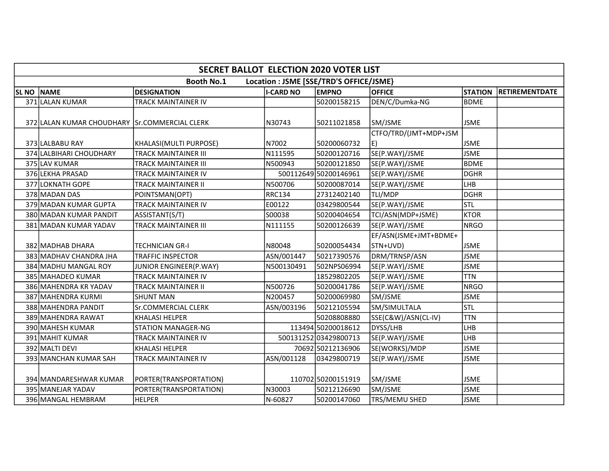|                  | <b>SECRET BALLOT ELECTION 2020 VOTER LIST</b>                |                            |                  |                       |                       |                |                       |  |  |  |
|------------------|--------------------------------------------------------------|----------------------------|------------------|-----------------------|-----------------------|----------------|-----------------------|--|--|--|
|                  | <b>Booth No.1</b><br>Location : JSME [SSE/TRD'S OFFICE/JSME} |                            |                  |                       |                       |                |                       |  |  |  |
| SL <sub>NO</sub> | <b>NAME</b>                                                  | <b>DESIGNATION</b>         | <b>I-CARD NO</b> | <b>EMPNO</b>          | <b>OFFICE</b>         | <b>STATION</b> | <b>RETIREMENTDATE</b> |  |  |  |
|                  | 371 LALAN KUMAR                                              | TRACK MAINTAINER IV        |                  | 50200158215           | DEN/C/Dumka-NG        | <b>BDME</b>    |                       |  |  |  |
|                  |                                                              |                            |                  |                       |                       |                |                       |  |  |  |
|                  | 372 LALAN KUMAR CHOUDHARY Sr.COMMERCIAL CLERK                |                            | N30743           | 50211021858           | SM/JSME               | <b>JSME</b>    |                       |  |  |  |
|                  |                                                              |                            |                  |                       | CTFO/TRD/(JMT+MDP+JSM |                |                       |  |  |  |
|                  | 373 LALBABU RAY                                              | KHALASI(MULTI PURPOSE)     | N7002            | 50200060732           | E)                    | <b>JSME</b>    |                       |  |  |  |
|                  | 374 LALBIHARI CHOUDHARY                                      | TRACK MAINTAINER III       | N111595          | 50200120716           | SE(P.WAY)/JSME        | <b>JSME</b>    |                       |  |  |  |
|                  | 375 LAV KUMAR                                                | TRACK MAINTAINER III       | N500943          | 50200121850           | SE(P.WAY)/JSME        | <b>BDME</b>    |                       |  |  |  |
|                  | 376 LEKHA PRASAD                                             | TRACK MAINTAINER IV        |                  | 500112649 50200146961 | SE(P.WAY)/JSME        | <b>DGHR</b>    |                       |  |  |  |
|                  | 377 LOKNATH GOPE                                             | TRACK MAINTAINER II        | N500706          | 50200087014           | SE(P.WAY)/JSME        | Ігнв           |                       |  |  |  |
|                  | 378 MADAN DAS                                                | POINTSMAN(OPT)             | <b>RRC134</b>    | 27312402140           | TLI/MDP               | DGHR           |                       |  |  |  |
|                  | 379 MADAN KUMAR GUPTA                                        | TRACK MAINTAINER IV        | E00122           | 03429800544           | SE(P.WAY)/JSME        | <b>STL</b>     |                       |  |  |  |
|                  | 380 MADAN KUMAR PANDIT                                       | ASSISTANT(S/T)             | S00038           | 50200404654           | TCI/ASN(MDP+JSME)     | <b>KTOR</b>    |                       |  |  |  |
|                  | 381 MADAN KUMAR YADAV                                        | TRACK MAINTAINER III       | N111155          | 50200126639           | SE(P.WAY)/JSME        | NRGO           |                       |  |  |  |
|                  |                                                              |                            |                  |                       | EF/ASN(JSME+JMT+BDME+ |                |                       |  |  |  |
|                  | 382 MADHAB DHARA                                             | TECHNICIAN GR-I            | N80048           | 50200054434           | STN+UVD)              | <b>JSME</b>    |                       |  |  |  |
|                  | 383 MADHAV CHANDRA JHA                                       | TRAFFIC INSPECTOR          | ASN/001447       | 50217390576           | DRM/TRNSP/ASN         | <b>JSME</b>    |                       |  |  |  |
|                  | 384 MADHU MANGAL ROY                                         | JUNIOR ENGINEER(P.WAY)     | N500130491       | 502NPS06994           | SE(P.WAY)/JSME        | <b>JSME</b>    |                       |  |  |  |
|                  | 385 MAHADEO KUMAR                                            | TRACK MAINTAINER IV        |                  | 18529802205           | SE(P.WAY)/JSME        | <b>TTN</b>     |                       |  |  |  |
|                  | 386 MAHENDRA KR YADAV                                        | TRACK MAINTAINER II        | N500726          | 50200041786           | SE(P.WAY)/JSME        | NRGO           |                       |  |  |  |
|                  | 387 MAHENDRA KURMI                                           | <b>SHUNT MAN</b>           | N200457          | 50200069980           | SM/JSME               | <b>JSME</b>    |                       |  |  |  |
|                  | 388 MAHENDRA PANDIT                                          | <b>Sr.COMMERCIAL CLERK</b> | ASN/003196       | 50212105594           | SM/SIMULTALA          | <b>STL</b>     |                       |  |  |  |
|                  | 389 MAHENDRA RAWAT                                           | <b>KHALASI HELPER</b>      |                  | 50208808880           | SSE(C&W)/ASN(CL-IV)   | <b>TTN</b>     |                       |  |  |  |
|                  | 390 MAHESH KUMAR                                             | <b>STATION MANAGER-NG</b>  |                  | 113494 50200018612    | DYSS/LHB              | LHB            |                       |  |  |  |
|                  | 391 MAHIT KUMAR                                              | TRACK MAINTAINER IV        |                  | 500131252 03429800713 | SE(P.WAY)/JSME        | LHB            |                       |  |  |  |
|                  | 392 MALTI DEVI                                               | <b>KHALASI HELPER</b>      |                  | 70692 50212136906     | SE(WORKS)/MDP         | <b>JSME</b>    |                       |  |  |  |
|                  | 393 MANCHAN KUMAR SAH                                        | TRACK MAINTAINER IV        | ASN/001128       | 03429800719           | SE(P.WAY)/JSME        | <b>JSME</b>    |                       |  |  |  |
|                  |                                                              |                            |                  |                       |                       |                |                       |  |  |  |
|                  | 394 MANDARESHWAR KUMAR                                       | PORTER(TRANSPORTATION)     |                  | 110702 50200151919    | SM/JSME               | <b>JSME</b>    |                       |  |  |  |
|                  | 395 MANEJAR YADAV                                            | PORTER(TRANSPORTATION)     | N30003           | 50212126690           | SM/JSME               | <b>JSME</b>    |                       |  |  |  |
|                  | 396 MANGAL HEMBRAM                                           | <b>HELPER</b>              | N-60827          | 50200147060           | TRS/MEMU SHED         | <b>JSME</b>    |                       |  |  |  |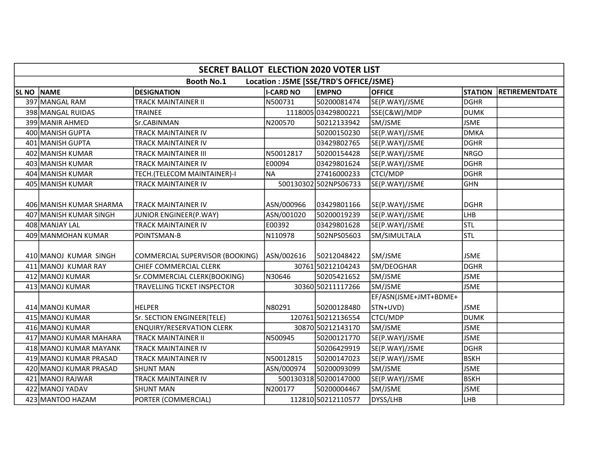|              | <b>SECRET BALLOT ELECTION 2020 VOTER LIST</b> |                                    |                  |                                         |                       |                |                       |  |  |  |  |
|--------------|-----------------------------------------------|------------------------------------|------------------|-----------------------------------------|-----------------------|----------------|-----------------------|--|--|--|--|
|              |                                               | <b>Booth No.1</b>                  |                  | Location : JSME [SSE/TRD'S OFFICE/JSME} |                       |                |                       |  |  |  |  |
| <b>SL NO</b> | <b>NAME</b>                                   | <b>DESIGNATION</b>                 | <b>I-CARD NO</b> | <b>EMPNO</b>                            | <b>OFFICE</b>         | <b>STATION</b> | <b>RETIREMENTDATE</b> |  |  |  |  |
|              | 397 MANGAL RAM                                | <b>TRACK MAINTAINER II</b>         | N500731          | 50200081474                             | SE(P.WAY)/JSME        | DGHR           |                       |  |  |  |  |
|              | 398 MANGAL RUIDAS                             | <b>TRAINEE</b>                     |                  | 1118005 03429800221                     | SSE(C&W)/MDP          | DUMK           |                       |  |  |  |  |
|              | 399 MANIR AHMED                               | Sr.CABINMAN                        | N200570          | 50212133942                             | SM/JSME               | <b>JSME</b>    |                       |  |  |  |  |
|              | 400 MANISH GUPTA                              | <b>TRACK MAINTAINER IV</b>         |                  | 50200150230                             | SE(P.WAY)/JSME        | <b>DMKA</b>    |                       |  |  |  |  |
|              | 401 MANISH GUPTA                              | TRACK MAINTAINER IV                |                  | 03429802765                             | SE(P.WAY)/JSME        | DGHR           |                       |  |  |  |  |
|              | 402 MANISH KUMAR                              | <b>TRACK MAINTAINER III</b>        | N50012817        | 50200154428                             | SE(P.WAY)/JSME        | NRGO           |                       |  |  |  |  |
|              | 403 MANISH KUMAR                              | <b>TRACK MAINTAINER IV</b>         | E00094           | 03429801624                             | SE(P.WAY)/JSME        | <b>DGHR</b>    |                       |  |  |  |  |
|              | 404 MANISH KUMAR                              | TECH.(TELECOM MAINTAINER)-I        | NA)              | 27416000233                             | <b>CTCI/MDP</b>       | <b>DGHR</b>    |                       |  |  |  |  |
|              | 405 MANISH KUMAR                              | TRACK MAINTAINER IV                |                  | 500130302 502NPS06733                   | SE(P.WAY)/JSME        | <b>GHN</b>     |                       |  |  |  |  |
|              | 406 MANISH KUMAR SHARMA                       | <b>TRACK MAINTAINER IV</b>         | ASN/000966       | 03429801166                             | SE(P.WAY)/JSME        | DGHR           |                       |  |  |  |  |
|              | 407 MANISH KUMAR SINGH                        | JUNIOR ENGINEER(P.WAY)             | ASN/001020       | 50200019239                             | SE(P.WAY)/JSME        | Ігнв           |                       |  |  |  |  |
|              | 408 MANJAY LAL                                | <b>TRACK MAINTAINER IV</b>         | E00392           | 03429801628                             | SE(P.WAY)/JSME        | <b>STL</b>     |                       |  |  |  |  |
|              | 409 MANMOHAN KUMAR                            | POINTSMAN-B                        | N110978          | 502NPS05603                             | SM/SIMULTALA          | <b>STL</b>     |                       |  |  |  |  |
|              | 410 MANOJ KUMAR SINGH                         | COMMERCIAL SUPERVISOR (BOOKING)    | ASN/002616       | 50212048422                             | SM/JSME               | <b>JSME</b>    |                       |  |  |  |  |
|              | 411 MANOJ KUMAR RAY                           | <b>CHIEF COMMERCIAL CLERK</b>      |                  | 30761 50212104243                       | SM/DEOGHAR            | DGHR           |                       |  |  |  |  |
|              | 412 MANOJ KUMAR                               | Sr.COMMERCIAL CLERK(BOOKING)       | N30646           | 50205421652                             | SM/JSME               | <b>JSME</b>    |                       |  |  |  |  |
|              | 413 MANOJ KUMAR                               | <b>TRAVELLING TICKET INSPECTOR</b> |                  | 30360 50211117266                       | SM/JSME               | <b>JSME</b>    |                       |  |  |  |  |
|              |                                               |                                    |                  |                                         | EF/ASN(JSME+JMT+BDME+ |                |                       |  |  |  |  |
|              | 414 MANOJ KUMAR                               | <b>HELPER</b>                      | N80291           | 50200128480                             | STN+UVD)              | <b>JSME</b>    |                       |  |  |  |  |
|              | 415 MANOJ KUMAR                               | Sr. SECTION ENGINEER(TELE)         |                  | 120761 50212136554                      | <b>CTCI/MDP</b>       | DUMK           |                       |  |  |  |  |
|              | 416 MANOJ KUMAR                               | <b>ENQUIRY/RESERVATION CLERK</b>   |                  | 30870 50212143170                       | SM/JSME               | <b>JSME</b>    |                       |  |  |  |  |
|              | 417 MANOJ KUMAR MAHARA                        | <b>TRACK MAINTAINER II</b>         | N500945          | 50200121770                             | SE(P.WAY)/JSME        | <b>JSME</b>    |                       |  |  |  |  |
|              | 418 MANOJ KUMAR MAYANK                        | <b>TRACK MAINTAINER IV</b>         |                  | 50206429919                             | SE(P.WAY)/JSME        | DGHR           |                       |  |  |  |  |
|              | 419 MANOJ KUMAR PRASAD                        | <b>TRACK MAINTAINER IV</b>         | N50012815        | 50200147023                             | SE(P.WAY)/JSME        | <b>BSKH</b>    |                       |  |  |  |  |
|              | 420 MANOJ KUMAR PRASAD                        | <b>SHUNT MAN</b>                   | ASN/000974       | 50200093099                             | SM/JSME               | <b>JSME</b>    |                       |  |  |  |  |
|              | 421 MANOJ RAJWAR                              | <b>TRACK MAINTAINER IV</b>         |                  | 500130318 50200147000                   | SE(P.WAY)/JSME        | <b>BSKH</b>    |                       |  |  |  |  |
|              | 422 MANOJ YADAV                               | <b>SHUNT MAN</b>                   | N200177          | 50200004467                             | SM/JSME               | <b>JSME</b>    |                       |  |  |  |  |
|              | 423 MANTOO HAZAM                              | PORTER (COMMERCIAL)                |                  | 112810 50212110577                      | DYSS/LHB              | LHB            |                       |  |  |  |  |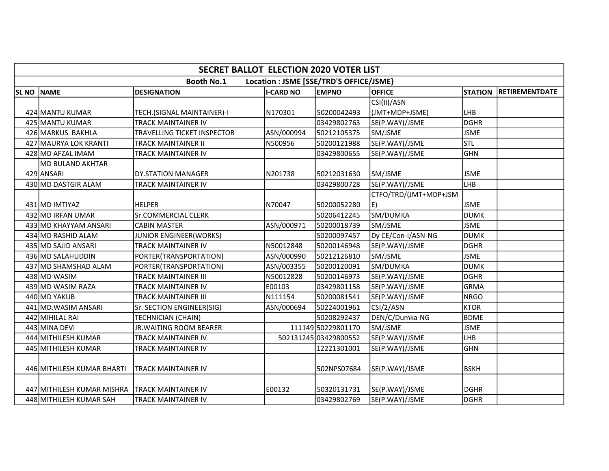|                  | <b>SECRET BALLOT ELECTION 2020 VOTER LIST</b>                |                               |                  |                       |                       |                |                       |  |  |  |  |
|------------------|--------------------------------------------------------------|-------------------------------|------------------|-----------------------|-----------------------|----------------|-----------------------|--|--|--|--|
|                  | <b>Booth No.1</b><br>Location : JSME [SSE/TRD'S OFFICE/JSME} |                               |                  |                       |                       |                |                       |  |  |  |  |
| SL <sub>NO</sub> | <b>NAME</b>                                                  | <b>DESIGNATION</b>            | <b>I-CARD NO</b> | <b>EMPNO</b>          | <b>OFFICE</b>         | <b>STATION</b> | <b>RETIREMENTDATE</b> |  |  |  |  |
|                  |                                                              |                               |                  |                       | CSI(II)/ASN           |                |                       |  |  |  |  |
|                  | 424 MANTU KUMAR                                              | TECH.(SIGNAL MAINTAINER)-I    | N170301          | 50200042493           | (JMT+MDP+JSME)        | LHB            |                       |  |  |  |  |
|                  | 425 MANTU KUMAR                                              | TRACK MAINTAINER IV           |                  | 03429802763           | SE(P.WAY)/JSME        | DGHR           |                       |  |  |  |  |
|                  | 426 MARKUS BAKHLA                                            | TRAVELLING TICKET INSPECTOR   | ASN/000994       | 50212105375           | SM/JSME               | <b>JSME</b>    |                       |  |  |  |  |
|                  | 427 MAURYA LOK KRANTI                                        | TRACK MAINTAINER II           | N500956          | 50200121988           | SE(P.WAY)/JSME        | <b>STL</b>     |                       |  |  |  |  |
|                  | 428 MD AFZAL IMAM                                            | TRACK MAINTAINER IV           |                  | 03429800655           | SE(P.WAY)/JSME        | lghn           |                       |  |  |  |  |
|                  | <b>MD BULAND AKHTAR</b>                                      |                               |                  |                       |                       |                |                       |  |  |  |  |
|                  | 429 ANSARI                                                   | <b>DY.STATION MANAGER</b>     | N201738          | 50212031630           | SM/JSME               | <b>JSME</b>    |                       |  |  |  |  |
|                  | 430 MD DASTGIR ALAM                                          | TRACK MAINTAINER IV           |                  | 03429800728           | SE(P.WAY)/JSME        | LHB            |                       |  |  |  |  |
|                  |                                                              |                               |                  |                       | CTFO/TRD/(JMT+MDP+JSM |                |                       |  |  |  |  |
|                  | 431 MD IMTIYAZ                                               | <b>HELPER</b>                 | N70047           | 50200052280           | E)                    | <b>JSME</b>    |                       |  |  |  |  |
|                  | 432 MD IRFAN UMAR                                            | Sr.COMMERCIAL CLERK           |                  | 50206412245           | SM/DUMKA              | <b>DUMK</b>    |                       |  |  |  |  |
|                  | 433 MD KHAYYAM ANSARI                                        | <b>CABIN MASTER</b>           | ASN/000971       | 50200018739           | SM/JSME               | <b>JSME</b>    |                       |  |  |  |  |
|                  | 434 MD RASHID ALAM                                           | <b>JUNIOR ENGINEER(WORKS)</b> |                  | 50200097457           | Dy CE/Con-I/ASN-NG    | <b>DUMK</b>    |                       |  |  |  |  |
|                  | 435 MD SAJID ANSARI                                          | <b>TRACK MAINTAINER IV</b>    | N50012848        | 50200146948           | SE(P.WAY)/JSME        | <b>DGHR</b>    |                       |  |  |  |  |
|                  | 436 MD SALAHUDDIN                                            | PORTER(TRANSPORTATION)        | ASN/000990       | 50212126810           | SM/JSME               | <b>JSME</b>    |                       |  |  |  |  |
|                  | 437 MD SHAMSHAD ALAM                                         | PORTER(TRANSPORTATION)        | ASN/003355       | 50200120091           | SM/DUMKA              | <b>DUMK</b>    |                       |  |  |  |  |
|                  | 438 MD WASIM                                                 | TRACK MAINTAINER III          | N50012828        | 50200146973           | SE(P.WAY)/JSME        | DGHR           |                       |  |  |  |  |
|                  | 439 MD WASIM RAZA                                            | TRACK MAINTAINER IV           | E00103           | 03429801158           | SE(P.WAY)/JSME        | GRMA           |                       |  |  |  |  |
|                  | 440 MD YAKUB                                                 | TRACK MAINTAINER III          | N111154          | 50200081541           | SE(P.WAY)/JSME        | <b>NRGO</b>    |                       |  |  |  |  |
|                  | 441 MD. WASIM ANSARI                                         | Sr. SECTION ENGINEER(SIG)     | ASN/000694       | 50224001961           | CSI/2/ASN             | <b>KTOR</b>    |                       |  |  |  |  |
|                  | 442 MIHILAL RAI                                              | TECHNICIAN (CHAIN)            |                  | 50208292437           | DEN/C/Dumka-NG        | BDME           |                       |  |  |  |  |
|                  | 443 MINA DEVI                                                | <b>JR.WAITING ROOM BEARER</b> |                  | 111149 50229801170    | SM/JSME               | <b>JSME</b>    |                       |  |  |  |  |
|                  | 444 MITHILESH KUMAR                                          | TRACK MAINTAINER IV           |                  | 502131245 03429800552 | SE(P.WAY)/JSME        | LHB            |                       |  |  |  |  |
|                  | 445 MITHILESH KUMAR                                          | TRACK MAINTAINER IV           |                  | 12221301001           | SE(P.WAY)/JSME        | lGHN           |                       |  |  |  |  |
|                  |                                                              |                               |                  |                       |                       |                |                       |  |  |  |  |
|                  | 446 MITHILESH KUMAR BHARTI                                   | <b>TRACK MAINTAINER IV</b>    |                  | 502NPS07684           | SE(P.WAY)/JSME        | <b>BSKH</b>    |                       |  |  |  |  |
|                  |                                                              |                               |                  |                       |                       |                |                       |  |  |  |  |
|                  | 447 MITHILESH KUMAR MISHRA                                   | TRACK MAINTAINER IV           | E00132           | 50320131731           | SE(P.WAY)/JSME        | <b>DGHR</b>    |                       |  |  |  |  |
|                  | 448 MITHILESH KUMAR SAH                                      | TRACK MAINTAINER IV           |                  | 03429802769           | SE(P.WAY)/JSME        | <b>DGHR</b>    |                       |  |  |  |  |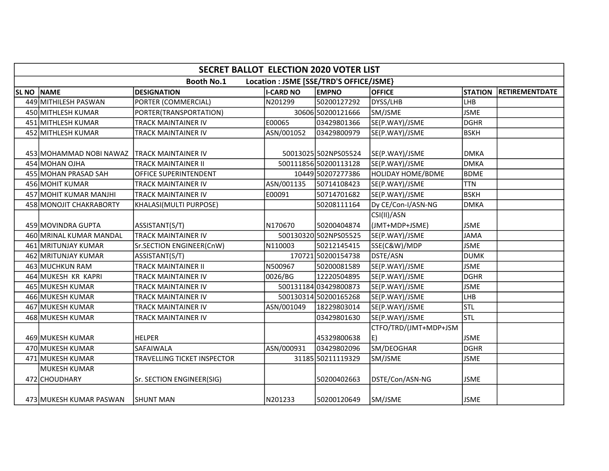|             | <b>SECRET BALLOT ELECTION 2020 VOTER LIST</b>                |                                    |                  |                       |                               |                |                       |  |  |  |
|-------------|--------------------------------------------------------------|------------------------------------|------------------|-----------------------|-------------------------------|----------------|-----------------------|--|--|--|
|             | <b>Booth No.1</b><br>Location : JSME [SSE/TRD'S OFFICE/JSME} |                                    |                  |                       |                               |                |                       |  |  |  |
| <b>SLNO</b> | <b>NAME</b>                                                  | <b>DESIGNATION</b>                 | <b>I-CARD NO</b> | <b>EMPNO</b>          | <b>OFFICE</b>                 | <b>STATION</b> | <b>RETIREMENTDATE</b> |  |  |  |
|             | 449 MITHILESH PASWAN                                         | PORTER (COMMERCIAL)                | N201299          | 50200127292           | DYSS/LHB                      | LHB            |                       |  |  |  |
|             | 450 MITHLESH KUMAR                                           | PORTER(TRANSPORTATION)             |                  | 30606 50200121666     | SM/JSME                       | <b>JSME</b>    |                       |  |  |  |
|             | 451 MITHLESH KUMAR                                           | TRACK MAINTAINER IV                | E00065           | 03429801366           | SE(P.WAY)/JSME                | <b>DGHR</b>    |                       |  |  |  |
|             | 452 MITHLESH KUMAR                                           | TRACK MAINTAINER IV                | ASN/001052       | 03429800979           | SE(P.WAY)/JSME                | <b>BSKH</b>    |                       |  |  |  |
|             | 453 MOHAMMAD NOBI NAWAZ                                      | TRACK MAINTAINER IV                |                  | 50013025 502NPS05524  | SE(P.WAY)/JSME                | <b>DMKA</b>    |                       |  |  |  |
|             | 454 MOHAN OJHA                                               | TRACK MAINTAINER II                |                  | 500111856 50200113128 | SE(P.WAY)/JSME                | <b>DMKA</b>    |                       |  |  |  |
|             | 455 MOHAN PRASAD SAH                                         | OFFICE SUPERINTENDENT              |                  | 10449 50207277386     | <b>HOLIDAY HOME/BDME</b>      | <b>BDME</b>    |                       |  |  |  |
|             | 456 MOHIT KUMAR                                              | <b>TRACK MAINTAINER IV</b>         | ASN/001135       | 50714108423           | SE(P.WAY)/JSME                | <b>TTN</b>     |                       |  |  |  |
|             | 457 MOHIT KUMAR MANJHI                                       | <b>TRACK MAINTAINER IV</b>         | E00091           | 50714701682           | SE(P.WAY)/JSME                | <b>BSKH</b>    |                       |  |  |  |
|             | 458 MONOJIT CHAKRABORTY                                      | KHALASI(MULTI PURPOSE)             |                  | 50208111164           | Dy CE/Con-I/ASN-NG            | <b>DMKA</b>    |                       |  |  |  |
|             | 459 MOVINDRA GUPTA                                           | ASSISTANT(S/T)                     | N170670          | 50200404874           | CSI(II)/ASN<br>(JMT+MDP+JSME) | <b>JSME</b>    |                       |  |  |  |
|             | 460 MRINAL KUMAR MANDAL                                      | <b>TRACK MAINTAINER IV</b>         |                  | 500130320 502NPS05525 | SE(P.WAY)/JSME                | <b>JAMA</b>    |                       |  |  |  |
|             | 461 MRITUNJAY KUMAR                                          | Sr.SECTION ENGINEER(CnW)           | N110003          | 50212145415           | SSE(C&W)/MDP                  | <b>JSME</b>    |                       |  |  |  |
|             | 462 MRITUNJAY KUMAR                                          | ASSISTANT(S/T)                     |                  | 170721 50200154738    | DSTE/ASN                      | <b>DUMK</b>    |                       |  |  |  |
|             | 463 MUCHKUN RAM                                              | <b>TRACK MAINTAINER II</b>         | N500967          | 50200081589           | SE(P.WAY)/JSME                | <b>JSME</b>    |                       |  |  |  |
|             | 464 MUKESH KR KAPRI                                          | <b>TRACK MAINTAINER IV</b>         | 0026/BG          | 12220504895           | SE(P.WAY)/JSME                | <b>DGHR</b>    |                       |  |  |  |
|             | 465 MUKESH KUMAR                                             | TRACK MAINTAINER IV                |                  | 50013118403429800873  | SE(P.WAY)/JSME                | <b>JSME</b>    |                       |  |  |  |
|             | 466 MUKESH KUMAR                                             | TRACK MAINTAINER IV                |                  | 500130314 50200165268 | SE(P.WAY)/JSME                | LHB            |                       |  |  |  |
|             | 467 MUKESH KUMAR                                             | TRACK MAINTAINER IV                | ASN/001049       | 18229803014           | SE(P.WAY)/JSME                | stl            |                       |  |  |  |
|             | 468 MUKESH KUMAR                                             | TRACK MAINTAINER IV                |                  | 03429801630           | SE(P.WAY)/JSME                | Istl           |                       |  |  |  |
|             | 469 MUKESH KUMAR                                             | HELPER                             |                  | 45329800638           | CTFO/TRD/(JMT+MDP+JSM<br>E)   | <b>JSME</b>    |                       |  |  |  |
|             | 470 MUKESH KUMAR                                             | SAFAIWALA                          | ASN/000931       | 03429802096           | SM/DEOGHAR                    | <b>DGHR</b>    |                       |  |  |  |
|             | 471 MUKESH KUMAR                                             | <b>TRAVELLING TICKET INSPECTOR</b> |                  | 31185 50211119329     | SM/JSME                       | <b>JSME</b>    |                       |  |  |  |
|             | MUKESH KUMAR<br>472 CHOUDHARY                                | Sr. SECTION ENGINEER(SIG)          |                  | 50200402663           | DSTE/Con/ASN-NG               | <b>JSME</b>    |                       |  |  |  |
|             | 473 MUKESH KUMAR PASWAN                                      | <b>SHUNT MAN</b>                   | N201233          | 50200120649           | SM/JSME                       | <b>JSME</b>    |                       |  |  |  |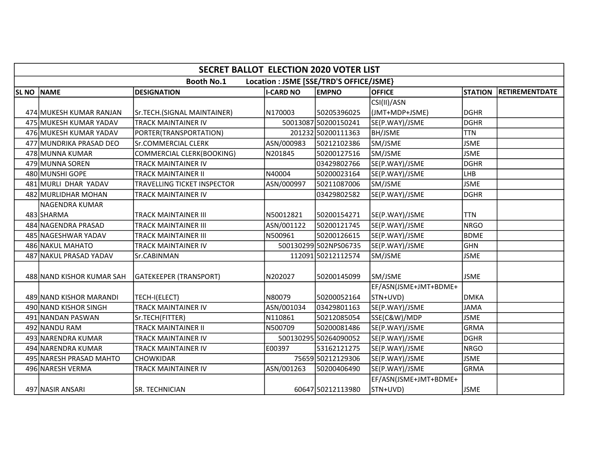|              | <b>SECRET BALLOT ELECTION 2020 VOTER LIST</b> |                               |                   |                                         |                                   |                |                       |  |  |  |
|--------------|-----------------------------------------------|-------------------------------|-------------------|-----------------------------------------|-----------------------------------|----------------|-----------------------|--|--|--|
|              |                                               | <b>Booth No.1</b>             |                   | Location : JSME [SSE/TRD'S OFFICE/JSME} |                                   |                |                       |  |  |  |
| <b>SL NO</b> | <b>NAME</b>                                   | <b>DESIGNATION</b>            | <b>II-CARD NO</b> | <b>EMPNO</b>                            | <b>OFFICE</b>                     | <b>STATION</b> | <b>RETIREMENTDATE</b> |  |  |  |
|              |                                               |                               |                   |                                         | CSI(II)/ASN                       |                |                       |  |  |  |
|              | 474 MUKESH KUMAR RANJAN                       | Sr.TECH.(SIGNAL MAINTAINER)   | N170003           | 50205396025                             | (JMT+MDP+JSME)                    | ldghr          |                       |  |  |  |
|              | 475 MUKESH KUMAR YADAV                        | <b>TRACK MAINTAINER IV</b>    |                   | 50013087 50200150241                    | SE(P.WAY)/JSME                    | DGHR           |                       |  |  |  |
|              | 476 MUKESH KUMAR YADAV                        | PORTER(TRANSPORTATION)        |                   | 201232 50200111363                      | <b>BH/JSME</b>                    | <b>TTN</b>     |                       |  |  |  |
|              | 477 MUNDRIKA PRASAD DEO                       | <b>Sr.COMMERCIAL CLERK</b>    | ASN/000983        | 50212102386                             | SM/JSME                           | <b>JSME</b>    |                       |  |  |  |
|              | 478 MUNNA KUMAR                               | COMMERCIAL CLERK(BOOKING)     | N201845           | 50200127516                             | SM/JSME                           | <b>JSME</b>    |                       |  |  |  |
|              | 479 MUNNA SOREN                               | <b>TRACK MAINTAINER IV</b>    |                   | 03429802766                             | SE(P.WAY)/JSME                    | DGHR           |                       |  |  |  |
|              | 480 MUNSHI GOPE                               | <b>TRACK MAINTAINER II</b>    | N40004            | 50200023164                             | SE(P.WAY)/JSME                    | ILHB.          |                       |  |  |  |
|              | 481 MURLI DHAR YADAV                          | TRAVELLING TICKET INSPECTOR   | ASN/000997        | 50211087006                             | SM/JSME                           | <b>JSME</b>    |                       |  |  |  |
|              | 482 MURLIDHAR MOHAN                           | <b>TRACK MAINTAINER IV</b>    |                   | 03429802582                             | SE(P.WAY)/JSME                    | DGHR           |                       |  |  |  |
|              | <b>NAGENDRA KUMAR</b>                         |                               |                   |                                         |                                   |                |                       |  |  |  |
|              | 483 SHARMA                                    | <b>TRACK MAINTAINER III</b>   | N50012821         | 50200154271                             | SE(P.WAY)/JSME                    | lttn           |                       |  |  |  |
|              | 484 NAGENDRA PRASAD                           | <b>TRACK MAINTAINER III</b>   | ASN/001122        | 50200121745                             | SE(P.WAY)/JSME                    | NRGO           |                       |  |  |  |
|              | 485 NAGESHWAR YADAV                           | <b>TRACK MAINTAINER III</b>   | N500961           | 50200126615                             | SE(P.WAY)/JSME                    | <b>BDME</b>    |                       |  |  |  |
|              | 486 NAKUL MAHATO                              | TRACK MAINTAINER IV           |                   | 500130299502NPS06735                    | SE(P.WAY)/JSME                    | <b>GHN</b>     |                       |  |  |  |
|              | 487 NAKUL PRASAD YADAV                        | Sr.CABINMAN                   |                   | 112091 50212112574                      | SM/JSME                           | <b>JSME</b>    |                       |  |  |  |
|              | 488 NAND KISHOR KUMAR SAH                     | <b>GATEKEEPER (TRANSPORT)</b> | N202027           | 50200145099                             | SM/JSME                           | <b>JSME</b>    |                       |  |  |  |
|              |                                               |                               |                   |                                         | EF/ASN(JSME+JMT+BDME+             |                |                       |  |  |  |
|              | 489 NAND KISHOR MARANDI                       | TECH-I(ELECT)                 | N80079            | 50200052164                             | STN+UVD)                          | ldmka          |                       |  |  |  |
|              | 490 NAND KISHOR SINGH                         | <b>TRACK MAINTAINER IV</b>    | ASN/001034        | 03429801163                             | SE(P.WAY)/JSME                    | <b>JAMA</b>    |                       |  |  |  |
|              | 491 NANDAN PASWAN                             | Sr.TECH(FITTER)               | N110861           | 50212085054                             | SSE(C&W)/MDP                      | <b>JSME</b>    |                       |  |  |  |
|              | 492 NANDU RAM                                 | <b>TRACK MAINTAINER II</b>    | N500709           | 50200081486                             | SE(P.WAY)/JSME                    | <b>GRMA</b>    |                       |  |  |  |
|              | 493 NARENDRA KUMAR                            | <b>TRACK MAINTAINER IV</b>    |                   | 500130295 50264090052                   | SE(P.WAY)/JSME                    | DGHR           |                       |  |  |  |
|              | 494 NARENDRA KUMAR                            | TRACK MAINTAINER IV           | E00397            | 53162121275                             | SE(P.WAY)/JSME                    | INRGO          |                       |  |  |  |
|              | 495 NARESH PRASAD MAHTO                       | <b>CHOWKIDAR</b>              |                   | 75659 50212129306                       | SE(P.WAY)/JSME                    | <b>JSME</b>    |                       |  |  |  |
|              | 496 NARESH VERMA                              | <b>TRACK MAINTAINER IV</b>    | ASN/001263        | 50200406490                             | SE(P.WAY)/JSME                    | <b>GRMA</b>    |                       |  |  |  |
|              | 497 NASIR ANSARI                              | SR. TECHNICIAN                |                   | 60647 50212113980                       | EF/ASN(JSME+JMT+BDME+<br>STN+UVD) | <b>JSME</b>    |                       |  |  |  |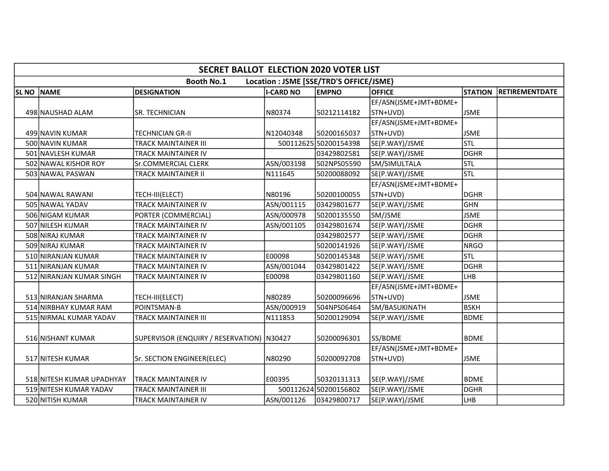|             | <b>SECRET BALLOT ELECTION 2020 VOTER LIST</b>                |                                             |                  |                       |                       |                |                       |  |  |  |  |
|-------------|--------------------------------------------------------------|---------------------------------------------|------------------|-----------------------|-----------------------|----------------|-----------------------|--|--|--|--|
|             | <b>Booth No.1</b><br>Location : JSME [SSE/TRD'S OFFICE/JSME} |                                             |                  |                       |                       |                |                       |  |  |  |  |
| <b>SLNO</b> | <b>NAME</b>                                                  | <b>DESIGNATION</b>                          | <b>I-CARD NO</b> | <b>EMPNO</b>          | <b>OFFICE</b>         | <b>STATION</b> | <b>RETIREMENTDATE</b> |  |  |  |  |
|             |                                                              |                                             |                  |                       | EF/ASN(JSME+JMT+BDME+ |                |                       |  |  |  |  |
|             | 498 NAUSHAD ALAM                                             | SR. TECHNICIAN                              | N80374           | 50212114182           | STN+UVD)              | <b>JSME</b>    |                       |  |  |  |  |
|             |                                                              |                                             |                  |                       | EF/ASN(JSME+JMT+BDME+ |                |                       |  |  |  |  |
|             | 499 NAVIN KUMAR                                              | TECHNICIAN GR-II                            | N12040348        | 50200165037           | STN+UVD)              | <b>JSME</b>    |                       |  |  |  |  |
|             | 500 NAVIN KUMAR                                              | TRACK MAINTAINER III                        |                  | 500112625 50200154398 | SE(P.WAY)/JSME        | <b>STL</b>     |                       |  |  |  |  |
|             | 501 NAVLESH KUMAR                                            | TRACK MAINTAINER IV                         |                  | 03429802581           | SE(P.WAY)/JSME        | <b>DGHR</b>    |                       |  |  |  |  |
|             | 502 NAWAL KISHOR ROY                                         | Sr.COMMERCIAL CLERK                         | ASN/003198       | 502NPS05590           | SM/SIMULTALA          | <b>STL</b>     |                       |  |  |  |  |
|             | 503 NAWAL PASWAN                                             | <b>TRACK MAINTAINER II</b>                  | N111645          | 50200088092           | SE(P.WAY)/JSME        | <b>STL</b>     |                       |  |  |  |  |
|             |                                                              |                                             |                  |                       | EF/ASN(JSME+JMT+BDME+ |                |                       |  |  |  |  |
|             | 504 NAWAL RAWANI                                             | TECH-III(ELECT)                             | N80196           | 50200100055           | STN+UVD)              | <b>DGHR</b>    |                       |  |  |  |  |
|             | 505 NAWAL YADAV                                              | TRACK MAINTAINER IV                         | ASN/001115       | 03429801677           | SE(P.WAY)/JSME        | <b>GHN</b>     |                       |  |  |  |  |
|             | 506 NIGAM KUMAR                                              | PORTER (COMMERCIAL)                         | ASN/000978       | 50200135550           | SM/JSME               | <b>JSME</b>    |                       |  |  |  |  |
|             | 507 NILESH KUMAR                                             | TRACK MAINTAINER IV                         | ASN/001105       | 03429801674           | SE(P.WAY)/JSME        | <b>DGHR</b>    |                       |  |  |  |  |
|             | 508 NIRAJ KUMAR                                              | <b>TRACK MAINTAINER IV</b>                  |                  | 03429802577           | SE(P.WAY)/JSME        | <b>DGHR</b>    |                       |  |  |  |  |
|             | 509 NIRAJ KUMAR                                              | TRACK MAINTAINER IV                         |                  | 50200141926           | SE(P.WAY)/JSME        | <b>NRGO</b>    |                       |  |  |  |  |
|             | 510 NIRANJAN KUMAR                                           | TRACK MAINTAINER IV                         | E00098           | 50200145348           | SE(P.WAY)/JSME        | Istl           |                       |  |  |  |  |
|             | 511 NIRANJAN KUMAR                                           | TRACK MAINTAINER IV                         | ASN/001044       | 03429801422           | SE(P.WAY)/JSME        | <b>DGHR</b>    |                       |  |  |  |  |
|             | 512 NIRANJAN KUMAR SINGH                                     | TRACK MAINTAINER IV                         | E00098           | 03429801160           | SE(P.WAY)/JSME        | LHB            |                       |  |  |  |  |
|             |                                                              |                                             |                  |                       | EF/ASN(JSME+JMT+BDME+ |                |                       |  |  |  |  |
|             | 513 NIRANJAN SHARMA                                          | TECH-III(ELECT)                             | N80289           | 50200096696           | STN+UVD)              | <b>JSME</b>    |                       |  |  |  |  |
|             | 514 NIRBHAY KUMAR RAM                                        | POINTSMAN-B                                 | ASN/000919       | 504NPS06464           | SM/BASUKINATH         | <b>BSKH</b>    |                       |  |  |  |  |
|             | 515 NIRMAL KUMAR YADAV                                       | TRACK MAINTAINER III                        | N111853          | 50200129094           | SE(P.WAY)/JSME        | <b>BDME</b>    |                       |  |  |  |  |
|             |                                                              |                                             |                  |                       |                       |                |                       |  |  |  |  |
|             | 516 NISHANT KUMAR                                            | SUPERVISOR (ENQUIRY / RESERVATION)   N30427 |                  | 50200096301           | SS/BDME               | <b>BDME</b>    |                       |  |  |  |  |
|             |                                                              |                                             |                  |                       | EF/ASN(JSME+JMT+BDME+ |                |                       |  |  |  |  |
|             | 517 NITESH KUMAR                                             | Sr. SECTION ENGINEER(ELEC)                  | N80290           | 50200092708           | STN+UVD)              | <b>JSME</b>    |                       |  |  |  |  |
|             |                                                              |                                             |                  |                       |                       |                |                       |  |  |  |  |
|             | 518 NITESH KUMAR UPADHYAY                                    | <b>TRACK MAINTAINER IV</b>                  | E00395           | 50320131313           | SE(P.WAY)/JSME        | <b>BDME</b>    |                       |  |  |  |  |
|             | 519 NITESH KUMAR YADAV                                       | TRACK MAINTAINER III                        |                  | 500112624 50200156802 | SE(P.WAY)/JSME        | <b>DGHR</b>    |                       |  |  |  |  |
|             | 520 NITISH KUMAR                                             | TRACK MAINTAINER IV                         | ASN/001126       | 03429800717           | SE(P.WAY)/JSME        | LHB            |                       |  |  |  |  |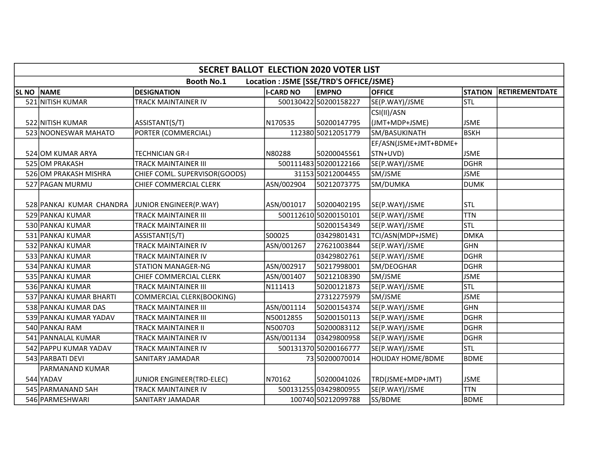|             | <b>SECRET BALLOT ELECTION 2020 VOTER LIST</b>   |                               |                  |                                         |                          |                |                       |  |  |  |
|-------------|-------------------------------------------------|-------------------------------|------------------|-----------------------------------------|--------------------------|----------------|-----------------------|--|--|--|
|             |                                                 | <b>Booth No.1</b>             |                  | Location : JSME [SSE/TRD'S OFFICE/JSME} |                          |                |                       |  |  |  |
| <b>SLNO</b> | <b>NAME</b>                                     | <b>DESIGNATION</b>            | <b>I-CARD NO</b> | <b>EMPNO</b>                            | <b>OFFICE</b>            | <b>STATION</b> | <b>RETIREMENTDATE</b> |  |  |  |
|             | 521 NITISH KUMAR                                | TRACK MAINTAINER IV           |                  | 500130422 50200158227                   | SE(P.WAY)/JSME           | <b>STL</b>     |                       |  |  |  |
|             |                                                 |                               |                  |                                         | CSI(II)/ASN              |                |                       |  |  |  |
|             | 522 NITISH KUMAR                                | ASSISTANT(S/T)                | N170535          | 50200147795                             | (JMT+MDP+JSME)           | <b>JSME</b>    |                       |  |  |  |
|             | 523 NOONESWAR MAHATO                            | PORTER (COMMERCIAL)           |                  | 112380 50212051779                      | SM/BASUKINATH            | lвsкн          |                       |  |  |  |
|             |                                                 |                               |                  |                                         | EF/ASN(JSME+JMT+BDME+    |                |                       |  |  |  |
|             | 524 OM KUMAR ARYA                               | TECHNICIAN GR-I               | N80288           | 50200045561                             | STN+UVD)                 | <b>JSME</b>    |                       |  |  |  |
|             | 525 OM PRAKASH                                  | <b>TRACK MAINTAINER III</b>   |                  | 500111483 50200122166                   | SE(P.WAY)/JSME           | <b>DGHR</b>    |                       |  |  |  |
|             | 526 OM PRAKASH MISHRA                           | CHIEF COML. SUPERVISOR(GOODS) |                  | 31153 50212004455                       | SM/JSME                  | <b>JSME</b>    |                       |  |  |  |
|             | 527 PAGAN MURMU                                 | CHIEF COMMERCIAL CLERK        | ASN/002904       | 50212073775                             | SM/DUMKA                 | <b>DUMK</b>    |                       |  |  |  |
|             |                                                 |                               |                  |                                         |                          |                |                       |  |  |  |
|             | 528 PANKAJ KUMAR CHANDRA JUNIOR ENGINEER(P.WAY) |                               | ASN/001017       | 50200402195                             | SE(P.WAY)/JSME           | <b>STL</b>     |                       |  |  |  |
|             | 529 PANKAJ KUMAR                                | <b>TRACK MAINTAINER III</b>   |                  | 500112610 50200150101                   | SE(P.WAY)/JSME           | <b>TTN</b>     |                       |  |  |  |
|             | 530 PANKAJ KUMAR                                | <b>TRACK MAINTAINER III</b>   |                  | 50200154349                             | SE(P.WAY)/JSME           | Istl           |                       |  |  |  |
|             | 531 PANKAJ KUMAR                                | ASSISTANT(S/T)                | S00025           | 03429801431                             | TCI/ASN(MDP+JSME)        | <b>DMKA</b>    |                       |  |  |  |
|             | 532 PANKAJ KUMAR                                | TRACK MAINTAINER IV           | ASN/001267       | 27621003844                             | SE(P.WAY)/JSME           | <b>GHN</b>     |                       |  |  |  |
|             | 533 PANKAJ KUMAR                                | TRACK MAINTAINER IV           |                  | 03429802761                             | SE(P.WAY)/JSME           | <b>DGHR</b>    |                       |  |  |  |
|             | 534 PANKAJ KUMAR                                | <b>STATION MANAGER-NG</b>     | ASN/002917       | 50217998001                             | SM/DEOGHAR               | <b>DGHR</b>    |                       |  |  |  |
|             | 535 PANKAJ KUMAR                                | CHIEF COMMERCIAL CLERK        | ASN/001407       | 50212108390                             | SM/JSME                  | <b>JSME</b>    |                       |  |  |  |
|             | 536 PANKAJ KUMAR                                | <b>TRACK MAINTAINER III</b>   | N111413          | 50200121873                             | SE(P.WAY)/JSME           | Istl           |                       |  |  |  |
|             | 537 PANKAJ KUMAR BHARTI                         | COMMERCIAL CLERK(BOOKING)     |                  | 27312275979                             | SM/JSME                  | <b>JSME</b>    |                       |  |  |  |
|             | 538 PANKAJ KUMAR DAS                            | <b>TRACK MAINTAINER III</b>   | ASN/001114       | 50200154374                             | SE(P.WAY)/JSME           | GHN            |                       |  |  |  |
|             | 539 PANKAJ KUMAR YADAV                          | TRACK MAINTAINER III          | N50012855        | 50200150113                             | SE(P.WAY)/JSME           | <b>DGHR</b>    |                       |  |  |  |
|             | 540 PANKAJ RAM                                  | TRACK MAINTAINER II           | N500703          | 50200083112                             | SE(P.WAY)/JSME           | <b>DGHR</b>    |                       |  |  |  |
|             | 541 PANNALAL KUMAR                              | TRACK MAINTAINER IV           | ASN/001134       | 03429800958                             | SE(P.WAY)/JSME           | <b>DGHR</b>    |                       |  |  |  |
|             | 542 PAPPU KUMAR YADAV                           | TRACK MAINTAINER IV           |                  | 500131370 50200166777                   | SE(P.WAY)/JSME           | lstl           |                       |  |  |  |
|             | 543 PARBATI DEVI                                | <b>SANITARY JAMADAR</b>       |                  | 7350200070014                           | <b>HOLIDAY HOME/BDME</b> | <b>BDME</b>    |                       |  |  |  |
|             | PARMANAND KUMAR                                 |                               |                  |                                         |                          |                |                       |  |  |  |
|             | 544 YADAV                                       | JUNIOR ENGINEER(TRD-ELEC)     | N70162           | 50200041026                             | TRD(JSME+MDP+JMT)        | <b>JSME</b>    |                       |  |  |  |
|             | 545 PARMANAND SAH                               | TRACK MAINTAINER IV           |                  | 500131255 03429800955                   | SE(P.WAY)/JSME           | <b>TTN</b>     |                       |  |  |  |
|             | 546 PARMESHWARI                                 | SANITARY JAMADAR              |                  | 100740 50212099788                      | SS/BDME                  | <b>BDME</b>    |                       |  |  |  |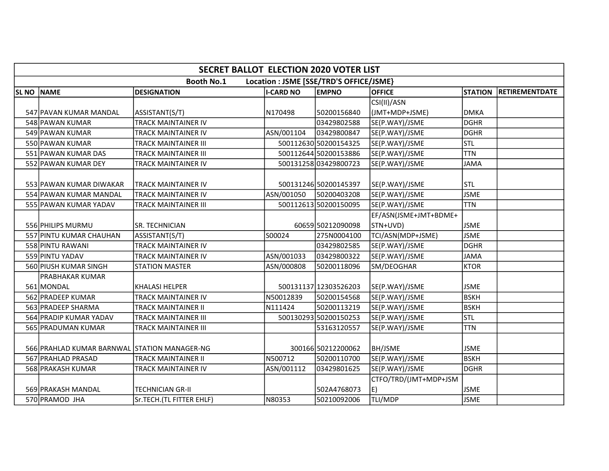|                  | <b>SECRET BALLOT ELECTION 2020 VOTER LIST</b>                |                            |                  |                       |                       |                |                       |  |  |  |
|------------------|--------------------------------------------------------------|----------------------------|------------------|-----------------------|-----------------------|----------------|-----------------------|--|--|--|
|                  | Location : JSME [SSE/TRD'S OFFICE/JSME}<br><b>Booth No.1</b> |                            |                  |                       |                       |                |                       |  |  |  |
| SL <sub>NO</sub> | <b>NAME</b>                                                  | <b>DESIGNATION</b>         | <b>I-CARD NO</b> | <b>EMPNO</b>          | <b>OFFICE</b>         | <b>STATION</b> | <b>RETIREMENTDATE</b> |  |  |  |
|                  |                                                              |                            |                  |                       | CSI(II)/ASN           |                |                       |  |  |  |
|                  | 547 PAVAN KUMAR MANDAL                                       | ASSISTANT(S/T)             | N170498          | 50200156840           | (JMT+MDP+JSME)        | DMKA           |                       |  |  |  |
|                  | 548 PAWAN KUMAR                                              | TRACK MAINTAINER IV        |                  | 03429802588           | SE(P.WAY)/JSME        | DGHR           |                       |  |  |  |
|                  | 549 PAWAN KUMAR                                              | TRACK MAINTAINER IV        | ASN/001104       | 03429800847           | SE(P.WAY)/JSME        | <b>DGHR</b>    |                       |  |  |  |
|                  | 550 PAWAN KUMAR                                              | TRACK MAINTAINER III       |                  | 500112630 50200154325 | SE(P.WAY)/JSME        | Istl           |                       |  |  |  |
|                  | 551 PAWAN KUMAR DAS                                          | TRACK MAINTAINER III       |                  | 500112644 50200153886 | SE(P.WAY)/JSME        | <b>TTN</b>     |                       |  |  |  |
|                  | 552 PAWAN KUMAR DEY                                          | <b>FRACK MAINTAINER IV</b> |                  | 50013125803429800723  | SE(P.WAY)/JSME        | <b>JAMA</b>    |                       |  |  |  |
|                  |                                                              |                            |                  |                       |                       |                |                       |  |  |  |
|                  | 553 PAWAN KUMAR DIWAKAR                                      | <b>TRACK MAINTAINER IV</b> |                  | 500131246 50200145397 | SE(P.WAY)/JSME        | <b>STL</b>     |                       |  |  |  |
|                  | 554 PAWAN KUMAR MANDAL                                       | TRACK MAINTAINER IV        | ASN/001050       | 50200403208           | SE(P.WAY)/JSME        | <b>JSME</b>    |                       |  |  |  |
|                  | 555 PAWAN KUMAR YADAV                                        | TRACK MAINTAINER III       |                  | 500112613 50200150095 | SE(P.WAY)/JSME        | <b>TTN</b>     |                       |  |  |  |
|                  |                                                              |                            |                  |                       | EF/ASN(JSME+JMT+BDME+ |                |                       |  |  |  |
|                  | 556 PHILIPS MURMU                                            | SR. TECHNICIAN             |                  | 60659 50212090098     | STN+UVD)              | <b>JSME</b>    |                       |  |  |  |
|                  | 557 PINTU KUMAR CHAUHAN                                      | ASSISTANT(S/T)             | S00024           | 275N0004100           | TCI/ASN(MDP+JSME)     | <b>JSME</b>    |                       |  |  |  |
|                  | 558 PINTU RAWANI                                             | TRACK MAINTAINER IV        |                  | 03429802585           | SE(P.WAY)/JSME        | <b>DGHR</b>    |                       |  |  |  |
|                  | 559 PINTU YADAV                                              | TRACK MAINTAINER IV        | ASN/001033       | 03429800322           | SE(P.WAY)/JSME        | <b>JAMA</b>    |                       |  |  |  |
|                  | 560 PIUSH KUMAR SINGH                                        | <b>STATION MASTER</b>      | ASN/000808       | 50200118096           | SM/DEOGHAR            | <b>KTOR</b>    |                       |  |  |  |
|                  | PRABHAKAR KUMAR                                              |                            |                  |                       |                       |                |                       |  |  |  |
|                  | 561 MONDAL                                                   | <b>KHALASI HELPER</b>      |                  | 500131137 12303526203 | SE(P.WAY)/JSME        | <b>JSME</b>    |                       |  |  |  |
|                  | 562 PRADEEP KUMAR                                            | TRACK MAINTAINER IV        | N50012839        | 50200154568           | SE(P.WAY)/JSME        | <b>BSKH</b>    |                       |  |  |  |
|                  | 563 PRADEEP SHARMA                                           | TRACK MAINTAINER II        | N111424          | 50200113219           | SE(P.WAY)/JSME        | <b>BSKH</b>    |                       |  |  |  |
|                  | 564 PRADIP KUMAR YADAV                                       | TRACK MAINTAINER III       |                  | 500130293 50200150253 | SE(P.WAY)/JSME        | lstl           |                       |  |  |  |
|                  | 565 PRADUMAN KUMAR                                           | TRACK MAINTAINER III       |                  | 53163120557           | SE(P.WAY)/JSME        | <b>TTN</b>     |                       |  |  |  |
|                  |                                                              |                            |                  |                       |                       |                |                       |  |  |  |
|                  | 566 PRAHLAD KUMAR BARNWAL STATION MANAGER-NG                 |                            |                  | 300166 50212200062    | <b>BH/JSME</b>        | <b>JSME</b>    |                       |  |  |  |
|                  | 567 PRAHLAD PRASAD                                           | TRACK MAINTAINER II        | N500712          | 50200110700           | SE(P.WAY)/JSME        | <b>BSKH</b>    |                       |  |  |  |
|                  | 568 PRAKASH KUMAR                                            | TRACK MAINTAINER IV        | ASN/001112       | 03429801625           | SE(P.WAY)/JSME        | DGHR           |                       |  |  |  |
|                  |                                                              |                            |                  |                       | CTFO/TRD/(JMT+MDP+JSM |                |                       |  |  |  |
|                  | 569 PRAKASH MANDAL                                           | TECHNICIAN GR-II           |                  | 502A4768073           | E)                    | <b>JSME</b>    |                       |  |  |  |
|                  | 570 PRAMOD JHA                                               | Sr.TECH.(TL FITTER EHLF)   | N80353           | 50210092006           | TLI/MDP               | <b>JSME</b>    |                       |  |  |  |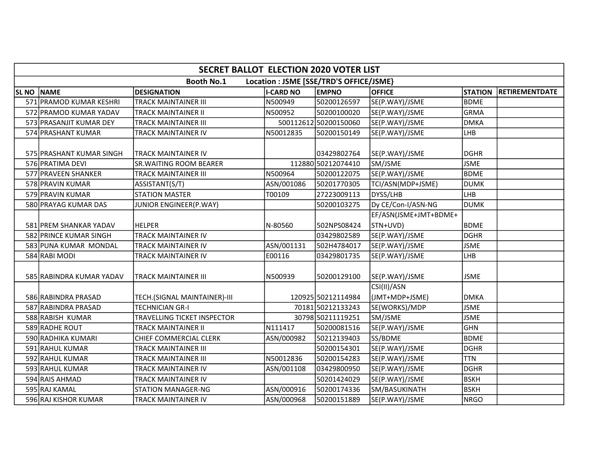|                   | <b>SECRET BALLOT ELECTION 2020 VOTER LIST</b>                |                                |                  |                       |                                   |                |                       |  |  |  |  |
|-------------------|--------------------------------------------------------------|--------------------------------|------------------|-----------------------|-----------------------------------|----------------|-----------------------|--|--|--|--|
|                   | <b>Booth No.1</b><br>Location : JSME [SSE/TRD'S OFFICE/JSME} |                                |                  |                       |                                   |                |                       |  |  |  |  |
| <b>SL NO NAME</b> |                                                              | <b>DESIGNATION</b>             | <b>I-CARD NO</b> | <b>EMPNO</b>          | <b>OFFICE</b>                     | <b>STATION</b> | <b>RETIREMENTDATE</b> |  |  |  |  |
|                   | 571 PRAMOD KUMAR KESHRI                                      | <b>TRACK MAINTAINER III</b>    | N500949          | 50200126597           | SE(P.WAY)/JSME                    | BDME           |                       |  |  |  |  |
|                   | 572 PRAMOD KUMAR YADAV                                       | <b>TRACK MAINTAINER II</b>     | N500952          | 50200100020           | SE(P.WAY)/JSME                    | GRMA           |                       |  |  |  |  |
|                   | 573 PRASANJIT KUMAR DEY                                      | <b>TRACK MAINTAINER III</b>    |                  | 500112612 50200150060 | SE(P.WAY)/JSME                    | <b>DMKA</b>    |                       |  |  |  |  |
|                   | 574 PRASHANT KUMAR                                           | <b>TRACK MAINTAINER IV</b>     | N50012835        | 50200150149           | SE(P.WAY)/JSME                    | LHB            |                       |  |  |  |  |
|                   | 575 PRASHANT KUMAR SINGH                                     | <b>TRACK MAINTAINER IV</b>     |                  | 03429802764           | SE(P.WAY)/JSME                    | <b>DGHR</b>    |                       |  |  |  |  |
|                   | 576 PRATIMA DEVI                                             | <b>SR. WAITING ROOM BEARER</b> |                  | 112880 50212074410    | SM/JSME                           | <b>JSME</b>    |                       |  |  |  |  |
|                   | 577 PRAVEEN SHANKER                                          | <b>TRACK MAINTAINER III</b>    | N500964          | 50200122075           | SE(P.WAY)/JSME                    | lbdme          |                       |  |  |  |  |
|                   | 578 PRAVIN KUMAR                                             | ASSISTANT(S/T)                 | ASN/001086       | 50201770305           | TCI/ASN(MDP+JSME)                 | <b>DUMK</b>    |                       |  |  |  |  |
|                   | 579 PRAVIN KUMAR                                             | <b>STATION MASTER</b>          | T00109           | 27223009113           | DYSS/LHB                          | Ігнв           |                       |  |  |  |  |
|                   | 580 PRAYAG KUMAR DAS                                         | JUNIOR ENGINEER(P.WAY)         |                  | 50200103275           | Dy CE/Con-I/ASN-NG                | DUMK           |                       |  |  |  |  |
|                   | 581 PREM SHANKAR YADAV                                       | <b>HELPER</b>                  | N-80560          | 502NPS08424           | EF/ASN(JSME+JMT+BDME+<br>STN+UVD) | <b>BDME</b>    |                       |  |  |  |  |
|                   | 582 PRINCE KUMAR SINGH                                       | <b>TRACK MAINTAINER IV</b>     |                  | 03429802589           | SE(P.WAY)/JSME                    | DGHR           |                       |  |  |  |  |
|                   | 583 PUNA KUMAR MONDAL                                        | <b>TRACK MAINTAINER IV</b>     | ASN/001131       | 502H4784017           | SE(P.WAY)/JSME                    | <b>JSME</b>    |                       |  |  |  |  |
|                   | 584 RABI MODI                                                | TRACK MAINTAINER IV            | E00116           | 03429801735           | SE(P.WAY)/JSME                    | LHB            |                       |  |  |  |  |
|                   | 585 RABINDRA KUMAR YADAV                                     | <b>TRACK MAINTAINER III</b>    | N500939          | 50200129100           | SE(P.WAY)/JSME                    | <b>JSME</b>    |                       |  |  |  |  |
|                   | 586 RABINDRA PRASAD                                          | TECH.(SIGNAL MAINTAINER)-III   |                  | 120925 50212114984    | CSI(II)/ASN<br>(JMT+MDP+JSME)     | ldmka          |                       |  |  |  |  |
|                   | 587 RABINDRA PRASAD                                          | <b>TECHNICIAN GR-I</b>         |                  | 70181 50212133243     | SE(WORKS)/MDP                     | <b>JSME</b>    |                       |  |  |  |  |
|                   | 588 RABISH KUMAR                                             | TRAVELLING TICKET INSPECTOR    |                  | 30798 50211119251     | SM/JSME                           | <b>JSME</b>    |                       |  |  |  |  |
|                   | 589 RADHE ROUT                                               | <b>TRACK MAINTAINER II</b>     | N111417          | 50200081516           | SE(P.WAY)/JSME                    | <b>GHN</b>     |                       |  |  |  |  |
|                   | 590 RADHIKA KUMARI                                           | CHIEF COMMERCIAL CLERK         | ASN/000982       | 50212139403           | SS/BDME                           | BDME           |                       |  |  |  |  |
|                   | 591 RAHUL KUMAR                                              | <b>TRACK MAINTAINER III</b>    |                  | 50200154301           | SE(P.WAY)/JSME                    | DGHR           |                       |  |  |  |  |
|                   | 592 RAHUL KUMAR                                              | <b>TRACK MAINTAINER III</b>    | N50012836        | 50200154283           | SE(P.WAY)/JSME                    | <b>TTN</b>     |                       |  |  |  |  |
|                   | 593 RAHUL KUMAR                                              | <b>TRACK MAINTAINER IV</b>     | ASN/001108       | 03429800950           | SE(P.WAY)/JSME                    | DGHR           |                       |  |  |  |  |
|                   | 594 RAIS AHMAD                                               | <b>TRACK MAINTAINER IV</b>     |                  | 50201424029           | SE(P.WAY)/JSME                    | <b>BSKH</b>    |                       |  |  |  |  |
|                   | 595 RAJ KAMAL                                                | <b>STATION MANAGER-NG</b>      | ASN/000916       | 50200174336           | SM/BASUKINATH                     | <b>BSKH</b>    |                       |  |  |  |  |
|                   | 596 RAJ KISHOR KUMAR                                         | <b>TRACK MAINTAINER IV</b>     | ASN/000968       | 50200151889           | SE(P.WAY)/JSME                    | NRGO           |                       |  |  |  |  |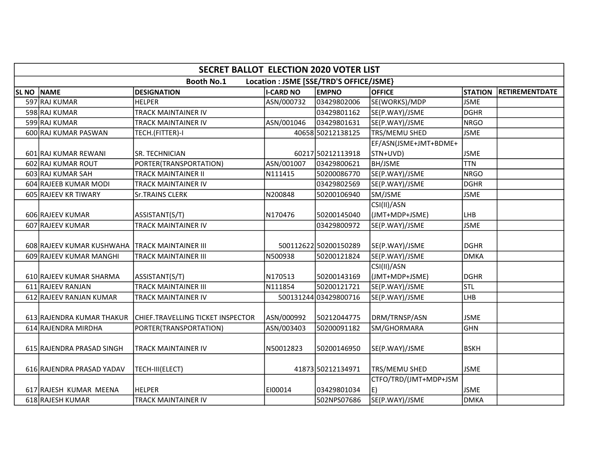|             | <b>SECRET BALLOT ELECTION 2020 VOTER LIST</b> |                                   |                  |                                         |                                   |                |                       |  |  |  |
|-------------|-----------------------------------------------|-----------------------------------|------------------|-----------------------------------------|-----------------------------------|----------------|-----------------------|--|--|--|
|             |                                               | <b>Booth No.1</b>                 |                  | Location : JSME [SSE/TRD'S OFFICE/JSME} |                                   |                |                       |  |  |  |
| <b>SLNO</b> | <b>NAME</b>                                   | <b>DESIGNATION</b>                | <b>I-CARD NO</b> | <b>EMPNO</b>                            | <b>OFFICE</b>                     | <b>STATION</b> | <b>RETIREMENTDATE</b> |  |  |  |
|             | 597 RAJ KUMAR                                 | <b>HELPER</b>                     | ASN/000732       | 03429802006                             | SE(WORKS)/MDP                     | <b>JSME</b>    |                       |  |  |  |
|             | 598 RAJ KUMAR                                 | <b>TRACK MAINTAINER IV</b>        |                  | 03429801162                             | SE(P.WAY)/JSME                    | DGHR           |                       |  |  |  |
|             | 599 RAJ KUMAR                                 | <b>TRACK MAINTAINER IV</b>        | ASN/001046       | 03429801631                             | SE(P.WAY)/JSME                    | NRGO           |                       |  |  |  |
|             | 600 RAJ KUMAR PASWAN                          | TECH.(FITTER)-I                   |                  | 40658 50212138125                       | TRS/MEMU SHED                     | <b>JSME</b>    |                       |  |  |  |
|             | 601 RAJ KUMAR REWANI                          | SR. TECHNICIAN                    |                  | 60217 50212113918                       | EF/ASN(JSME+JMT+BDME+<br>STN+UVD) | <b>JSME</b>    |                       |  |  |  |
|             | 602 RAJ KUMAR ROUT                            | PORTER(TRANSPORTATION)            | ASN/001007       | 03429800621                             | <b>BH/JSME</b>                    | <b>TTN</b>     |                       |  |  |  |
|             | 603 RAJ KUMAR SAH                             | <b>TRACK MAINTAINER II</b>        | N111415          | 50200086770                             | SE(P.WAY)/JSME                    | NRGO           |                       |  |  |  |
|             | 604 RAJEEB KUMAR MODI                         | <b>TRACK MAINTAINER IV</b>        |                  | 03429802569                             | SE(P.WAY)/JSME                    | DGHR           |                       |  |  |  |
|             | 605 RAJEEV KR TIWARY                          | <b>Sr.TRAINS CLERK</b>            | N200848          | 50200106940                             | SM/JSME                           | <b>JSME</b>    |                       |  |  |  |
|             |                                               |                                   |                  |                                         | CSI(II)/ASN                       |                |                       |  |  |  |
|             | 606 RAJEEV KUMAR                              | ASSISTANT(S/T)                    | N170476          | 50200145040                             | (JMT+MDP+JSME)                    | LHB            |                       |  |  |  |
|             | 607 RAJEEV KUMAR                              | <b>TRACK MAINTAINER IV</b>        |                  | 03429800972                             | SE(P.WAY)/JSME                    | <b>JSME</b>    |                       |  |  |  |
|             | 608 RAJEEV KUMAR KUSHWAHA                     | <b>TRACK MAINTAINER III</b>       |                  | 500112622 50200150289                   | SE(P.WAY)/JSME                    | <b>DGHR</b>    |                       |  |  |  |
|             | 609 RAJEEV KUMAR MANGHI                       | <b>TRACK MAINTAINER III</b>       | N500938          | 50200121824                             | SE(P.WAY)/JSME                    | <b>DMKA</b>    |                       |  |  |  |
|             | 610 RAJEEV KUMAR SHARMA                       | ASSISTANT(S/T)                    | N170513          | 50200143169                             | CSI(II)/ASN<br>(JMT+MDP+JSME)     | DGHR           |                       |  |  |  |
|             | 611 RAJEEV RANJAN                             | <b>TRACK MAINTAINER III</b>       | N111854          | 50200121721                             | SE(P.WAY)/JSME                    | STL            |                       |  |  |  |
|             | 612 RAJEEV RANJAN KUMAR                       | TRACK MAINTAINER IV               |                  | 500131244 03429800716                   | SE(P.WAY)/JSME                    | LHB            |                       |  |  |  |
|             | 613 RAJENDRA KUMAR THAKUR                     | CHIEF.TRAVELLING TICKET INSPECTOR | ASN/000992       | 50212044775                             | DRM/TRNSP/ASN                     | <b>JSME</b>    |                       |  |  |  |
|             | 614 RAJENDRA MIRDHA                           | PORTER(TRANSPORTATION)            | ASN/003403       | 50200091182                             | SM/GHORMARA                       | <b>GHN</b>     |                       |  |  |  |
|             | 615 RAJENDRA PRASAD SINGH                     | TRACK MAINTAINER IV               | N50012823        | 50200146950                             | SE(P.WAY)/JSME                    | BSKH           |                       |  |  |  |
|             | 616 RAJENDRA PRASAD YADAV                     | TECH-III(ELECT)                   |                  | 41873 50212134971                       | <b>TRS/MEMU SHED</b>              | <b>JSME</b>    |                       |  |  |  |
|             | 617 RAJESH KUMAR MEENA                        | <b>HELPER</b>                     | EI00014          | 03429801034                             | CTFO/TRD/(JMT+MDP+JSM<br>E)       | <b>JSME</b>    |                       |  |  |  |
|             | 618 RAJESH KUMAR                              | <b>TRACK MAINTAINER IV</b>        |                  | 502NPS07686                             | SE(P.WAY)/JSME                    | <b>DMKA</b>    |                       |  |  |  |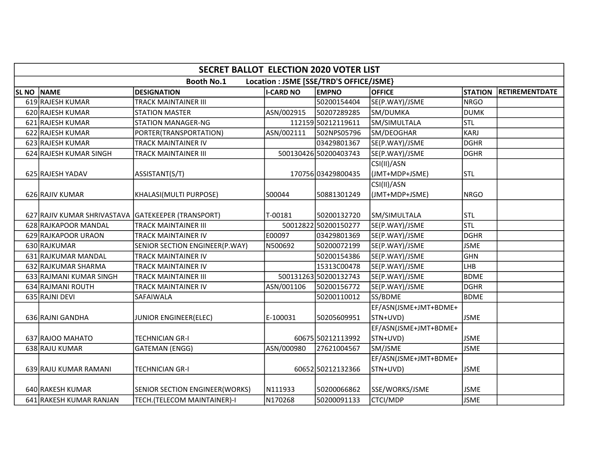|                                                              | <b>SECRET BALLOT ELECTION 2020 VOTER LIST</b>      |                                       |                  |                       |                       |                |                       |  |  |  |  |
|--------------------------------------------------------------|----------------------------------------------------|---------------------------------------|------------------|-----------------------|-----------------------|----------------|-----------------------|--|--|--|--|
| <b>Booth No.1</b><br>Location : JSME [SSE/TRD'S OFFICE/JSME} |                                                    |                                       |                  |                       |                       |                |                       |  |  |  |  |
| <b>SL NO NAME</b>                                            |                                                    | <b>DESIGNATION</b>                    | <b>I-CARD NO</b> | <b>EMPNO</b>          | <b>OFFICE</b>         | <b>STATION</b> | <b>RETIREMENTDATE</b> |  |  |  |  |
|                                                              | 619 RAJESH KUMAR                                   | TRACK MAINTAINER III                  |                  | 50200154404           | SE(P.WAY)/JSME        | <b>NRGO</b>    |                       |  |  |  |  |
|                                                              | 620 RAJESH KUMAR                                   | <b>STATION MASTER</b>                 | ASN/002915       | 50207289285           | SM/DUMKA              | <b>DUMK</b>    |                       |  |  |  |  |
|                                                              | 621 RAJESH KUMAR                                   | <b>STATION MANAGER-NG</b>             |                  | 112159 50212119611    | SM/SIMULTALA          | <b>STL</b>     |                       |  |  |  |  |
|                                                              | 622 RAJESH KUMAR                                   | PORTER(TRANSPORTATION)                | ASN/002111       | 502NPS05796           | SM/DEOGHAR            | KARJ           |                       |  |  |  |  |
|                                                              | 623 RAJESH KUMAR                                   | TRACK MAINTAINER IV                   |                  | 03429801367           | SE(P.WAY)/JSME        | DGHR           |                       |  |  |  |  |
|                                                              | 624 RAJESH KUMAR SINGH                             | TRACK MAINTAINER III                  |                  | 500130426 50200403743 | SE(P.WAY)/JSME        | <b>DGHR</b>    |                       |  |  |  |  |
|                                                              |                                                    |                                       |                  |                       | CSI(II)/ASN           |                |                       |  |  |  |  |
|                                                              | 625 RAJESH YADAV                                   | ASSISTANT(S/T)                        |                  | 170756 03429800435    | (JMT+MDP+JSME)        | <b>STL</b>     |                       |  |  |  |  |
|                                                              |                                                    |                                       |                  |                       | CSI(II)/ASN           |                |                       |  |  |  |  |
|                                                              | 626 RAJIV KUMAR                                    | KHALASI(MULTI PURPOSE)                | S00044           | 50881301249           | (JMT+MDP+JSME)        | INRGO          |                       |  |  |  |  |
|                                                              |                                                    |                                       |                  |                       |                       |                |                       |  |  |  |  |
|                                                              | 627 RAJIV KUMAR SHRIVASTAVA GATEKEEPER (TRANSPORT) |                                       | T-00181          | 50200132720           | SM/SIMULTALA          | <b>STL</b>     |                       |  |  |  |  |
|                                                              | 628 RAJKAPOOR MANDAL                               | <b>TRACK MAINTAINER III</b>           |                  | 50012822 50200150277  | SE(P.WAY)/JSME        | <b>STL</b>     |                       |  |  |  |  |
|                                                              | 629 RAJKAPOOR URAON                                | TRACK MAINTAINER IV                   | E00097           | 03429801369           | SE(P.WAY)/JSME        | DGHR           |                       |  |  |  |  |
|                                                              | 630 RAJKUMAR                                       | SENIOR SECTION ENGINEER(P.WAY)        | N500692          | 50200072199           | SE(P.WAY)/JSME        | <b>JSME</b>    |                       |  |  |  |  |
|                                                              | 631 RAJKUMAR MANDAL                                | TRACK MAINTAINER IV                   |                  | 50200154386           | SE(P.WAY)/JSME        | <b>GHN</b>     |                       |  |  |  |  |
|                                                              | 632 RAJKUMAR SHARMA                                | TRACK MAINTAINER IV                   |                  | 15313C00478           | SE(P.WAY)/JSME        | Ігнв           |                       |  |  |  |  |
|                                                              | 633 RAJMANI KUMAR SINGH                            | TRACK MAINTAINER III                  |                  | 500131263 50200132743 | SE(P.WAY)/JSME        | BDME           |                       |  |  |  |  |
|                                                              | 634 RAJMANI ROUTH                                  | TRACK MAINTAINER IV                   | ASN/001106       | 50200156772           | SE(P.WAY)/JSME        | DGHR           |                       |  |  |  |  |
|                                                              | 635 RAJNI DEVI                                     | SAFAIWALA                             |                  | 50200110012           | SS/BDME               | <b>BDME</b>    |                       |  |  |  |  |
|                                                              |                                                    |                                       |                  |                       | EF/ASN(JSME+JMT+BDME+ |                |                       |  |  |  |  |
|                                                              | 636 RAJNI GANDHA                                   | JUNIOR ENGINEER(ELEC)                 | E-100031         | 50205609951           | STN+UVD)              | <b>JSME</b>    |                       |  |  |  |  |
|                                                              |                                                    |                                       |                  |                       | EF/ASN(JSME+JMT+BDME+ |                |                       |  |  |  |  |
|                                                              | 637 RAJOO MAHATO                                   | TECHNICIAN GR-I                       |                  | 60675 50212113992     | STN+UVD)              | <b>JSME</b>    |                       |  |  |  |  |
|                                                              | 638 RAJU KUMAR                                     | <b>GATEMAN (ENGG)</b>                 | ASN/000980       | 27621004567           | SM/JSME               | <b>JSME</b>    |                       |  |  |  |  |
|                                                              |                                                    |                                       |                  |                       | EF/ASN(JSME+JMT+BDME+ |                |                       |  |  |  |  |
|                                                              | 639 RAJU KUMAR RAMANI                              | TECHNICIAN GR-I                       |                  | 60652 50212132366     | STN+UVD)              | <b>JSME</b>    |                       |  |  |  |  |
|                                                              |                                                    |                                       |                  |                       |                       |                |                       |  |  |  |  |
|                                                              | 640 RAKESH KUMAR                                   | <b>SENIOR SECTION ENGINEER(WORKS)</b> | N111933          | 50200066862           | SSE/WORKS/JSME        | <b>JSME</b>    |                       |  |  |  |  |
|                                                              | 641 RAKESH KUMAR RANJAN                            | TECH.(TELECOM MAINTAINER)-I           | N170268          | 50200091133           | <b>CTCI/MDP</b>       | <b>JSME</b>    |                       |  |  |  |  |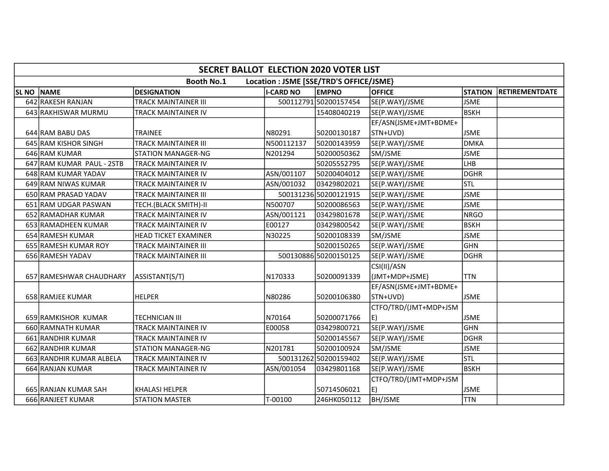|              | <b>SECRET BALLOT ELECTION 2020 VOTER LIST</b>                |                             |                  |                       |                       |                |                       |  |  |  |
|--------------|--------------------------------------------------------------|-----------------------------|------------------|-----------------------|-----------------------|----------------|-----------------------|--|--|--|
|              | <b>Booth No.1</b><br>Location : JSME [SSE/TRD'S OFFICE/JSME} |                             |                  |                       |                       |                |                       |  |  |  |
| <b>SL NO</b> | <b>NAME</b>                                                  | <b>DESIGNATION</b>          | <b>I-CARD NO</b> | <b>EMPNO</b>          | <b>OFFICE</b>         | <b>STATION</b> | <b>RETIREMENTDATE</b> |  |  |  |
|              | 642 RAKESH RANJAN                                            | <b>TRACK MAINTAINER III</b> |                  | 500112791 50200157454 | SE(P.WAY)/JSME        | <b>JSME</b>    |                       |  |  |  |
|              | 643 RAKHISWAR MURMU                                          | TRACK MAINTAINER IV         |                  | 15408040219           | SE(P.WAY)/JSME        | <b>BSKH</b>    |                       |  |  |  |
|              |                                                              |                             |                  |                       | EF/ASN(JSME+JMT+BDME+ |                |                       |  |  |  |
|              | 644 RAM BABU DAS                                             | <b>TRAINEE</b>              | N80291           | 50200130187           | STN+UVD)              | <b>JSME</b>    |                       |  |  |  |
|              | 645 RAM KISHOR SINGH                                         | <b>TRACK MAINTAINER III</b> | N500112137       | 50200143959           | SE(P.WAY)/JSME        | <b>DMKA</b>    |                       |  |  |  |
|              | 646 RAM KUMAR                                                | <b>STATION MANAGER-NG</b>   | N201294          | 50200050362           | SM/JSME               | <b>JSME</b>    |                       |  |  |  |
|              | 647 RAM KUMAR PAUL - 2STB                                    | TRACK MAINTAINER IV         |                  | 50205552795           | SE(P.WAY)/JSME        | LHB            |                       |  |  |  |
|              | 648 RAM KUMAR YADAV                                          | TRACK MAINTAINER IV         | ASN/001107       | 50200404012           | SE(P.WAY)/JSME        | <b>DGHR</b>    |                       |  |  |  |
|              | 649 RAM NIWAS KUMAR                                          | TRACK MAINTAINER IV         | ASN/001032       | 03429802021           | SE(P.WAY)/JSME        | Istl           |                       |  |  |  |
|              | 650 RAM PRASAD YADAV                                         | <b>TRACK MAINTAINER III</b> |                  | 500131236 50200121915 | SE(P.WAY)/JSME        | <b>JSME</b>    |                       |  |  |  |
|              | 651 RAM UDGAR PASWAN                                         | TECH.(BLACK SMITH)-II       | N500707          | 50200086563           | SE(P.WAY)/JSME        | <b>JSME</b>    |                       |  |  |  |
|              | 652 RAMADHAR KUMAR                                           | TRACK MAINTAINER IV         | ASN/001121       | 03429801678           | SE(P.WAY)/JSME        | <b>NRGO</b>    |                       |  |  |  |
|              | 653 RAMADHEEN KUMAR                                          | TRACK MAINTAINER IV         | E00127           | 03429800542           | SE(P.WAY)/JSME        | <b>BSKH</b>    |                       |  |  |  |
|              | 654 RAMESH KUMAR                                             | <b>HEAD TICKET EXAMINER</b> | N30225           | 50200108339           | SM/JSME               | <b>JSME</b>    |                       |  |  |  |
|              | 655 RAMESH KUMAR ROY                                         | TRACK MAINTAINER III        |                  | 50200150265           | SE(P.WAY)/JSME        | <b>GHN</b>     |                       |  |  |  |
|              | 656 RAMESH YADAV                                             | TRACK MAINTAINER III        |                  | 500130886 50200150125 | SE(P.WAY)/JSME        | <b>DGHR</b>    |                       |  |  |  |
|              |                                                              |                             |                  |                       | CSI(II)/ASN           |                |                       |  |  |  |
|              | 657 RAMESHWAR CHAUDHARY                                      | ASSISTANT(S/T)              | N170333          | 50200091339           | (JMT+MDP+JSME)        | <b>TTN</b>     |                       |  |  |  |
|              |                                                              |                             |                  |                       | EF/ASN(JSME+JMT+BDME+ |                |                       |  |  |  |
|              | 658 RAMJEE KUMAR                                             | <b>HELPER</b>               | N80286           | 50200106380           | STN+UVD)              | <b>JSME</b>    |                       |  |  |  |
|              |                                                              |                             |                  |                       | CTFO/TRD/(JMT+MDP+JSM |                |                       |  |  |  |
|              | 659 RAMKISHOR KUMAR                                          | <b>TECHNICIAN III</b>       | N70164           | 50200071766           | E)                    | <b>JSME</b>    |                       |  |  |  |
|              | 660 RAMNATH KUMAR                                            | TRACK MAINTAINER IV         | E00058           | 03429800721           | SE(P.WAY)/JSME        | <b>GHN</b>     |                       |  |  |  |
|              | 661 RANDHIR KUMAR                                            | TRACK MAINTAINER IV         |                  | 50200145567           | SE(P.WAY)/JSME        | <b>DGHR</b>    |                       |  |  |  |
|              | 662 RANDHIR KUMAR                                            | <b>STATION MANAGER-NG</b>   | N201781          | 50200100924           | SM/JSME               | <b>JSME</b>    |                       |  |  |  |
|              | 663 RANDHIR KUMAR ALBELA                                     | <b>TRACK MAINTAINER IV</b>  |                  | 500131262 50200159402 | SE(P.WAY)/JSME        | stl            |                       |  |  |  |
|              | 664 RANJAN KUMAR                                             | TRACK MAINTAINER IV         | ASN/001054       | 03429801168           | SE(P.WAY)/JSME        | BSKH           |                       |  |  |  |
|              |                                                              |                             |                  |                       | CTFO/TRD/(JMT+MDP+JSM |                |                       |  |  |  |
|              | 665 RANJAN KUMAR SAH                                         | <b>KHALASI HELPER</b>       |                  | 50714506021           | E)                    | <b>JSME</b>    |                       |  |  |  |
|              | 666 RANJEET KUMAR                                            | <b>STATION MASTER</b>       | $T-00100$        | 246HK050112           | <b>BH/JSME</b>        | <b>TTN</b>     |                       |  |  |  |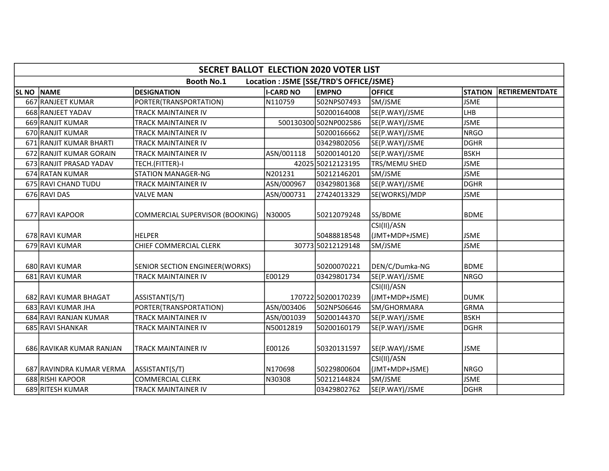|                  | <b>SECRET BALLOT ELECTION 2020 VOTER LIST</b> |                                 |                  |                                         |                               |                |                       |  |  |  |  |
|------------------|-----------------------------------------------|---------------------------------|------------------|-----------------------------------------|-------------------------------|----------------|-----------------------|--|--|--|--|
|                  |                                               | <b>Booth No.1</b>               |                  | Location : JSME [SSE/TRD'S OFFICE/JSME} |                               |                |                       |  |  |  |  |
| SL <sub>NO</sub> | <b>NAME</b>                                   | <b>DESIGNATION</b>              | <b>I-CARD NO</b> | <b>EMPNO</b>                            | <b>OFFICE</b>                 | <b>STATION</b> | <b>RETIREMENTDATE</b> |  |  |  |  |
|                  | 667 RANJEET KUMAR                             | PORTER(TRANSPORTATION)          | N110759          | 502NPS07493                             | SM/JSME                       | <b>JSME</b>    |                       |  |  |  |  |
|                  | 668 RANJEET YADAV                             | TRACK MAINTAINER IV             |                  | 50200164008                             | SE(P.WAY)/JSME                | Ігнв           |                       |  |  |  |  |
|                  | 669 RANJIT KUMAR                              | TRACK MAINTAINER IV             |                  | 500130300 502NP002586                   | SE(P.WAY)/JSME                | <b>JSME</b>    |                       |  |  |  |  |
|                  | 670 RANJIT KUMAR                              | TRACK MAINTAINER IV             |                  | 50200166662                             | SE(P.WAY)/JSME                | NRGO           |                       |  |  |  |  |
|                  | 671 RANJIT KUMAR BHARTI                       | TRACK MAINTAINER IV             |                  | 03429802056                             | SE(P.WAY)/JSME                | DGHR           |                       |  |  |  |  |
|                  | 672 RANJIT KUMAR GORAIN                       | TRACK MAINTAINER IV             | ASN/001118       | 50200140120                             | SE(P.WAY)/JSME                | <b>BSKH</b>    |                       |  |  |  |  |
|                  | 673 RANJIT PRASAD YADAV                       | TECH.(FITTER)-I                 |                  | 42025 50212123195                       | TRS/MEMU SHED                 | <b>JSME</b>    |                       |  |  |  |  |
|                  | 674 RATAN KUMAR                               | <b>STATION MANAGER-NG</b>       | N201231          | 50212146201                             | SM/JSME                       | <b>JSME</b>    |                       |  |  |  |  |
|                  | 675 RAVI CHAND TUDU                           | TRACK MAINTAINER IV             | ASN/000967       | 03429801368                             | SE(P.WAY)/JSME                | DGHR           |                       |  |  |  |  |
|                  | 676 RAVI DAS                                  | <b>VALVE MAN</b>                | ASN/000731       | 27424013329                             | SE(WORKS)/MDP                 | <b>JSME</b>    |                       |  |  |  |  |
|                  | 677 RAVI KAPOOR                               | COMMERCIAL SUPERVISOR (BOOKING) | N30005           | 50212079248                             | SS/BDME<br>CSI(II)/ASN        | <b>BDME</b>    |                       |  |  |  |  |
|                  | 678 RAVI KUMAR                                | <b>HELPER</b>                   |                  | 50488818548                             | (JMT+MDP+JSME)                | <b>JSME</b>    |                       |  |  |  |  |
|                  | 679 RAVI KUMAR                                | CHIEF COMMERCIAL CLERK          |                  | 30773 50212129148                       | SM/JSME                       | <b>JSME</b>    |                       |  |  |  |  |
|                  |                                               |                                 |                  |                                         |                               |                |                       |  |  |  |  |
|                  | 680 RAVI KUMAR                                | SENIOR SECTION ENGINEER(WORKS)  |                  | 50200070221                             | DEN/C/Dumka-NG                | <b>BDME</b>    |                       |  |  |  |  |
|                  | 681 RAVI KUMAR                                | <b>TRACK MAINTAINER IV</b>      | E00129           | 03429801734                             | SE(P.WAY)/JSME                | NRGO           |                       |  |  |  |  |
|                  | 682 RAVI KUMAR BHAGAT                         | ASSISTANT(S/T)                  |                  | 170722 50200170239                      | CSI(II)/ASN<br>(JMT+MDP+JSME) | Idumk          |                       |  |  |  |  |
|                  | 683 RAVI KUMAR JHA                            | PORTER(TRANSPORTATION)          | ASN/003406       | 502NPS06646                             | SM/GHORMARA                   | GRMA           |                       |  |  |  |  |
|                  | 684 RAVI RANJAN KUMAR                         | TRACK MAINTAINER IV             | ASN/001039       | 50200144370                             | SE(P.WAY)/JSME                | <b>BSKH</b>    |                       |  |  |  |  |
|                  | 685 RAVI SHANKAR                              | TRACK MAINTAINER IV             | N50012819        | 50200160179                             | SE(P.WAY)/JSME                | DGHR           |                       |  |  |  |  |
|                  | 686 RAVIKAR KUMAR RANJAN                      | TRACK MAINTAINER IV             | E00126           | 50320131597                             | SE(P.WAY)/JSME                | <b>JSME</b>    |                       |  |  |  |  |
|                  | 687 RAVINDRA KUMAR VERMA                      | ASSISTANT(S/T)                  | N170698          | 50229800604                             | CSI(II)/ASN<br>(JMT+MDP+JSME) | INRGO          |                       |  |  |  |  |
|                  | 688 RISHI KAPOOR                              | <b>COMMERCIAL CLERK</b>         | N30308           | 50212144824                             | SM/JSME                       | <b>JSME</b>    |                       |  |  |  |  |
|                  | 689 RITESH KUMAR                              | TRACK MAINTAINER IV             |                  | 03429802762                             | SE(P.WAY)/JSME                | DGHR           |                       |  |  |  |  |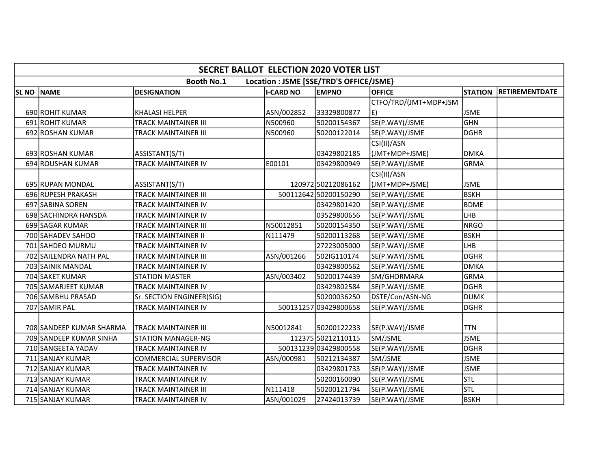|              | <b>SECRET BALLOT ELECTION 2020 VOTER LIST</b>                |                              |                  |                       |                       |                |                       |  |  |  |  |
|--------------|--------------------------------------------------------------|------------------------------|------------------|-----------------------|-----------------------|----------------|-----------------------|--|--|--|--|
|              | <b>Booth No.1</b><br>Location : JSME [SSE/TRD'S OFFICE/JSME} |                              |                  |                       |                       |                |                       |  |  |  |  |
| <b>SL NO</b> | <b>NAME</b>                                                  | <b>DESIGNATION</b>           | <b>I-CARD NO</b> | <b>EMPNO</b>          | <b>OFFICE</b>         | <b>STATION</b> | <b>RETIREMENTDATE</b> |  |  |  |  |
|              |                                                              |                              |                  |                       | CTFO/TRD/(JMT+MDP+JSM |                |                       |  |  |  |  |
|              | 690 ROHIT KUMAR                                              | <b>KHALASI HELPER</b>        | ASN/002852       | 33329800877           | E)                    | <b>JSME</b>    |                       |  |  |  |  |
|              | 691 ROHIT KUMAR                                              | <b>TRACK MAINTAINER III</b>  | N500960          | 50200154367           | SE(P.WAY)/JSME        | <b>GHN</b>     |                       |  |  |  |  |
|              | 692 ROSHAN KUMAR                                             | <b>TRACK MAINTAINER III</b>  | N500960          | 50200122014           | SE(P.WAY)/JSME        | <b>DGHR</b>    |                       |  |  |  |  |
|              |                                                              |                              |                  |                       | CSI(II)/ASN           |                |                       |  |  |  |  |
|              | 693 ROSHAN KUMAR                                             | ASSISTANT(S/T)               |                  | 03429802185           | (JMT+MDP+JSME)        | <b>DMKA</b>    |                       |  |  |  |  |
|              | 694 ROUSHAN KUMAR                                            | TRACK MAINTAINER IV          | E00101           | 03429800949           | SE(P.WAY)/JSME        | <b>GRMA</b>    |                       |  |  |  |  |
|              |                                                              |                              |                  |                       | CSI(II)/ASN           |                |                       |  |  |  |  |
|              | 695 RUPAN MONDAL                                             | ASSISTANT(S/T)               |                  | 120972 50212086162    | (JMT+MDP+JSME)        | <b>JSME</b>    |                       |  |  |  |  |
|              | 696 RUPESH PRAKASH                                           | <b>TRACK MAINTAINER III</b>  |                  | 500112642 50200150290 | SE(P.WAY)/JSME        | <b>BSKH</b>    |                       |  |  |  |  |
|              | 697 SABINA SOREN                                             | <b>TRACK MAINTAINER IV</b>   |                  | 03429801420           | SE(P.WAY)/JSME        | <b>BDME</b>    |                       |  |  |  |  |
|              | 698 SACHINDRA HANSDA                                         | <b>TRACK MAINTAINER IV</b>   |                  | 03529800656           | SE(P.WAY)/JSME        | LHB            |                       |  |  |  |  |
|              | 699 SAGAR KUMAR                                              | <b>TRACK MAINTAINER III</b>  | N50012851        | 50200154350           | SE(P.WAY)/JSME        | <b>NRGO</b>    |                       |  |  |  |  |
|              | 700 SAHADEV SAHOO                                            | <b>TRACK MAINTAINER II</b>   | N111479          | 50200113268           | SE(P.WAY)/JSME        | <b>BSKH</b>    |                       |  |  |  |  |
|              | 701 SAHDEO MURMU                                             | TRACK MAINTAINER IV          |                  | 27223005000           | SE(P.WAY)/JSME        | LHB            |                       |  |  |  |  |
|              | 702 SAILENDRA NATH PAL                                       | <b>TRACK MAINTAINER III</b>  | ASN/001266       | 502IG110174           | SE(P.WAY)/JSME        | <b>DGHR</b>    |                       |  |  |  |  |
|              | 703 SAINIK MANDAL                                            | <b>TRACK MAINTAINER IV</b>   |                  | 03429800562           | SE(P.WAY)/JSME        | <b>DMKA</b>    |                       |  |  |  |  |
|              | 704 SAKET KUMAR                                              | <b>STATION MASTER</b>        | ASN/003402       | 50200174439           | SM/GHORMARA           | GRMA           |                       |  |  |  |  |
|              | 705 SAMARJEET KUMAR                                          | TRACK MAINTAINER IV          |                  | 03429802584           | SE(P.WAY)/JSME        | <b>DGHR</b>    |                       |  |  |  |  |
|              | 706 SAMBHU PRASAD                                            | Sr. SECTION ENGINEER(SIG)    |                  | 50200036250           | DSTE/Con/ASN-NG       | <b>DUMK</b>    |                       |  |  |  |  |
|              | 707 SAMIR PAL                                                | <b>TRACK MAINTAINER IV</b>   |                  | 500131257 03429800658 | SE(P.WAY)/JSME        | <b>DGHR</b>    |                       |  |  |  |  |
|              |                                                              |                              |                  |                       |                       |                |                       |  |  |  |  |
|              | 708 SANDEEP KUMAR SHARMA                                     | <b>TRACK MAINTAINER III</b>  | N50012841        | 50200122233           | SE(P.WAY)/JSME        | <b>TTN</b>     |                       |  |  |  |  |
|              | 709 SANDEEP KUMAR SINHA                                      | <b>STATION MANAGER-NG</b>    |                  | 112375 50212110115    | SM/JSME               | <b>JSME</b>    |                       |  |  |  |  |
|              | 710 SANGEETA YADAV                                           | <b>TRACK MAINTAINER IV</b>   |                  | 50013123903429800558  | SE(P.WAY)/JSME        | <b>DGHR</b>    |                       |  |  |  |  |
|              | 711 SANJAY KUMAR                                             | <b>COMMERCIAL SUPERVISOR</b> | ASN/000981       | 50212134387           | SM/JSME               | <b>JSME</b>    |                       |  |  |  |  |
|              | 712 SANJAY KUMAR                                             | <b>TRACK MAINTAINER IV</b>   |                  | 03429801733           | SE(P.WAY)/JSME        | <b>JSME</b>    |                       |  |  |  |  |
|              | 713 SANJAY KUMAR                                             | TRACK MAINTAINER IV          |                  | 50200160090           | SE(P.WAY)/JSME        | <b>STL</b>     |                       |  |  |  |  |
|              | 714 SANJAY KUMAR                                             | <b>TRACK MAINTAINER III</b>  | N111418          | 50200121794           | SE(P.WAY)/JSME        | stl            |                       |  |  |  |  |
|              | 715 SANJAY KUMAR                                             | <b>TRACK MAINTAINER IV</b>   | ASN/001029       | 27424013739           | SE(P.WAY)/JSME        | <b>BSKH</b>    |                       |  |  |  |  |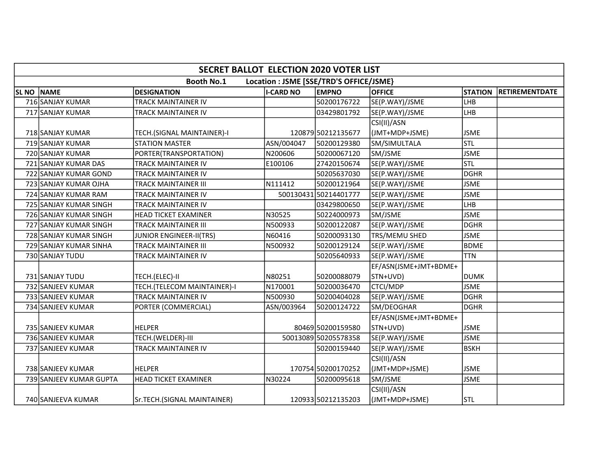|              | <b>SECRET BALLOT ELECTION 2020 VOTER LIST</b>                |                                |                  |                       |                       |                |                       |  |  |  |  |
|--------------|--------------------------------------------------------------|--------------------------------|------------------|-----------------------|-----------------------|----------------|-----------------------|--|--|--|--|
|              | <b>Booth No.1</b><br>Location : JSME [SSE/TRD'S OFFICE/JSME} |                                |                  |                       |                       |                |                       |  |  |  |  |
| <b>SL NO</b> | NAME                                                         | <b>DESIGNATION</b>             | <b>I-CARD NO</b> | <b>EMPNO</b>          | <b>OFFICE</b>         | <b>STATION</b> | <b>RETIREMENTDATE</b> |  |  |  |  |
|              | 716 SANJAY KUMAR                                             | TRACK MAINTAINER IV            |                  | 50200176722           | SE(P.WAY)/JSME        | LHB            |                       |  |  |  |  |
|              | 717 SANJAY KUMAR                                             | TRACK MAINTAINER IV            |                  | 03429801792           | SE(P.WAY)/JSME        | <b>LHB</b>     |                       |  |  |  |  |
|              |                                                              |                                |                  |                       | CSI(II)/ASN           |                |                       |  |  |  |  |
|              | 718 SANJAY KUMAR                                             | TECH.(SIGNAL MAINTAINER)-I     |                  | 120879 50212135677    | (JMT+MDP+JSME)        | <b>JSME</b>    |                       |  |  |  |  |
|              | 719 SANJAY KUMAR                                             | <b>STATION MASTER</b>          | ASN/004047       | 50200129380           | SM/SIMULTALA          | stl            |                       |  |  |  |  |
|              | 720 SANJAY KUMAR                                             | PORTER(TRANSPORTATION)         | N200606          | 50200067120           | SM/JSME               | <b>JSME</b>    |                       |  |  |  |  |
|              | 721 SANJAY KUMAR DAS                                         | TRACK MAINTAINER IV            | E100106          | 27420150674           | SE(P.WAY)/JSME        | Istl           |                       |  |  |  |  |
|              | 722 SANJAY KUMAR GOND                                        | TRACK MAINTAINER IV            |                  | 50205637030           | SE(P.WAY)/JSME        | <b>DGHR</b>    |                       |  |  |  |  |
|              | 723 SANJAY KUMAR OJHA                                        | <b>TRACK MAINTAINER III</b>    | N111412          | 50200121964           | SE(P.WAY)/JSME        | <b>JSME</b>    |                       |  |  |  |  |
|              | 724 SANJAY KUMAR RAM                                         | <b>TRACK MAINTAINER IV</b>     |                  | 500130431 50214401777 | SE(P.WAY)/JSME        | <b>JSME</b>    |                       |  |  |  |  |
|              | 725 SANJAY KUMAR SINGH                                       | TRACK MAINTAINER IV            |                  | 03429800650           | SE(P.WAY)/JSME        | <b>LHB</b>     |                       |  |  |  |  |
|              | 726 SANJAY KUMAR SINGH                                       | <b>HEAD TICKET EXAMINER</b>    | N30525           | 50224000973           | SM/JSME               | <b>JSME</b>    |                       |  |  |  |  |
|              | 727 SANJAY KUMAR SINGH                                       | TRACK MAINTAINER III           | N500933          | 50200122087           | SE(P.WAY)/JSME        | <b>DGHR</b>    |                       |  |  |  |  |
|              | 728 SANJAY KUMAR SINGH                                       | <b>JUNIOR ENGINEER-II(TRS)</b> | N60416           | 50200093130           | TRS/MEMU SHED         | <b>JSME</b>    |                       |  |  |  |  |
|              | 729 SANJAY KUMAR SINHA                                       | TRACK MAINTAINER III           | N500932          | 50200129124           | SE(P.WAY)/JSME        | <b>BDME</b>    |                       |  |  |  |  |
|              | 730 SANJAY TUDU                                              | <b>TRACK MAINTAINER IV</b>     |                  | 50205640933           | SE(P.WAY)/JSME        | <b>TTN</b>     |                       |  |  |  |  |
|              |                                                              |                                |                  |                       | EF/ASN(JSME+JMT+BDME+ |                |                       |  |  |  |  |
|              | 731 SANJAY TUDU                                              | TECH.(ELEC)-II                 | N80251           | 50200088079           | STN+UVD)              | DUMK           |                       |  |  |  |  |
|              | 732 SANJEEV KUMAR                                            | TECH.(TELECOM MAINTAINER)-I    | N170001          | 50200036470           | CTCI/MDP              | <b>JSME</b>    |                       |  |  |  |  |
|              | 733 SANJEEV KUMAR                                            | TRACK MAINTAINER IV            | N500930          | 50200404028           | SE(P.WAY)/JSME        | <b>DGHR</b>    |                       |  |  |  |  |
|              | 734 SANJEEV KUMAR                                            | PORTER (COMMERCIAL)            | ASN/003964       | 50200124722           | SM/DEOGHAR            | DGHR           |                       |  |  |  |  |
|              |                                                              |                                |                  |                       | EF/ASN(JSME+JMT+BDME+ |                |                       |  |  |  |  |
|              | 735 SANJEEV KUMAR                                            | <b>HELPER</b>                  |                  | 80469 50200159580     | STN+UVD)              | <b>JSME</b>    |                       |  |  |  |  |
|              | 736 SANJEEV KUMAR                                            | TECH.(WELDER)-III              |                  | 50013089 50205578358  | SE(P.WAY)/JSME        | <b>JSME</b>    |                       |  |  |  |  |
|              | 737 SANJEEV KUMAR                                            | TRACK MAINTAINER IV            |                  | 50200159440           | SE(P.WAY)/JSME        | <b>BSKH</b>    |                       |  |  |  |  |
|              |                                                              |                                |                  |                       | CSI(II)/ASN           |                |                       |  |  |  |  |
|              | 738 SANJEEV KUMAR                                            | <b>HELPER</b>                  |                  | 170754 50200170252    | (JMT+MDP+JSME)        | <b>JSME</b>    |                       |  |  |  |  |
|              | 739 SANJEEV KUMAR GUPTA                                      | <b>HEAD TICKET EXAMINER</b>    | N30224           | 50200095618           | SM/JSME               | <b>JSME</b>    |                       |  |  |  |  |
|              |                                                              |                                |                  |                       | CSI(II)/ASN           |                |                       |  |  |  |  |
|              | 740 SANJEEVA KUMAR                                           | Sr.TECH.(SIGNAL MAINTAINER)    |                  | 120933 50212135203    | (JMT+MDP+JSME)        | <b>STL</b>     |                       |  |  |  |  |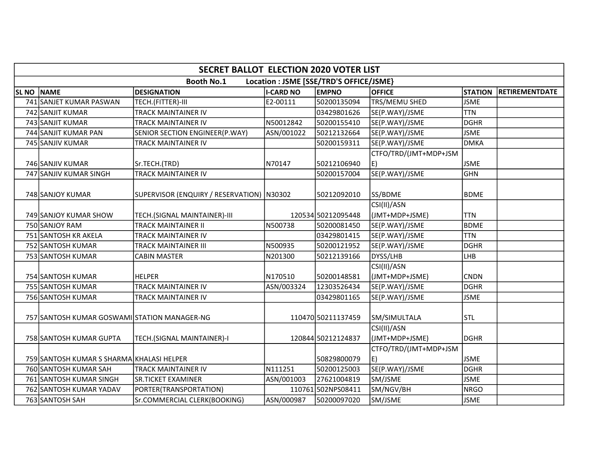|                  | <b>SECRET BALLOT ELECTION 2020 VOTER LIST</b>                |                                             |                  |                    |                       |                |                       |  |  |  |  |
|------------------|--------------------------------------------------------------|---------------------------------------------|------------------|--------------------|-----------------------|----------------|-----------------------|--|--|--|--|
|                  | <b>Booth No.1</b><br>Location : JSME [SSE/TRD'S OFFICE/JSME} |                                             |                  |                    |                       |                |                       |  |  |  |  |
| SL <sub>NO</sub> | <b>NAME</b>                                                  | <b>DESIGNATION</b>                          | <b>I-CARD NO</b> | <b>EMPNO</b>       | <b>OFFICE</b>         | <b>STATION</b> | <b>RETIREMENTDATE</b> |  |  |  |  |
|                  | 741 SANJET KUMAR PASWAN                                      | TECH.(FITTER)-III                           | E2-00111         | 50200135094        | TRS/MEMU SHED         | <b>JSME</b>    |                       |  |  |  |  |
|                  | 742 SANJIT KUMAR                                             | <b>TRACK MAINTAINER IV</b>                  |                  | 03429801626        | SE(P.WAY)/JSME        | <b>TTN</b>     |                       |  |  |  |  |
|                  | 743 SANJIT KUMAR                                             | TRACK MAINTAINER IV                         | N50012842        | 50200155410        | SE(P.WAY)/JSME        | DGHR           |                       |  |  |  |  |
|                  | 744 SANJIT KUMAR PAN                                         | SENIOR SECTION ENGINEER(P.WAY)              | ASN/001022       | 50212132664        | SE(P.WAY)/JSME        | <b>JSME</b>    |                       |  |  |  |  |
|                  | 745 SANJIV KUMAR                                             | TRACK MAINTAINER IV                         |                  | 50200159311        | SE(P.WAY)/JSME        | DMKA           |                       |  |  |  |  |
|                  |                                                              |                                             |                  |                    | CTFO/TRD/(JMT+MDP+JSM |                |                       |  |  |  |  |
|                  | 746 SANJIV KUMAR                                             | Sr.TECH.(TRD)                               | N70147           | 50212106940        | E)                    | <b>JSME</b>    |                       |  |  |  |  |
|                  | 747 SANJIV KUMAR SINGH                                       | TRACK MAINTAINER IV                         |                  | 50200157004        | SE(P.WAY)/JSME        | lghn           |                       |  |  |  |  |
|                  |                                                              |                                             |                  |                    |                       |                |                       |  |  |  |  |
|                  | 748 SANJOY KUMAR                                             | SUPERVISOR (ENQUIRY / RESERVATION)   N30302 |                  | 50212092010        | SS/BDME               | lbdme          |                       |  |  |  |  |
|                  |                                                              |                                             |                  |                    | CSI(II)/ASN           |                |                       |  |  |  |  |
|                  | 749 SANJOY KUMAR SHOW                                        | TECH.(SIGNAL MAINTAINER)-III                |                  | 120534 50212095448 | (JMT+MDP+JSME)        | <b>TTN</b>     |                       |  |  |  |  |
|                  | 750 SANJOY RAM                                               | <b>TRACK MAINTAINER II</b>                  | N500738          | 50200081450        | SE(P.WAY)/JSME        | <b>BDME</b>    |                       |  |  |  |  |
|                  | 751 SANTOSH KR AKELA                                         | TRACK MAINTAINER IV                         |                  | 03429801415        | SE(P.WAY)/JSME        | TTN            |                       |  |  |  |  |
|                  | 752 SANTOSH KUMAR                                            | TRACK MAINTAINER III                        | N500935          | 50200121952        | SE(P.WAY)/JSME        | DGHR           |                       |  |  |  |  |
|                  | 753 SANTOSH KUMAR                                            | <b>CABIN MASTER</b>                         | N201300          | 50212139166        | DYSS/LHB              | LHB            |                       |  |  |  |  |
|                  |                                                              |                                             |                  |                    | CSI(II)/ASN           |                |                       |  |  |  |  |
|                  | 754 SANTOSH KUMAR                                            | <b>HELPER</b>                               | N170510          | 50200148581        | (JMT+MDP+JSME)        | CNDN           |                       |  |  |  |  |
|                  | 755 SANTOSH KUMAR                                            | TRACK MAINTAINER IV                         | ASN/003324       | 12303526434        | SE(P.WAY)/JSME        | DGHR           |                       |  |  |  |  |
|                  | 756 SANTOSH KUMAR                                            | TRACK MAINTAINER IV                         |                  | 03429801165        | SE(P.WAY)/JSME        | <b>JSME</b>    |                       |  |  |  |  |
|                  |                                                              |                                             |                  |                    |                       |                |                       |  |  |  |  |
|                  | 757 SANTOSH KUMAR GOSWAMI STATION MANAGER-NG                 |                                             |                  | 110470 50211137459 | SM/SIMULTALA          | lstl           |                       |  |  |  |  |
|                  |                                                              |                                             |                  |                    | CSI(II)/ASN           |                |                       |  |  |  |  |
|                  | 758 SANTOSH KUMAR GUPTA                                      | TECH.(SIGNAL MAINTAINER)-I                  |                  | 120844 50212124837 | (JMT+MDP+JSME)        | DGHR           |                       |  |  |  |  |
|                  |                                                              |                                             |                  |                    | CTFO/TRD/(JMT+MDP+JSM |                |                       |  |  |  |  |
|                  | 759 SANTOSH KUMAR S SHARMA KHALASI HELPER                    |                                             |                  | 50829800079        | E)                    | <b>JSME</b>    |                       |  |  |  |  |
|                  | 760 SANTOSH KUMAR SAH                                        | TRACK MAINTAINER IV                         | N111251          | 50200125003        | SE(P.WAY)/JSME        | DGHR           |                       |  |  |  |  |
|                  | 761 SANTOSH KUMAR SINGH                                      | <b>SR.TICKET EXAMINER</b>                   | ASN/001003       | 27621004819        | SM/JSME               | <b>JSME</b>    |                       |  |  |  |  |
|                  | 762 SANTOSH KUMAR YADAV                                      | PORTER(TRANSPORTATION)                      |                  | 110761 502NPS08411 | SM/NGV/BH             | NRGO           |                       |  |  |  |  |
|                  | 763 SANTOSH SAH                                              | Sr.COMMERCIAL CLERK(BOOKING)                | ASN/000987       | 50200097020        | SM/JSME               | <b>JSME</b>    |                       |  |  |  |  |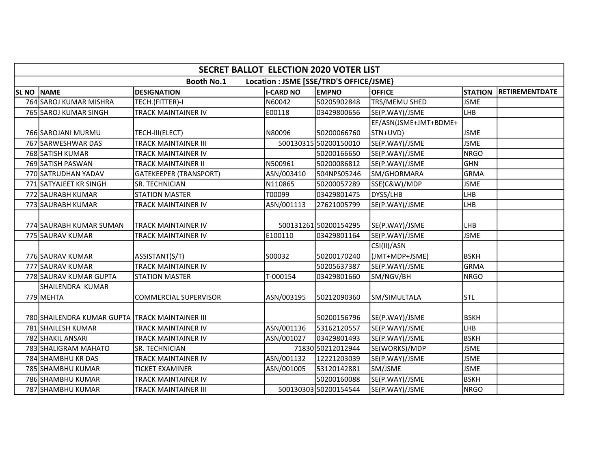|              | <b>SECRET BALLOT ELECTION 2020 VOTER LIST</b>                |                               |                  |                       |                       |                |                       |  |  |  |
|--------------|--------------------------------------------------------------|-------------------------------|------------------|-----------------------|-----------------------|----------------|-----------------------|--|--|--|
|              | <b>Booth No.1</b><br>Location : JSME [SSE/TRD'S OFFICE/JSME} |                               |                  |                       |                       |                |                       |  |  |  |
| <b>SL NO</b> | NAME                                                         | <b>DESIGNATION</b>            | <b>I-CARD NO</b> | <b>EMPNO</b>          | <b>OFFICE</b>         | <b>STATION</b> | <b>RETIREMENTDATE</b> |  |  |  |
|              | 764 SAROJ KUMAR MISHRA                                       | TECH.(FITTER)-I               | N60042           | 50205902848           | TRS/MEMU SHED         | <b>JSME</b>    |                       |  |  |  |
|              | 765 SAROJ KUMAR SINGH                                        | TRACK MAINTAINER IV           | E00118           | 03429800656           | SE(P.WAY)/JSME        | Ігнв           |                       |  |  |  |
|              |                                                              |                               |                  |                       | EF/ASN(JSME+JMT+BDME+ |                |                       |  |  |  |
|              | 766 SAROJANI MURMU                                           | TECH-III(ELECT)               | N80096           | 50200066760           | STN+UVD)              | <b>JSME</b>    |                       |  |  |  |
|              | 767 SARWESHWAR DAS                                           | <b>TRACK MAINTAINER III</b>   |                  | 500130315 50200150010 | SE(P.WAY)/JSME        | <b>JSME</b>    |                       |  |  |  |
|              | 768 SATISH KUMAR                                             | TRACK MAINTAINER IV           |                  | 50200166650           | SE(P.WAY)/JSME        | NRGO           |                       |  |  |  |
|              | 769 SATISH PASWAN                                            | <b>TRACK MAINTAINER II</b>    | N500961          | 50200086812           | SE(P.WAY)/JSME        | GHN            |                       |  |  |  |
|              | 770 SATRUDHAN YADAV                                          | <b>GATEKEEPER (TRANSPORT)</b> | ASN/003410       | 504NPS05246           | SM/GHORMARA           | GRMA           |                       |  |  |  |
|              | 771 SATYAJEET KR SINGH                                       | SR. TECHNICIAN                | N110865          | 50200057289           | SSE(C&W)/MDP          | <b>JSME</b>    |                       |  |  |  |
|              | 772 SAURABH KUMAR                                            | <b>STATION MASTER</b>         | T00099           | 03429801475           | DYSS/LHB              | <b>LHB</b>     |                       |  |  |  |
|              | 773 SAURABH KUMAR                                            | TRACK MAINTAINER IV           | ASN/001113       | 27621005799           | SE(P.WAY)/JSME        | LHB            |                       |  |  |  |
|              |                                                              |                               |                  |                       |                       |                |                       |  |  |  |
|              | 774 SAURABH KUMAR SUMAN                                      | <b>TRACK MAINTAINER IV</b>    |                  | 500131261 50200154295 | SE(P.WAY)/JSME        | LHB            |                       |  |  |  |
|              | 775 SAURAV KUMAR                                             | TRACK MAINTAINER IV           | E100110          | 03429801164           | SE(P.WAY)/JSME        | <b>JSME</b>    |                       |  |  |  |
|              |                                                              |                               |                  |                       | CSI(II)/ASN           |                |                       |  |  |  |
|              | 776 SAURAV KUMAR                                             | ASSISTANT(S/T)                | S00032           | 50200170240           | (JMT+MDP+JSME)        | <b>BSKH</b>    |                       |  |  |  |
|              | 777 SAURAV KUMAR                                             | TRACK MAINTAINER IV           |                  | 50205637387           | SE(P.WAY)/JSME        | GRMA           |                       |  |  |  |
|              | 778 SAURAV KUMAR GUPTA                                       | <b>STATION MASTER</b>         | T-000154         | 03429801660           | SM/NGV/BH             | NRGO           |                       |  |  |  |
|              | SHAILENDRA KUMAR                                             |                               |                  |                       |                       |                |                       |  |  |  |
|              | 779 MEHTA                                                    | <b>COMMERCIAL SUPERVISOR</b>  | ASN/003195       | 50212090360           | SM/SIMULTALA          | <b>STL</b>     |                       |  |  |  |
|              |                                                              |                               |                  |                       |                       |                |                       |  |  |  |
|              | 780 SHAILENDRA KUMAR GUPTA TRACK MAINTAINER III              |                               |                  | 50200156796           | SE(P.WAY)/JSME        | <b>BSKH</b>    |                       |  |  |  |
|              | 781 SHAILESH KUMAR                                           | TRACK MAINTAINER IV           | ASN/001136       | 53162120557           | SE(P.WAY)/JSME        | LHB            |                       |  |  |  |
|              | 782 SHAKIL ANSARI                                            | TRACK MAINTAINER IV           | ASN/001027       | 03429801493           | SE(P.WAY)/JSME        | <b>BSKH</b>    |                       |  |  |  |
|              | 783 SHALIGRAM MAHATO                                         | SR. TECHNICIAN                |                  | 71830 50212012944     | SE(WORKS)/MDP         | <b>JSME</b>    |                       |  |  |  |
|              | 784 SHAMBHU KR DAS                                           | <b>TRACK MAINTAINER IV</b>    | ASN/001132       | 12221203039           | SE(P.WAY)/JSME        | <b>JSME</b>    |                       |  |  |  |
|              | 785 SHAMBHU KUMAR                                            | <b>TICKET EXAMINER</b>        | ASN/001005       | 53120142881           | SM/JSME               | <b>JSME</b>    |                       |  |  |  |
|              | 786 SHAMBHU KUMAR                                            | TRACK MAINTAINER IV           |                  | 50200160088           | SE(P.WAY)/JSME        | <b>BSKH</b>    |                       |  |  |  |
|              | 787 SHAMBHU KUMAR                                            | TRACK MAINTAINER III          |                  | 500130303 50200154544 | SE(P.WAY)/JSME        | NRGO           |                       |  |  |  |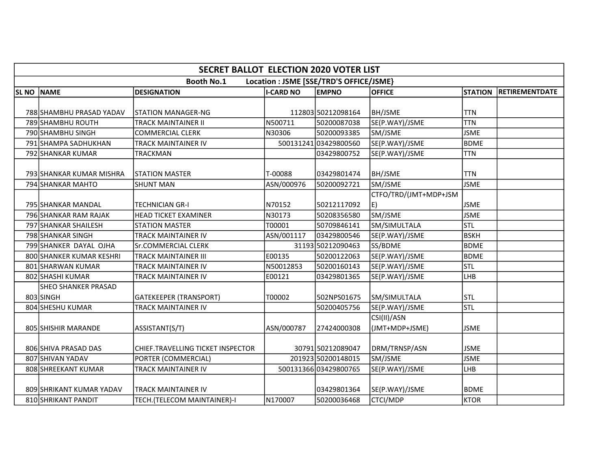|              | <b>SECRET BALLOT ELECTION 2020 VOTER LIST</b> |                                   |                  |                                         |                       |                |                       |  |  |  |
|--------------|-----------------------------------------------|-----------------------------------|------------------|-----------------------------------------|-----------------------|----------------|-----------------------|--|--|--|
|              |                                               | <b>Booth No.1</b>                 |                  | Location : JSME [SSE/TRD'S OFFICE/JSME} |                       |                |                       |  |  |  |
| <b>SL NO</b> | <b>NAME</b>                                   | <b>DESIGNATION</b>                | <b>I-CARD NO</b> | <b>EMPNO</b>                            | <b>OFFICE</b>         | <b>STATION</b> | <b>RETIREMENTDATE</b> |  |  |  |
|              |                                               |                                   |                  |                                         |                       |                |                       |  |  |  |
|              | 788 SHAMBHU PRASAD YADAV                      | <b>STATION MANAGER-NG</b>         |                  | 112803 50212098164                      | <b>BH/JSME</b>        | <b>TTN</b>     |                       |  |  |  |
|              | 789 SHAMBHU ROUTH                             | <b>TRACK MAINTAINER II</b>        | N500711          | 50200087038                             | SE(P.WAY)/JSME        | <b>TTN</b>     |                       |  |  |  |
|              | 790 SHAMBHU SINGH                             | <b>COMMERCIAL CLERK</b>           | N30306           | 50200093385                             | SM/JSME               | <b>JSME</b>    |                       |  |  |  |
|              | 791 SHAMPA SADHUKHAN                          | TRACK MAINTAINER IV               |                  | 500131241 03429800560                   | SE(P.WAY)/JSME        | BDME           |                       |  |  |  |
|              | 792 SHANKAR KUMAR                             | TRACKMAN                          |                  | 03429800752                             | SE(P.WAY)/JSME        | <b>TTN</b>     |                       |  |  |  |
|              |                                               |                                   |                  |                                         |                       |                |                       |  |  |  |
|              | 793 SHANKAR KUMAR MISHRA                      | <b>STATION MASTER</b>             | T-00088          | 03429801474                             | <b>BH/JSME</b>        | <b>TTN</b>     |                       |  |  |  |
|              | 794 SHANKAR MAHTO                             | <b>SHUNT MAN</b>                  | ASN/000976       | 50200092721                             | SM/JSME               | <b>JSME</b>    |                       |  |  |  |
|              |                                               |                                   |                  |                                         | CTFO/TRD/(JMT+MDP+JSM |                |                       |  |  |  |
|              | 795 SHANKAR MANDAL                            | TECHNICIAN GR-I                   | N70152           | 50212117092                             | E)                    | <b>JSME</b>    |                       |  |  |  |
|              | 796 SHANKAR RAM RAJAK                         | <b>HEAD TICKET EXAMINER</b>       | N30173           | 50208356580                             | SM/JSME               | <b>JSME</b>    |                       |  |  |  |
|              | 797 SHANKAR SHAILESH                          | <b>STATION MASTER</b>             | T00001           | 50709846141                             | SM/SIMULTALA          | Istl           |                       |  |  |  |
|              | 798 SHANKAR SINGH                             | TRACK MAINTAINER IV               | ASN/001117       | 03429800546                             | SE(P.WAY)/JSME        | <b>BSKH</b>    |                       |  |  |  |
|              | 799 SHANKER DAYAL OJHA                        | Sr.COMMERCIAL CLERK               |                  | 31193 50212090463                       | SS/BDME               | BDME           |                       |  |  |  |
|              | 800 SHANKER KUMAR KESHRI                      | TRACK MAINTAINER III              | E00135           | 50200122063                             | SE(P.WAY)/JSME        | <b>BDME</b>    |                       |  |  |  |
|              | 801 SHARWAN KUMAR                             | TRACK MAINTAINER IV               | N50012853        | 50200160143                             | SE(P.WAY)/JSME        | Istl           |                       |  |  |  |
|              | 802 SHASHI KUMAR                              | TRACK MAINTAINER IV               | E00121           | 03429801365                             | SE(P.WAY)/JSME        | LHB            |                       |  |  |  |
|              | SHEO SHANKER PRASAD                           |                                   |                  |                                         |                       |                |                       |  |  |  |
|              | 803 SINGH                                     | <b>GATEKEEPER (TRANSPORT)</b>     | T00002           | 502NPS01675                             | SM/SIMULTALA          | lstl           |                       |  |  |  |
|              | 804 SHESHU KUMAR                              | <b>TRACK MAINTAINER IV</b>        |                  | 50200405756                             | SE(P.WAY)/JSME        | Istl           |                       |  |  |  |
|              |                                               |                                   |                  |                                         | CSI(II)/ASN           |                |                       |  |  |  |
|              | 805 SHISHIR MARANDE                           | ASSISTANT(S/T)                    | ASN/000787       | 27424000308                             | (JMT+MDP+JSME)        | <b>JSME</b>    |                       |  |  |  |
|              |                                               |                                   |                  |                                         |                       |                |                       |  |  |  |
|              | 806 SHIVA PRASAD DAS                          | CHIEF.TRAVELLING TICKET INSPECTOR |                  | 30791 50212089047                       | DRM/TRNSP/ASN         | <b>JSME</b>    |                       |  |  |  |
|              | 807 SHIVAN YADAV                              | PORTER (COMMERCIAL)               |                  | 201923 50200148015                      | SM/JSME               | <b>JSME</b>    |                       |  |  |  |
|              | 808 SHREEKANT KUMAR                           | TRACK MAINTAINER IV               |                  | 500131366 03429800765                   | SE(P.WAY)/JSME        | LHB            |                       |  |  |  |
|              |                                               |                                   |                  |                                         |                       |                |                       |  |  |  |
|              | 809 SHRIKANT KUMAR YADAV                      | TRACK MAINTAINER IV               |                  | 03429801364                             | SE(P.WAY)/JSME        | <b>BDME</b>    |                       |  |  |  |
|              | 810 SHRIKANT PANDIT                           | TECH.(TELECOM MAINTAINER)-I       | N170007          | 50200036468                             | <b>CTCI/MDP</b>       | <b>KTOR</b>    |                       |  |  |  |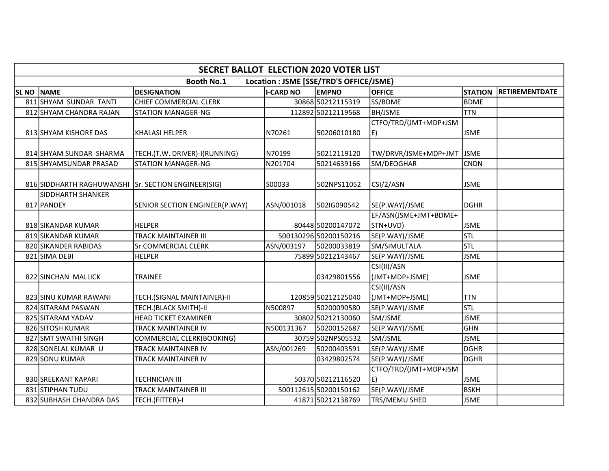|            | <b>SECRET BALLOT ELECTION 2020 VOTER LIST</b>       |                                |                  |                                         |                                   |                |                       |  |  |  |  |
|------------|-----------------------------------------------------|--------------------------------|------------------|-----------------------------------------|-----------------------------------|----------------|-----------------------|--|--|--|--|
|            |                                                     | <b>Booth No.1</b>              |                  | Location : JSME [SSE/TRD'S OFFICE/JSME} |                                   |                |                       |  |  |  |  |
| SL NO NAME |                                                     | <b>DESIGNATION</b>             | <b>I-CARD NO</b> | <b>EMPNO</b>                            | <b>OFFICE</b>                     | <b>STATION</b> | <b>RETIREMENTDATE</b> |  |  |  |  |
|            | 811 SHYAM SUNDAR TANTI                              | <b>CHIEF COMMERCIAL CLERK</b>  |                  | 30868 50212115319                       | SS/BDME                           | lbdme          |                       |  |  |  |  |
|            | 812 SHYAM CHANDRA RAJAN                             | <b>STATION MANAGER-NG</b>      |                  | 112892 50212119568                      | <b>BH/JSME</b>                    | <b>TTN</b>     |                       |  |  |  |  |
|            | 813 SHYAM KISHORE DAS                               | <b>KHALASI HELPER</b>          | N70261           | 50206010180                             | CTFO/TRD/(JMT+MDP+JSM<br>E)       | ljsme          |                       |  |  |  |  |
|            | 814 SHYAM SUNDAR SHARMA                             | TECH.(T.W. DRIVER)-I(RUNNING)  | N70199           | 50212119120                             | TW/DRVR/JSME+MDP+JMT JSME         |                |                       |  |  |  |  |
|            | 815 SHYAMSUNDAR PRASAD                              | <b>STATION MANAGER-NG</b>      | N201704          | 50214639166                             | SM/DEOGHAR                        | <b>CNDN</b>    |                       |  |  |  |  |
|            | 816 SIDDHARTH RAGHUWANSHI Sr. SECTION ENGINEER(SIG) |                                | S00033           | 502NPS11052                             | CSI/2/ASN                         | <b>JSME</b>    |                       |  |  |  |  |
|            | SIDDHARTH SHANKER<br>817 PANDEY                     | SENIOR SECTION ENGINEER(P.WAY) | ASN/001018       | 502IG090542                             | SE(P.WAY)/JSME                    | DGHR           |                       |  |  |  |  |
|            | 818 SIKANDAR KUMAR                                  | <b>HELPER</b>                  |                  | 80448 50200147072                       | EF/ASN(JSME+JMT+BDME+<br>STN+UVD) | <b>JSME</b>    |                       |  |  |  |  |
|            | 819 SIKANDAR KUMAR                                  | TRACK MAINTAINER III           |                  | 500130296 50200150216                   | SE(P.WAY)/JSME                    | <b>STL</b>     |                       |  |  |  |  |
|            | 820 SIKANDER RABIDAS                                | Sr.COMMERCIAL CLERK            | ASN/003197       | 50200033819                             | SM/SIMULTALA                      | <b>STL</b>     |                       |  |  |  |  |
|            | 821 SIMA DEBI                                       | <b>HELPER</b>                  |                  | 75899 50212143467                       | SE(P.WAY)/JSME                    | <b>JSME</b>    |                       |  |  |  |  |
|            | 822 SINCHAN MALLICK                                 | TRAINEE                        |                  | 03429801556                             | CSI(II)/ASN<br>(JMT+MDP+JSME)     | <b>JSME</b>    |                       |  |  |  |  |
|            | 823 SINU KUMAR RAWANI                               | TECH.(SIGNAL MAINTAINER)-II    |                  | 120859 50212125040                      | CSI(II)/ASN<br>(JMT+MDP+JSME)     | <b>TTN</b>     |                       |  |  |  |  |
|            | 824 SITARAM PASWAN                                  | TECH.(BLACK SMITH)-II          | N500897          | 50200090580                             | SE(P.WAY)/JSME                    | <b>STL</b>     |                       |  |  |  |  |
|            | 825 SITARAM YADAV                                   | <b>HEAD TICKET EXAMINER</b>    |                  | 30802 50212130060                       | SM/JSME                           | <b>JSME</b>    |                       |  |  |  |  |
|            | 826 SITOSH KUMAR                                    | TRACK MAINTAINER IV            | N500131367       | 50200152687                             | SE(P.WAY)/JSME                    | GHN            |                       |  |  |  |  |
|            | 827 SMT SWATHI SINGH                                | COMMERCIAL CLERK(BOOKING)      |                  | 30759502NPS05532                        | SM/JSME                           | <b>JSME</b>    |                       |  |  |  |  |
|            | 828 SONELAL KUMAR U                                 | TRACK MAINTAINER IV            | ASN/001269       | 50200403591                             | SE(P.WAY)/JSME                    | DGHR           |                       |  |  |  |  |
|            | 829 SONU KUMAR                                      | TRACK MAINTAINER IV            |                  | 03429802574                             | SE(P.WAY)/JSME                    | DGHR           |                       |  |  |  |  |
|            | 830 SREEKANT KAPARI                                 | TECHNICIAN III                 |                  | 50370 50212116520                       | CTFO/TRD/(JMT+MDP+JSM<br>E)       | <b>JSME</b>    |                       |  |  |  |  |
|            | 831 STIPHAN TUDU                                    | TRACK MAINTAINER III           |                  | 500112615 50200150162                   | SE(P.WAY)/JSME                    | <b>BSKH</b>    |                       |  |  |  |  |
|            | 832 SUBHASH CHANDRA DAS                             | TECH.(FITTER)-I                |                  | 41871 50212138769                       | TRS/MEMU SHED                     | <b>JSME</b>    |                       |  |  |  |  |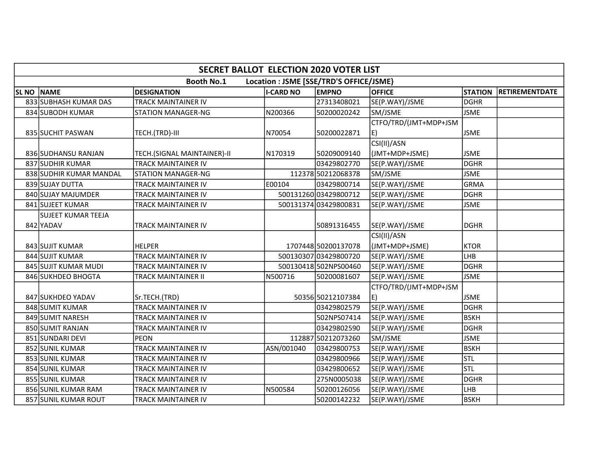|              | <b>SECRET BALLOT ELECTION 2020 VOTER LIST</b>                |                             |                  |                       |                               |                |                       |  |  |  |
|--------------|--------------------------------------------------------------|-----------------------------|------------------|-----------------------|-------------------------------|----------------|-----------------------|--|--|--|
|              | <b>Booth No.1</b><br>Location : JSME [SSE/TRD'S OFFICE/JSME} |                             |                  |                       |                               |                |                       |  |  |  |
| <b>SL NO</b> | <b>NAME</b>                                                  | <b>DESIGNATION</b>          | <b>I-CARD NO</b> | <b>EMPNO</b>          | <b>OFFICE</b>                 | <b>STATION</b> | <b>RETIREMENTDATE</b> |  |  |  |
|              | 833 SUBHASH KUMAR DAS                                        | TRACK MAINTAINER IV         |                  | 27313408021           | SE(P.WAY)/JSME                | <b>DGHR</b>    |                       |  |  |  |
|              | 834 SUBODH KUMAR                                             | <b>STATION MANAGER-NG</b>   | N200366          | 50200020242           | SM/JSME                       | <b>JSME</b>    |                       |  |  |  |
|              | 835 SUCHIT PASWAN                                            | TECH.(TRD)-III              | N70054           | 50200022871           | CTFO/TRD/(JMT+MDP+JSM<br>E)   | <b>JSME</b>    |                       |  |  |  |
|              | 836 SUDHANSU RANJAN                                          | TECH.(SIGNAL MAINTAINER)-II | N170319          | 50209009140           | CSI(II)/ASN<br>(JMT+MDP+JSME) | <b>JSME</b>    |                       |  |  |  |
|              | 837 SUDHIR KUMAR                                             | TRACK MAINTAINER IV         |                  | 03429802770           | SE(P.WAY)/JSME                | <b>DGHR</b>    |                       |  |  |  |
|              | 838 SUDHIR KUMAR MANDAL                                      | <b>STATION MANAGER-NG</b>   |                  | 112378 50212068378    | SM/JSME                       | <b>JSME</b>    |                       |  |  |  |
|              | 839 SUJAY DUTTA                                              | TRACK MAINTAINER IV         | E00104           | 03429800714           | SE(P.WAY)/JSME                | <b>GRMA</b>    |                       |  |  |  |
|              | 840 SUJAY MAJUMDER                                           | TRACK MAINTAINER IV         |                  | 50013126003429800712  | SE(P.WAY)/JSME                | <b>DGHR</b>    |                       |  |  |  |
|              | 841 SUJEET KUMAR                                             | TRACK MAINTAINER IV         |                  | 500131374 03429800831 | SE(P.WAY)/JSME                | <b>JSME</b>    |                       |  |  |  |
|              | <b>SUJEET KUMAR TEEJA</b><br>842 YADAV                       | TRACK MAINTAINER IV         |                  | 50891316455           | SE(P.WAY)/JSME                | <b>DGHR</b>    |                       |  |  |  |
|              | 843 SUJIT KUMAR                                              | <b>HELPER</b>               |                  | 1707448 50200137078   | CSI(II)/ASN<br>(JMT+MDP+JSME) | <b>KTOR</b>    |                       |  |  |  |
|              | 844 SUJIT KUMAR                                              | TRACK MAINTAINER IV         |                  | 500130307 03429800720 | SE(P.WAY)/JSME                | LHB            |                       |  |  |  |
|              | 845 SUJIT KUMAR MUDI                                         | TRACK MAINTAINER IV         |                  | 500130418 502NPS00460 | SE(P.WAY)/JSME                | <b>DGHR</b>    |                       |  |  |  |
|              | 846 SUKHDEO BHOGTA                                           | TRACK MAINTAINER II         | N500716          | 50200081607           | SE(P.WAY)/JSME                | <b>JSME</b>    |                       |  |  |  |
|              | 847 SUKHDEO YADAV                                            | Sr.TECH.(TRD)               |                  | 50356 50212107384     | CTFO/TRD/(JMT+MDP+JSM<br>E)   | <b>JSME</b>    |                       |  |  |  |
|              | 848 SUMIT KUMAR                                              | <b>TRACK MAINTAINER IV</b>  |                  | 03429802579           | SE(P.WAY)/JSME                | <b>DGHR</b>    |                       |  |  |  |
|              | 849 SUMIT NARESH                                             | TRACK MAINTAINER IV         |                  | 502NPS07414           | SE(P.WAY)/JSME                | <b>BSKH</b>    |                       |  |  |  |
|              | 850 SUMIT RANJAN                                             | TRACK MAINTAINER IV         |                  | 03429802590           | SE(P.WAY)/JSME                | <b>DGHR</b>    |                       |  |  |  |
|              | 851 SUNDARI DEVI                                             | <b>PEON</b>                 |                  | 112887 50212073260    | SM/JSME                       | <b>JSME</b>    |                       |  |  |  |
|              | 852 SUNIL KUMAR                                              | TRACK MAINTAINER IV         | ASN/001040       | 03429800753           | SE(P.WAY)/JSME                | <b>BSKH</b>    |                       |  |  |  |
|              | 853 SUNIL KUMAR                                              | TRACK MAINTAINER IV         |                  | 03429800966           | SE(P.WAY)/JSME                | Istl           |                       |  |  |  |
|              | 854 SUNIL KUMAR                                              | <b>TRACK MAINTAINER IV</b>  |                  | 03429800652           | SE(P.WAY)/JSME                | Istl           |                       |  |  |  |
|              | 855 SUNIL KUMAR                                              | TRACK MAINTAINER IV         |                  | 275N0005038           | SE(P.WAY)/JSME                | <b>DGHR</b>    |                       |  |  |  |
|              | 856 SUNIL KUMAR RAM                                          | TRACK MAINTAINER IV         | N500584          | 50200126056           | SE(P.WAY)/JSME                | <b>LHB</b>     |                       |  |  |  |
|              | 857 SUNIL KUMAR ROUT                                         | TRACK MAINTAINER IV         |                  | 50200142232           | SE(P.WAY)/JSME                | <b>BSKH</b>    |                       |  |  |  |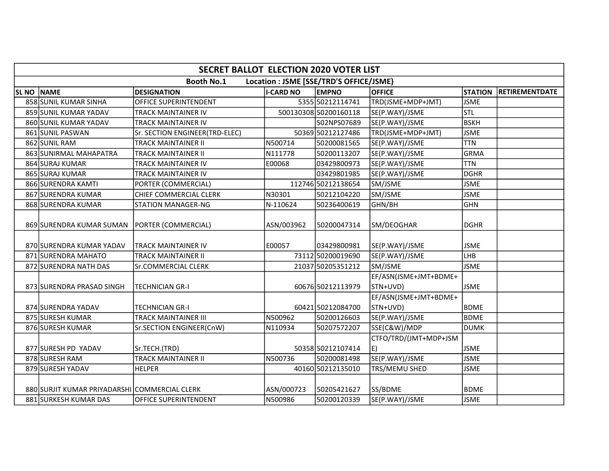|                  | <b>SECRET BALLOT ELECTION 2020 VOTER LIST</b> |                                |                  |                                         |                                   |                |                |  |  |  |
|------------------|-----------------------------------------------|--------------------------------|------------------|-----------------------------------------|-----------------------------------|----------------|----------------|--|--|--|
|                  |                                               | <b>Booth No.1</b>              |                  | Location : JSME [SSE/TRD'S OFFICE/JSME} |                                   |                |                |  |  |  |
| SL <sub>NO</sub> | <b>NAME</b>                                   | <b>DESIGNATION</b>             | <b>I-CARD NO</b> | <b>EMPNO</b>                            | <b>OFFICE</b>                     | <b>STATION</b> | RETIREMENTDATE |  |  |  |
|                  | 858 SUNIL KUMAR SINHA                         | OFFICE SUPERINTENDENT          |                  | 5355 50212114741                        | TRD(JSME+MDP+JMT)                 | <b>JSME</b>    |                |  |  |  |
|                  | 859 SUNIL KUMAR YADAV                         | <b>TRACK MAINTAINER IV</b>     |                  | 500130308 50200160118                   | SE(P.WAY)/JSME                    | <b>STL</b>     |                |  |  |  |
|                  | 860 SUNIL KUMAR YADAV                         | <b>TRACK MAINTAINER IV</b>     |                  | 502NPS07689                             | SE(P.WAY)/JSME                    | <b>BSKH</b>    |                |  |  |  |
|                  | 861 SUNIL PASWAN                              | Sr. SECTION ENGINEER(TRD-ELEC) |                  | 50369 50212127486                       | TRD(JSME+MDP+JMT)                 | <b>JSME</b>    |                |  |  |  |
|                  | 862 SUNIL RAM                                 | <b>TRACK MAINTAINER II</b>     | N500714          | 50200081565                             | SE(P.WAY)/JSME                    | <b>TTN</b>     |                |  |  |  |
|                  | 863 SUNIRMAL MAHAPATRA                        | <b>TRACK MAINTAINER II</b>     | N111778          | 50200113207                             | SE(P.WAY)/JSME                    | GRMA           |                |  |  |  |
|                  | 864 SURAJ KUMAR                               | TRACK MAINTAINER IV            | E00068           | 03429800973                             | SE(P.WAY)/JSME                    | <b>TTN</b>     |                |  |  |  |
|                  | 865 SURAJ KUMAR                               | <b>TRACK MAINTAINER IV</b>     |                  | 03429801985                             | SE(P.WAY)/JSME                    | DGHR           |                |  |  |  |
|                  | 866 SURENDRA KAMTI                            | PORTER (COMMERCIAL)            |                  | 112746 50212138654                      | SM/JSME                           | <b>JSME</b>    |                |  |  |  |
|                  | 867 SURENDRA KUMAR                            | CHIEF COMMERCIAL CLERK         | N30301           | 50212104220                             | SM/JSME                           | <b>JSME</b>    |                |  |  |  |
|                  | 868 SURENDRA KUMAR                            | <b>STATION MANAGER-NG</b>      | N-110624         | 50236400619                             | GHN/BH                            | GHN            |                |  |  |  |
|                  | 869 SURENDRA KUMAR SUMAN                      | PORTER (COMMERCIAL)            | ASN/003962       | 50200047314                             | SM/DEOGHAR                        | <b>DGHR</b>    |                |  |  |  |
|                  | 870 SURENDRA KUMAR YADAV                      | <b>TRACK MAINTAINER IV</b>     | E00057           | 03429800981                             | SE(P.WAY)/JSME                    | <b>JSME</b>    |                |  |  |  |
|                  | 871 SURENDRA MAHATO                           | TRACK MAINTAINER II            |                  | 73112 50200019690                       | SE(P.WAY)/JSME                    | LHB            |                |  |  |  |
|                  | 872 SURENDRA NATH DAS                         | Sr.COMMERCIAL CLERK            |                  | 21037 50205351212                       | SM/JSME                           | <b>JSME</b>    |                |  |  |  |
|                  | 873 SURENDRA PRASAD SINGH                     | <b>TECHNICIAN GR-I</b>         |                  | 60676 50212113979                       | EF/ASN(JSME+JMT+BDME+<br>STN+UVD) | <b>JSME</b>    |                |  |  |  |
|                  | 874 SURENDRA YADAV                            | <b>TECHNICIAN GR-I</b>         |                  | 60421 50212084700                       | EF/ASN(JSME+JMT+BDME+<br>STN+UVD) | <b>BDME</b>    |                |  |  |  |
|                  | 875 SURESH KUMAR                              | <b>TRACK MAINTAINER III</b>    | N500962          | 50200126603                             | SE(P.WAY)/JSME                    | BDME           |                |  |  |  |
|                  | 876 SURESH KUMAR                              | Sr.SECTION ENGINEER(CnW)       | N110934          | 50207572207                             | SSE(C&W)/MDP                      | DUMK           |                |  |  |  |
|                  | 877 SURESH PD YADAV                           | Sr.TECH.(TRD)                  |                  | 50358 50212107414                       | CTFO/TRD/(JMT+MDP+JSM<br>E)       | <b>JSME</b>    |                |  |  |  |
|                  | 878 SURESH RAM                                | <b>TRACK MAINTAINER II</b>     | N500736          | 50200081498                             | SE(P.WAY)/JSME                    | <b>JSME</b>    |                |  |  |  |
|                  | 879 SURESH YADAV                              | <b>HELPER</b>                  |                  | 40160 50212135010                       | TRS/MEMU SHED                     | <b>JSME</b>    |                |  |  |  |
|                  | 880 SURJIT KUMAR PRIYADARSHI COMMERCIAL CLERK |                                | ASN/000723       | 50205421627                             | SS/BDME                           | <b>BDME</b>    |                |  |  |  |
|                  | 881 SURKESH KUMAR DAS                         | OFFICE SUPERINTENDENT          | N500986          | 50200120339                             | SE(P.WAY)/JSME                    | <b>JSME</b>    |                |  |  |  |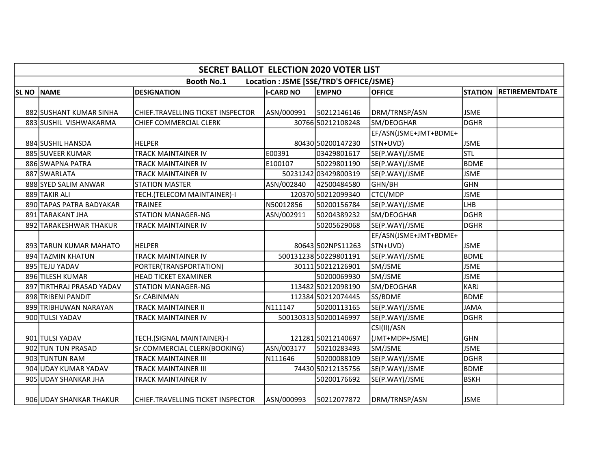| <b>SECRET BALLOT ELECTION 2020 VOTER LIST</b>                |                           |                                   |                  |                       |                       |                |                |  |  |
|--------------------------------------------------------------|---------------------------|-----------------------------------|------------------|-----------------------|-----------------------|----------------|----------------|--|--|
| Location : JSME [SSE/TRD'S OFFICE/JSME}<br><b>Booth No.1</b> |                           |                                   |                  |                       |                       |                |                |  |  |
| <b>SL NO</b>                                                 | <b>NAME</b>               | <b>DESIGNATION</b>                | <b>I-CARD NO</b> | <b>EMPNO</b>          | <b>OFFICE</b>         | <b>STATION</b> | RETIREMENTDATE |  |  |
|                                                              |                           |                                   |                  |                       |                       |                |                |  |  |
|                                                              | 882 SUSHANT KUMAR SINHA   | CHIEF.TRAVELLING TICKET INSPECTOR | ASN/000991       | 50212146146           | DRM/TRNSP/ASN         | <b>JSME</b>    |                |  |  |
|                                                              | 883 SUSHIL VISHWAKARMA    | CHIEF COMMERCIAL CLERK            |                  | 30766 50212108248     | SM/DEOGHAR            | DGHR           |                |  |  |
|                                                              |                           |                                   |                  |                       | EF/ASN(JSME+JMT+BDME+ |                |                |  |  |
|                                                              | 884 SUSHIL HANSDA         | <b>HELPER</b>                     |                  | 80430 50200147230     | STN+UVD)              | <b>JSME</b>    |                |  |  |
|                                                              | 885 SUVEER KUMAR          | <b>TRACK MAINTAINER IV</b>        | E00391           | 03429801617           | SE(P.WAY)/JSME        | stl            |                |  |  |
|                                                              | 886 SWAPNA PATRA          | <b>TRACK MAINTAINER IV</b>        | E100107          | 50229801190           | SE(P.WAY)/JSME        | <b>BDME</b>    |                |  |  |
|                                                              | 887 SWARLATA              | TRACK MAINTAINER IV               |                  | 50231242 03429800319  | SE(P.WAY)/JSME        | <b>JSME</b>    |                |  |  |
|                                                              | 888 SYED SALIM ANWAR      | <b>STATION MASTER</b>             | ASN/002840       | 42500484580           | GHN/BH                | GHN            |                |  |  |
|                                                              | 889 TAKIR ALI             | TECH.(TELECOM MAINTAINER)-I       |                  | 120370 50212099340    | <b>CTCI/MDP</b>       | <b>JSME</b>    |                |  |  |
|                                                              | 890 TAPAS PATRA BADYAKAR  | <b>TRAINEE</b>                    | N50012856        | 50200156784           | SE(P.WAY)/JSME        | LHB            |                |  |  |
|                                                              | 891 TARAKANT JHA          | <b>STATION MANAGER-NG</b>         | ASN/002911       | 50204389232           | SM/DEOGHAR            | DGHR           |                |  |  |
|                                                              | 892 TARAKESHWAR THAKUR    | TRACK MAINTAINER IV               |                  | 50205629068           | SE(P.WAY)/JSME        | DGHR           |                |  |  |
|                                                              |                           |                                   |                  |                       | EF/ASN(JSME+JMT+BDME+ |                |                |  |  |
|                                                              | 893 TARUN KUMAR MAHATO    | <b>HELPER</b>                     |                  | 80643 502NPS11263     | STN+UVD)              | <b>JSME</b>    |                |  |  |
|                                                              | 894 TAZMIN KHATUN         | TRACK MAINTAINER IV               |                  | 500131238 50229801191 | SE(P.WAY)/JSME        | BDME           |                |  |  |
|                                                              | 895 TEJU YADAV            | PORTER(TRANSPORTATION)            |                  | 30111 50212126901     | SM/JSME               | <b>JSME</b>    |                |  |  |
|                                                              | 896 TILESH KUMAR          | <b>HEAD TICKET EXAMINER</b>       |                  | 50200069930           | SM/JSME               | <b>JSME</b>    |                |  |  |
|                                                              | 897 TIRTHRAJ PRASAD YADAV | <b>STATION MANAGER-NG</b>         |                  | 113482 50212098190    | SM/DEOGHAR            | KARJ           |                |  |  |
|                                                              | 898 TRIBENI PANDIT        | Sr.CABINMAN                       |                  | 112384 50212074445    | SS/BDME               | <b>BDME</b>    |                |  |  |
|                                                              | 899 TRIBHUWAN NARAYAN     | <b>TRACK MAINTAINER II</b>        | N111147          | 50200113165           | SE(P.WAY)/JSME        | JAMA           |                |  |  |
|                                                              | 900 TULSI YADAV           | TRACK MAINTAINER IV               |                  | 500130313 50200146997 | SE(P.WAY)/JSME        | DGHR           |                |  |  |
|                                                              |                           |                                   |                  |                       | CSI(II)/ASN           |                |                |  |  |
|                                                              | 901 TULSI YADAV           | TECH.(SIGNAL MAINTAINER)-I        |                  | 121281 50212140697    | (JMT+MDP+JSME)        | GHN            |                |  |  |
|                                                              | 902 TUN TUN PRASAD        | Sr.COMMERCIAL CLERK(BOOKING)      | ASN/003177       | 50210283493           | SM/JSME               | <b>JSME</b>    |                |  |  |
|                                                              | 903 TUNTUN RAM            | <b>TRACK MAINTAINER III</b>       | N111646          | 50200088109           | SE(P.WAY)/JSME        | <b>DGHR</b>    |                |  |  |
|                                                              | 904 UDAY KUMAR YADAV      | <b>TRACK MAINTAINER III</b>       |                  | 74430 50212135756     | SE(P.WAY)/JSME        | BDME           |                |  |  |
|                                                              | 905 UDAY SHANKAR JHA      | TRACK MAINTAINER IV               |                  | 50200176692           | SE(P.WAY)/JSME        | <b>BSKH</b>    |                |  |  |
|                                                              | 906 UDAY SHANKAR THAKUR   | CHIEF.TRAVELLING TICKET INSPECTOR | ASN/000993       | 50212077872           | DRM/TRNSP/ASN         | <b>JSME</b>    |                |  |  |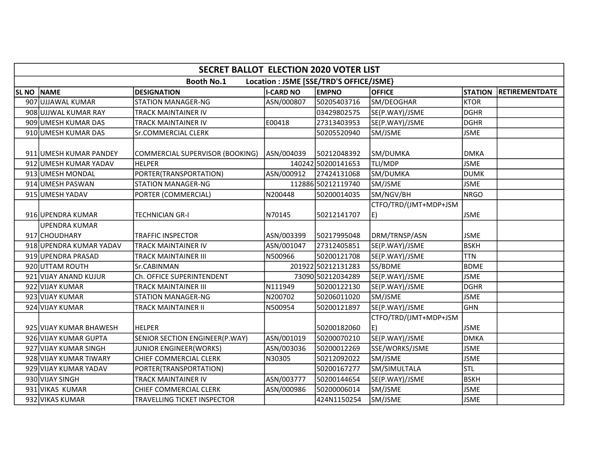| <b>SECRET BALLOT ELECTION 2020 VOTER LIST</b>                |                         |                                 |                  |                    |                       |                |                       |  |  |
|--------------------------------------------------------------|-------------------------|---------------------------------|------------------|--------------------|-----------------------|----------------|-----------------------|--|--|
| <b>Booth No.1</b><br>Location : JSME [SSE/TRD'S OFFICE/JSME} |                         |                                 |                  |                    |                       |                |                       |  |  |
| SL <sub>NO</sub>                                             | <b>NAME</b>             | <b>DESIGNATION</b>              | <b>I-CARD NO</b> | <b>EMPNO</b>       | <b>OFFICE</b>         | <b>STATION</b> | <b>RETIREMENTDATE</b> |  |  |
|                                                              | 907 UJJAWAL KUMAR       | <b>STATION MANAGER-NG</b>       | ASN/000807       | 50205403716        | SM/DEOGHAR            | <b>KTOR</b>    |                       |  |  |
|                                                              | 908 UJJWAL KUMAR RAY    | TRACK MAINTAINER IV             |                  | 03429802575        | SE(P.WAY)/JSME        | <b>DGHR</b>    |                       |  |  |
|                                                              | 909 UMESH KUMAR DAS     | TRACK MAINTAINER IV             | E00418           | 27313403953        | SE(P.WAY)/JSME        | <b>DGHR</b>    |                       |  |  |
|                                                              | 910 UMESH KUMAR DAS     | Sr.COMMERCIAL CLERK             |                  | 50205520940        | SM/JSME               | <b>JSME</b>    |                       |  |  |
|                                                              | 911 UMESH KUMAR PANDEY  | COMMERCIAL SUPERVISOR (BOOKING) | ASN/004039       | 50212048392        | SM/DUMKA              | <b>DMKA</b>    |                       |  |  |
|                                                              | 912 UMESH KUMAR YADAV   | <b>HELPER</b>                   |                  | 140242 50200141653 | TLI/MDP               | <b>JSME</b>    |                       |  |  |
|                                                              | 913 UMESH MONDAL        | PORTER(TRANSPORTATION)          | ASN/000912       | 27424131068        | SM/DUMKA              | <b>DUMK</b>    |                       |  |  |
|                                                              | 914 UMESH PASWAN        | <b>STATION MANAGER-NG</b>       |                  | 112886 50212119740 | SM/JSME               | <b>JSME</b>    |                       |  |  |
|                                                              | 915 UMESH YADAV         | PORTER (COMMERCIAL)             | N200448          | 50200014035        | SM/NGV/BH             | NRGO           |                       |  |  |
|                                                              |                         |                                 |                  |                    | CTFO/TRD/(JMT+MDP+JSM |                |                       |  |  |
|                                                              | 916 UPENDRA KUMAR       | TECHNICIAN GR-I                 | N70145           | 50212141707        | E)                    | <b>JSME</b>    |                       |  |  |
|                                                              | <b>UPENDRA KUMAR</b>    |                                 |                  |                    |                       |                |                       |  |  |
|                                                              | 917 CHOUDHARY           | TRAFFIC INSPECTOR               | ASN/003399       | 50217995048        | DRM/TRNSP/ASN         | <b>JSME</b>    |                       |  |  |
|                                                              | 918 UPENDRA KUMAR YADAV | TRACK MAINTAINER IV             | ASN/001047       | 27312405851        | SE(P.WAY)/JSME        | <b>BSKH</b>    |                       |  |  |
|                                                              | 919 UPENDRA PRASAD      | <b>TRACK MAINTAINER III</b>     | N500966          | 50200121708        | SE(P.WAY)/JSME        | <b>TTN</b>     |                       |  |  |
|                                                              | 920 UTTAM ROUTH         | Sr.CABINMAN                     |                  | 201922 50212131283 | SS/BDME               | BDME           |                       |  |  |
|                                                              | 921 VIJAY ANAND KUJUR   | Ch. OFFICE SUPERINTENDENT       |                  | 73090 50212034289  | SE(P.WAY)/JSME        | <b>JSME</b>    |                       |  |  |
|                                                              | 922 VIJAY KUMAR         | TRACK MAINTAINER III            | N111949          | 50200122130        | SE(P.WAY)/JSME        | <b>DGHR</b>    |                       |  |  |
|                                                              | 923 VIJAY KUMAR         | <b>STATION MANAGER-NG</b>       | N200702          | 50206011020        | SM/JSME               | <b>JSME</b>    |                       |  |  |
|                                                              | 924 VIJAY KUMAR         | TRACK MAINTAINER II             | N500954          | 50200121897        | SE(P.WAY)/JSME        | lghn           |                       |  |  |
|                                                              |                         |                                 |                  |                    | CTFO/TRD/(JMT+MDP+JSM |                |                       |  |  |
|                                                              | 925 VIJAY KUMAR BHAWESH | <b>HELPER</b>                   |                  | 50200182060        | E)                    | <b>JSME</b>    |                       |  |  |
|                                                              | 926 VIJAY KUMAR GUPTA   | SENIOR SECTION ENGINEER(P.WAY)  | ASN/001019       | 50200070210        | SE(P.WAY)/JSME        | <b>DMKA</b>    |                       |  |  |
|                                                              | 927 VIJAY KUMAR SINGH   | <b>JUNIOR ENGINEER(WORKS)</b>   | ASN/003036       | 50200012269        | SSE/WORKS/JSME        | <b>JSME</b>    |                       |  |  |
|                                                              | 928 VIJAY KUMAR TIWARY  | CHIEF COMMERCIAL CLERK          | N30305           | 50212092022        | SM/JSME               | <b>JSME</b>    |                       |  |  |
|                                                              | 929 VIJAY KUMAR YADAV   | PORTER(TRANSPORTATION)          |                  | 50200167277        | SM/SIMULTALA          | lstl           |                       |  |  |
|                                                              | 930 VIJAY SINGH         | TRACK MAINTAINER IV             | ASN/003777       | 50200144654        | SE(P.WAY)/JSME        | <b>BSKH</b>    |                       |  |  |
|                                                              | 931 VIKAS KUMAR         | CHIEF COMMERCIAL CLERK          | ASN/000986       | 50200006014        | SM/JSME               | <b>JSME</b>    |                       |  |  |
|                                                              | 932 VIKAS KUMAR         | TRAVELLING TICKET INSPECTOR     |                  | 424N1150254        | SM/JSME               | <b>JSME</b>    |                       |  |  |